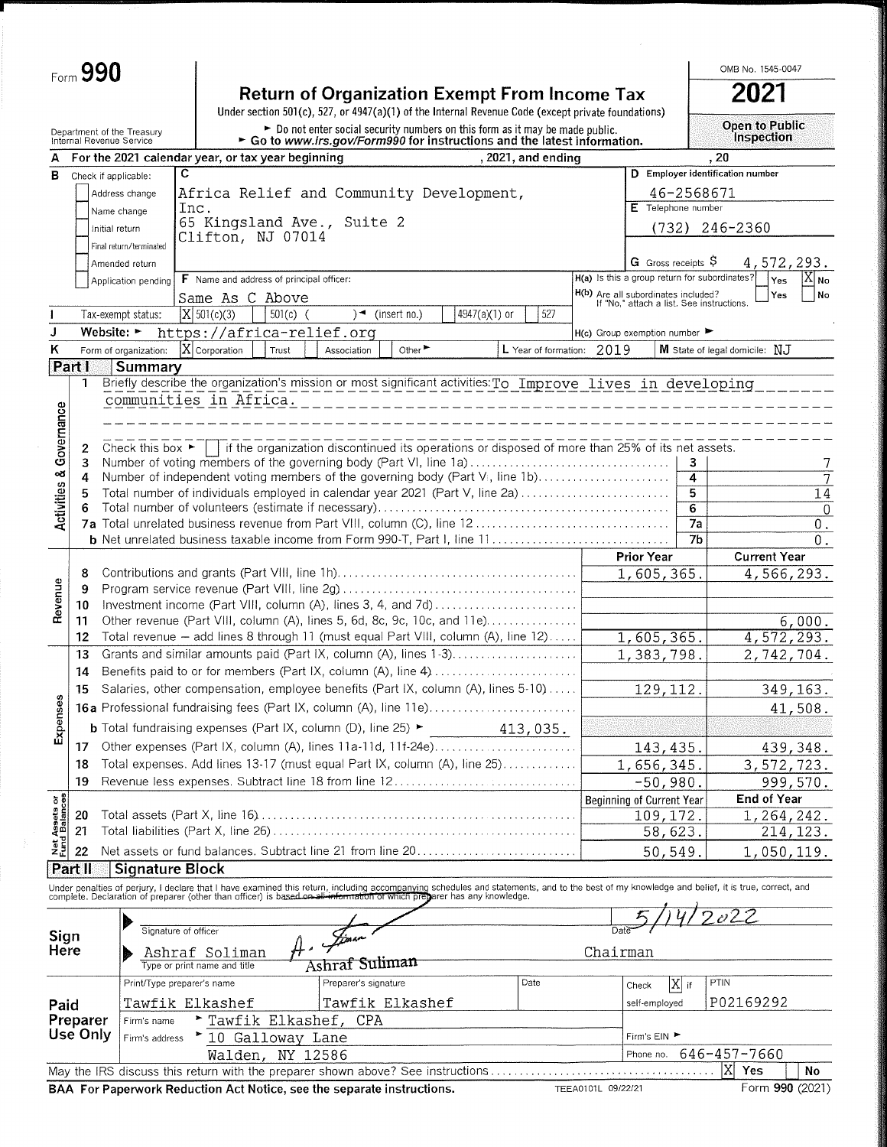|                                                                                                                                                            | Form 990                                               |                                                                |                                    |                                                                                                                                                                                         |                                          |                                                                                          |                                                                                                                                                                                                                                   |               |                           |                    |                                                                                  |                        |           | OMB No. 1545-0047                          |                     |  |
|------------------------------------------------------------------------------------------------------------------------------------------------------------|--------------------------------------------------------|----------------------------------------------------------------|------------------------------------|-----------------------------------------------------------------------------------------------------------------------------------------------------------------------------------------|------------------------------------------|------------------------------------------------------------------------------------------|-----------------------------------------------------------------------------------------------------------------------------------------------------------------------------------------------------------------------------------|---------------|---------------------------|--------------------|----------------------------------------------------------------------------------|------------------------|-----------|--------------------------------------------|---------------------|--|
| <b>Return of Organization Exempt From Income Tax</b><br>Under section 501(c), 527, or 4947(a)(1) of the Internal Revenue Code (except private foundations) |                                                        |                                                                |                                    |                                                                                                                                                                                         |                                          |                                                                                          |                                                                                                                                                                                                                                   |               |                           |                    | 2021                                                                             |                        |           |                                            |                     |  |
|                                                                                                                                                            | Department of the Treasury<br>Internal Revenue Service |                                                                |                                    | $\triangleright$ Do not enter social security numbers on this form as it may be made public.<br>$\triangleright$ Go to www.irs.gov/Form990 for instructions and the latest information. |                                          |                                                                                          |                                                                                                                                                                                                                                   |               |                           |                    |                                                                                  |                        |           | <b>Open to Public</b><br><b>Inspection</b> |                     |  |
|                                                                                                                                                            |                                                        | A For the 2021 calendar year, or tax year beginning            |                                    |                                                                                                                                                                                         |                                          |                                                                                          |                                                                                                                                                                                                                                   |               | , 2021, and ending        |                    | .20                                                                              |                        |           |                                            |                     |  |
|                                                                                                                                                            | <b>B</b> Check if applicable:                          |                                                                | C                                  |                                                                                                                                                                                         |                                          |                                                                                          |                                                                                                                                                                                                                                   |               |                           |                    | D Employer identification number                                                 |                        |           |                                            |                     |  |
|                                                                                                                                                            |                                                        | Address change                                                 |                                    |                                                                                                                                                                                         |                                          |                                                                                          | Africa Relief and Community Development,                                                                                                                                                                                          |               |                           |                    |                                                                                  | 46-2568671             |           |                                            |                     |  |
|                                                                                                                                                            |                                                        | Name change                                                    | Inc.                               |                                                                                                                                                                                         |                                          |                                                                                          |                                                                                                                                                                                                                                   |               |                           |                    | E Telephone number                                                               |                        |           |                                            |                     |  |
|                                                                                                                                                            | Initial return                                         |                                                                |                                    |                                                                                                                                                                                         |                                          | 65 Kingsland Ave., Suite 2                                                               |                                                                                                                                                                                                                                   |               |                           |                    |                                                                                  |                        |           | $(732)$ 246-2360                           |                     |  |
|                                                                                                                                                            |                                                        | Final return/terminated                                        |                                    |                                                                                                                                                                                         | Clifton, NJ 07014                        |                                                                                          |                                                                                                                                                                                                                                   |               |                           |                    |                                                                                  |                        |           |                                            |                     |  |
|                                                                                                                                                            |                                                        | Amended return                                                 |                                    |                                                                                                                                                                                         |                                          |                                                                                          |                                                                                                                                                                                                                                   |               |                           |                    | G Gross receipts $\overline{S}$                                                  |                        |           | 4,572,293.                                 |                     |  |
|                                                                                                                                                            |                                                        | Application pending                                            |                                    |                                                                                                                                                                                         | F Name and address of principal officer: |                                                                                          |                                                                                                                                                                                                                                   |               |                           |                    | H(a) Is this a group return for subordinates?                                    |                        |           | $ Y$ es                                    | $[X]_{\mathsf{No}}$ |  |
|                                                                                                                                                            |                                                        |                                                                |                                    |                                                                                                                                                                                         | Same As C Above                          |                                                                                          |                                                                                                                                                                                                                                   |               |                           |                    | H(b) Are all subordinates included?<br>If "No," attach a list. See instructions. |                        |           | Yes                                        | No.                 |  |
|                                                                                                                                                            |                                                        | Tax-exempt status:                                             |                                    | $ X $ 501(c)(3)                                                                                                                                                                         | $501(c)$ (                               |                                                                                          | $\rightarrow$ (insert no.)                                                                                                                                                                                                        | 4947(a)(1) or | 527                       |                    |                                                                                  |                        |           |                                            |                     |  |
| J                                                                                                                                                          | Website: $\blacktriangleright$                         |                                                                |                                    |                                                                                                                                                                                         |                                          | https://africa-relief.org                                                                |                                                                                                                                                                                                                                   |               |                           |                    | $H(c)$ Group exemption number                                                    |                        |           |                                            |                     |  |
| Κ                                                                                                                                                          |                                                        | Form of organization:                                          |                                    | X Corporation                                                                                                                                                                           | Trust                                    | Association                                                                              | Other $\blacktriangleright$                                                                                                                                                                                                       |               | L Year of formation: 2019 |                    |                                                                                  |                        |           | M State of legal domicile: NJ              |                     |  |
|                                                                                                                                                            | Part I<br>1                                            | Summary                                                        |                                    |                                                                                                                                                                                         |                                          |                                                                                          | Briefly describe the organization's mission or most significant activities: To Improve lives in developing                                                                                                                        |               |                           |                    |                                                                                  |                        |           |                                            |                     |  |
| Governance                                                                                                                                                 | 2<br>3                                                 | communities in Africa.<br>Check this box $\blacktriangleright$ |                                    |                                                                                                                                                                                         |                                          |                                                                                          | if the organization discontinued its operations or disposed of more than 25% of its net assets.<br>Number of voting members of the governing body (Part VI, line 1a)                                                              |               |                           |                    |                                                                                  | 3                      |           |                                            | 7                   |  |
|                                                                                                                                                            | 4                                                      |                                                                |                                    |                                                                                                                                                                                         |                                          |                                                                                          | Number of independent voting members of the governing body (Part VI, line 1b)                                                                                                                                                     |               |                           |                    |                                                                                  | $\overline{4}$         |           |                                            | 7                   |  |
| <b>Activities &amp;</b>                                                                                                                                    | 5                                                      |                                                                |                                    |                                                                                                                                                                                         |                                          |                                                                                          | Total number of individuals employed in calendar year 2021 (Part V, line 2a)                                                                                                                                                      |               |                           |                    |                                                                                  | 5                      |           |                                            | 14                  |  |
|                                                                                                                                                            |                                                        |                                                                |                                    |                                                                                                                                                                                         |                                          |                                                                                          |                                                                                                                                                                                                                                   |               |                           |                    |                                                                                  | 6                      |           |                                            | $\overline{0}$      |  |
|                                                                                                                                                            |                                                        |                                                                |                                    |                                                                                                                                                                                         |                                          |                                                                                          |                                                                                                                                                                                                                                   |               |                           |                    |                                                                                  | 7a                     |           |                                            | $0$ .               |  |
|                                                                                                                                                            |                                                        |                                                                |                                    |                                                                                                                                                                                         |                                          |                                                                                          |                                                                                                                                                                                                                                   |               |                           |                    |                                                                                  | 7b                     |           |                                            | 0.                  |  |
|                                                                                                                                                            |                                                        |                                                                |                                    |                                                                                                                                                                                         |                                          |                                                                                          |                                                                                                                                                                                                                                   |               |                           |                    | <b>Prior Year</b>                                                                |                        |           | <b>Current Year</b>                        |                     |  |
|                                                                                                                                                            | 8<br>9                                                 |                                                                |                                    |                                                                                                                                                                                         |                                          |                                                                                          |                                                                                                                                                                                                                                   |               |                           |                    | 1,605,365.                                                                       |                        |           | 4,566,293.                                 |                     |  |
| Revenue                                                                                                                                                    | 10                                                     |                                                                |                                    |                                                                                                                                                                                         |                                          |                                                                                          | Investment income (Part VIII, column (A), lines 3, 4, and 7d)                                                                                                                                                                     |               |                           |                    |                                                                                  |                        |           |                                            |                     |  |
|                                                                                                                                                            | 11                                                     |                                                                |                                    |                                                                                                                                                                                         |                                          |                                                                                          | Other revenue (Part VIII, column (A), lines 5, 6d, 8c, 9c, 10c, and 11e)                                                                                                                                                          |               |                           |                    |                                                                                  |                        |           |                                            | 6,000.              |  |
|                                                                                                                                                            | 12                                                     |                                                                |                                    |                                                                                                                                                                                         |                                          |                                                                                          | Total revenue - add lines 8 through 11 (must equal Part VIII, column (A), line 12)                                                                                                                                                |               |                           |                    | 1,605,365.                                                                       |                        |           | 4,572,293.                                 |                     |  |
|                                                                                                                                                            | 13                                                     |                                                                |                                    |                                                                                                                                                                                         |                                          |                                                                                          | Grants and similar amounts paid (Part IX, column (A), lines 1-3)                                                                                                                                                                  |               |                           |                    | 1,383,798.                                                                       |                        |           | 2,742,704.                                 |                     |  |
|                                                                                                                                                            | 14                                                     |                                                                |                                    |                                                                                                                                                                                         |                                          |                                                                                          | Benefits paid to or for members (Part IX, column (A), line 4)                                                                                                                                                                     |               |                           |                    |                                                                                  |                        |           |                                            |                     |  |
| φ                                                                                                                                                          | 15                                                     |                                                                |                                    |                                                                                                                                                                                         |                                          |                                                                                          | Salaries, other compensation, employee benefits (Part IX, column (A), lines 5-10)                                                                                                                                                 | 129, 112.     |                           |                    | 349, 163.                                                                        |                        |           |                                            |                     |  |
|                                                                                                                                                            |                                                        |                                                                |                                    |                                                                                                                                                                                         |                                          |                                                                                          | 16a Professional fundraising fees (Part IX, column (A), line 11e)                                                                                                                                                                 |               |                           |                    |                                                                                  |                        | 41,508.   |                                            |                     |  |
| Expense                                                                                                                                                    |                                                        |                                                                |                                    |                                                                                                                                                                                         |                                          | <b>b</b> Total fundraising expenses (Part IX, column (D), line 25) $\blacktriangleright$ |                                                                                                                                                                                                                                   | 413,035.      |                           |                    |                                                                                  |                        |           |                                            |                     |  |
|                                                                                                                                                            | 17                                                     |                                                                |                                    |                                                                                                                                                                                         |                                          |                                                                                          | Other expenses (Part IX, column (A), lines 11a-11d, 11f-24e)                                                                                                                                                                      |               |                           |                    | 143, 435.                                                                        |                        | 439, 348. |                                            |                     |  |
|                                                                                                                                                            | 18                                                     |                                                                |                                    |                                                                                                                                                                                         |                                          |                                                                                          | Total expenses. Add lines 13-17 (must equal Part IX, column (A), line 25)                                                                                                                                                         |               |                           |                    | 1,656,345.                                                                       |                        |           | 3,572,723.                                 |                     |  |
|                                                                                                                                                            | 19                                                     |                                                                |                                    |                                                                                                                                                                                         |                                          |                                                                                          | Revenue less expenses. Subtract line 18 from line 12                                                                                                                                                                              |               |                           |                    | $-50,980.$                                                                       |                        |           |                                            | 999,570.            |  |
|                                                                                                                                                            |                                                        |                                                                |                                    |                                                                                                                                                                                         |                                          |                                                                                          |                                                                                                                                                                                                                                   |               |                           |                    | Beginning of Current Year                                                        |                        |           | End of Year                                |                     |  |
|                                                                                                                                                            | 20                                                     |                                                                |                                    |                                                                                                                                                                                         |                                          |                                                                                          |                                                                                                                                                                                                                                   |               |                           |                    | 109, 172.                                                                        |                        |           | 1,264,242.                                 |                     |  |
| Net Assets or<br>Fund Balances                                                                                                                             | 21                                                     |                                                                |                                    |                                                                                                                                                                                         |                                          |                                                                                          |                                                                                                                                                                                                                                   |               |                           |                    | 58,623.                                                                          |                        |           |                                            | 214, 123.           |  |
|                                                                                                                                                            | 22                                                     |                                                                |                                    |                                                                                                                                                                                         |                                          |                                                                                          | Net assets or fund balances. Subtract line 21 from line 20                                                                                                                                                                        |               |                           |                    | 50,549.                                                                          |                        |           | 1,050,119.                                 |                     |  |
|                                                                                                                                                            | Part II                                                | <b>Signature Block</b>                                         |                                    |                                                                                                                                                                                         |                                          |                                                                                          |                                                                                                                                                                                                                                   |               |                           |                    |                                                                                  |                        |           |                                            |                     |  |
|                                                                                                                                                            |                                                        |                                                                |                                    |                                                                                                                                                                                         |                                          |                                                                                          | Under penalties of perjury, I declare that I have examined this return, including accompanying schedules and statements, and to the best of my knowledge and belief, it is true, correct, and<br>complete. Declaration of prepare |               |                           |                    |                                                                                  |                        |           |                                            |                     |  |
|                                                                                                                                                            |                                                        |                                                                |                                    |                                                                                                                                                                                         |                                          |                                                                                          |                                                                                                                                                                                                                                   |               |                           |                    |                                                                                  |                        |           |                                            |                     |  |
| Sign                                                                                                                                                       |                                                        | Signature of officer                                           |                                    |                                                                                                                                                                                         |                                          |                                                                                          |                                                                                                                                                                                                                                   |               |                           |                    |                                                                                  |                        |           |                                            |                     |  |
| Here                                                                                                                                                       |                                                        |                                                                |                                    | Ashraf Soliman                                                                                                                                                                          |                                          |                                                                                          |                                                                                                                                                                                                                                   |               |                           | Chairman           |                                                                                  |                        |           |                                            |                     |  |
|                                                                                                                                                            |                                                        |                                                                |                                    | Type or print name and title                                                                                                                                                            |                                          | Ashraf Suliman                                                                           |                                                                                                                                                                                                                                   |               |                           |                    |                                                                                  |                        |           |                                            |                     |  |
|                                                                                                                                                            |                                                        | Print/Type preparer's name                                     |                                    |                                                                                                                                                                                         |                                          | Preparer's signature                                                                     |                                                                                                                                                                                                                                   |               | Date                      |                    | Check                                                                            | $ {\boldsymbol X} $ if | PTIN      |                                            |                     |  |
| Paid                                                                                                                                                       |                                                        |                                                                | Tawfik Elkashef<br>Tawfik Elkashef |                                                                                                                                                                                         |                                          |                                                                                          |                                                                                                                                                                                                                                   |               |                           | self-employed      |                                                                                  |                        | P02169292 |                                            |                     |  |
|                                                                                                                                                            | Preparer                                               | Tawfik Elkashef, CPA<br>Firm's name                            |                                    |                                                                                                                                                                                         |                                          |                                                                                          |                                                                                                                                                                                                                                   |               |                           |                    |                                                                                  |                        |           |                                            |                     |  |
|                                                                                                                                                            | Use Only                                               | ▶ 10 Galloway Lane<br>Firm's address                           |                                    |                                                                                                                                                                                         |                                          |                                                                                          |                                                                                                                                                                                                                                   | Firm's EIN ▶  |                           |                    |                                                                                  |                        |           |                                            |                     |  |
|                                                                                                                                                            |                                                        |                                                                |                                    | Walden,                                                                                                                                                                                 | Phone no.<br>NY 12586                    |                                                                                          |                                                                                                                                                                                                                                   |               |                           |                    |                                                                                  | 646-457-7660           |           |                                            |                     |  |
|                                                                                                                                                            |                                                        |                                                                |                                    |                                                                                                                                                                                         |                                          |                                                                                          | May the IRS discuss this return with the preparer shown above? See instructions                                                                                                                                                   |               |                           |                    |                                                                                  |                        | ΙX        | Yes                                        | No                  |  |
|                                                                                                                                                            |                                                        |                                                                |                                    |                                                                                                                                                                                         |                                          |                                                                                          | BAA For Paperwork Reduction Act Notice, see the separate instructions.                                                                                                                                                            |               |                           | TEEA0101L 09/22/21 |                                                                                  |                        |           | Form 990 (2021)                            |                     |  |
|                                                                                                                                                            |                                                        |                                                                |                                    |                                                                                                                                                                                         |                                          |                                                                                          |                                                                                                                                                                                                                                   |               |                           |                    |                                                                                  |                        |           |                                            |                     |  |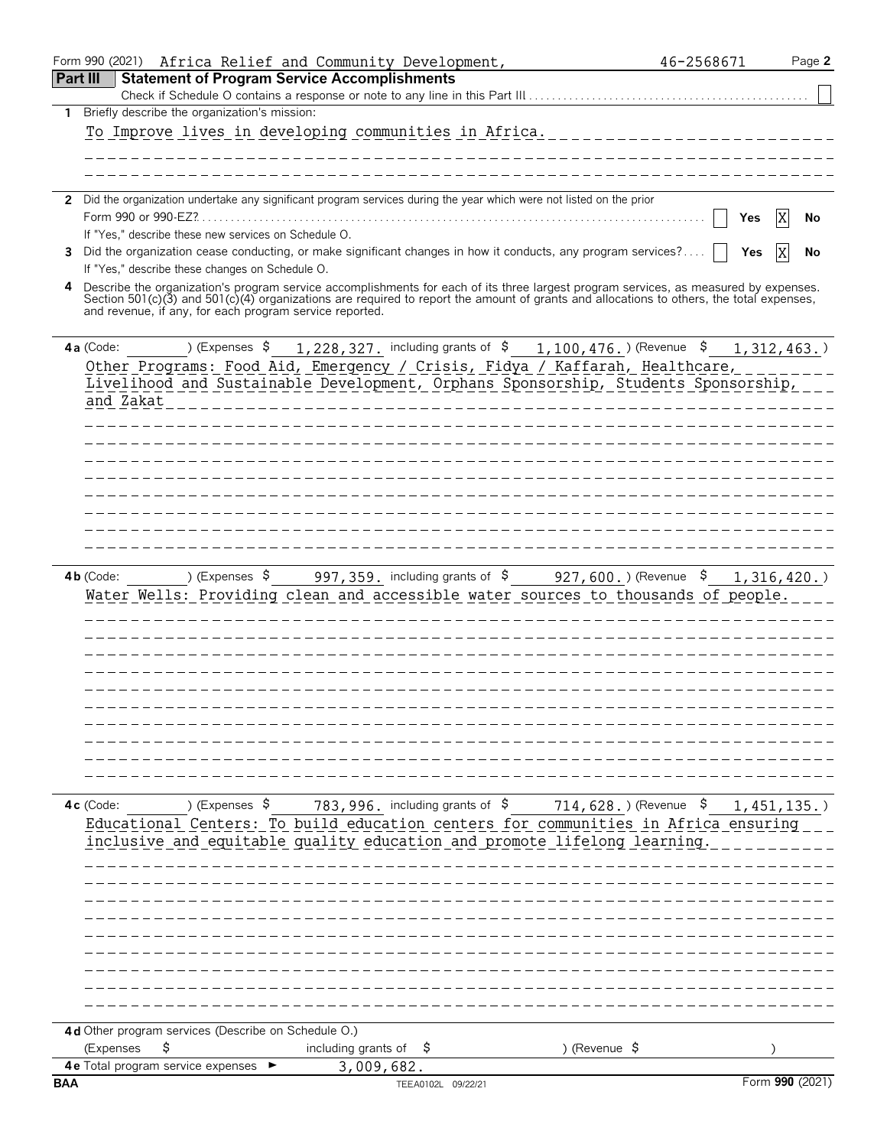|            | Form 990 (2021) Africa Relief and Community Development,                                                                                                                                                                                                                                                                                    | 46-2568671                       | Page 2          |
|------------|---------------------------------------------------------------------------------------------------------------------------------------------------------------------------------------------------------------------------------------------------------------------------------------------------------------------------------------------|----------------------------------|-----------------|
|            | <b>Part III</b><br><b>Statement of Program Service Accomplishments</b>                                                                                                                                                                                                                                                                      |                                  |                 |
|            |                                                                                                                                                                                                                                                                                                                                             |                                  |                 |
| 1.         | Briefly describe the organization's mission:                                                                                                                                                                                                                                                                                                |                                  |                 |
|            | To Improve lives in developing communities in Africa.                                                                                                                                                                                                                                                                                       |                                  |                 |
|            |                                                                                                                                                                                                                                                                                                                                             |                                  |                 |
|            |                                                                                                                                                                                                                                                                                                                                             |                                  |                 |
|            | 2 Did the organization undertake any significant program services during the year which were not listed on the prior                                                                                                                                                                                                                        |                                  |                 |
|            | Form 990 or 990-EZ?                                                                                                                                                                                                                                                                                                                         | Yes                              | X<br>No         |
|            | If "Yes," describe these new services on Schedule O.                                                                                                                                                                                                                                                                                        |                                  |                 |
| 3          | Did the organization cease conducting, or make significant changes in how it conducts, any program services?                                                                                                                                                                                                                                | Yes                              | ΙX<br>No        |
|            | If "Yes," describe these changes on Schedule O.                                                                                                                                                                                                                                                                                             |                                  |                 |
|            | Describe the organization's program service accomplishments for each of its three largest program services, as measured by expenses.<br>Section 501(c)(3) and 501(c)(4) organizations are required to report the amount of grants and allocations to others, the total expenses,<br>and revenue, if any, for each program service reported. |                                  |                 |
|            | ) (Expenses $\frac{1}{228}$ , 327. including grants of $\frac{2}{5}$ 1, 100, 476. ) (Revenue $\frac{2}{5}$<br>4a (Code:                                                                                                                                                                                                                     |                                  | 1,312,463.      |
|            | Other Programs: Food Aid, Emergency / Crisis, Fidya / Kaffarah, Healthcare,                                                                                                                                                                                                                                                                 |                                  |                 |
|            | Livelihood and Sustainable Development, Orphans Sponsorship, Students Sponsorship,<br>and Zakat                                                                                                                                                                                                                                             |                                  |                 |
|            |                                                                                                                                                                                                                                                                                                                                             |                                  |                 |
|            |                                                                                                                                                                                                                                                                                                                                             |                                  |                 |
|            |                                                                                                                                                                                                                                                                                                                                             |                                  |                 |
|            |                                                                                                                                                                                                                                                                                                                                             |                                  |                 |
|            |                                                                                                                                                                                                                                                                                                                                             |                                  |                 |
|            |                                                                                                                                                                                                                                                                                                                                             |                                  |                 |
|            |                                                                                                                                                                                                                                                                                                                                             |                                  |                 |
|            |                                                                                                                                                                                                                                                                                                                                             |                                  |                 |
|            | Water Wells: Providing clean and accessible water sources to thousands of people.                                                                                                                                                                                                                                                           |                                  |                 |
|            |                                                                                                                                                                                                                                                                                                                                             |                                  |                 |
|            | 783, 996. including grants of \$<br>) (Expenses \$<br>$4c$ (Code:<br>Educational Centers: To build education centers for communities in Africa ensuring<br>inclusive and equitable quality education and promote lifelong learning.                                                                                                         | 714,628.)(Revenue \$ 1,451,135.) |                 |
|            |                                                                                                                                                                                                                                                                                                                                             |                                  |                 |
|            |                                                                                                                                                                                                                                                                                                                                             |                                  |                 |
|            |                                                                                                                                                                                                                                                                                                                                             |                                  |                 |
|            | 4d Other program services (Describe on Schedule O.)<br>S<br>including grants of<br>) (Revenue $\sqrt{5}$<br>(Expenses<br>-\$                                                                                                                                                                                                                |                                  |                 |
|            | 4e Total program service expenses<br>3,009,682.                                                                                                                                                                                                                                                                                             |                                  |                 |
| <b>BAA</b> | TEEA0102L 09/22/21                                                                                                                                                                                                                                                                                                                          |                                  | Form 990 (2021) |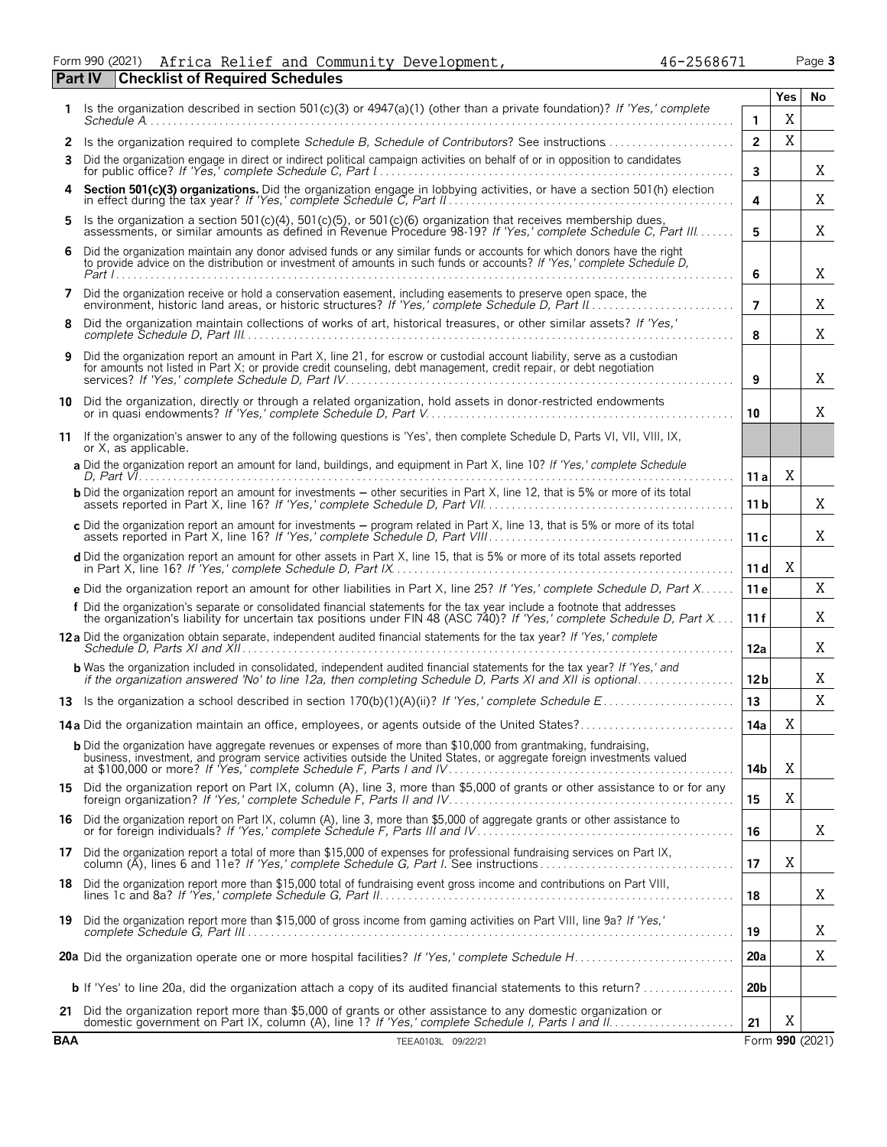|                                                |  |  | Form 990 (2021) Africa Relief and Community Development, | 46-2568671 | Page 3 |
|------------------------------------------------|--|--|----------------------------------------------------------|------------|--------|
| <b>Part IV Checklist of Required Schedules</b> |  |  |                                                          |            |        |

|  | 6-2568671 |  |  |
|--|-----------|--|--|
|  |           |  |  |

|            |                                                                                                                                                                                                                                                              |                 | Yes | No              |
|------------|--------------------------------------------------------------------------------------------------------------------------------------------------------------------------------------------------------------------------------------------------------------|-----------------|-----|-----------------|
|            | Is the organization described in section 501(c)(3) or $4947(a)(1)$ (other than a private foundation)? If 'Yes,' complete                                                                                                                                     | $\mathbf{1}$    | Χ   |                 |
| 2          |                                                                                                                                                                                                                                                              | $\overline{2}$  | X   |                 |
| 3          | Did the organization engage in direct or indirect political campaign activities on behalf of or in opposition to candidates                                                                                                                                  | $\mathbf{3}$    |     | Χ               |
| 4          | Section 501(c)(3) organizations. Did the organization engage in lobbying activities, or have a section 501(h) election                                                                                                                                       | 4               |     | X               |
| 5          | Is the organization a section 501(c)(4), 501(c)(5), or 501(c)(6) organization that receives membership dues,<br>assessments, or similar amounts as defined in Revenue Procedure 98-19? If 'Yes,' complete Schedule C, Part III                               | 5               |     | X               |
| 6          | Did the organization maintain any donor advised funds or any similar funds or accounts for which donors have the right<br>to provide advice on the distribution or investment of amounts in such funds or accounts? If 'Yes,' complete Schedule D,<br>Part I | 6               |     | X               |
| 7          | Did the organization receive or hold a conservation easement, including easements to preserve open space, the<br>environment, historic land areas, or historic structures? If 'Yes,' complete Schedule D, Part II                                            | $\overline{7}$  |     | Χ               |
| 8          | Did the organization maintain collections of works of art, historical treasures, or other similar assets? If 'Yes,'                                                                                                                                          | 8               |     | Χ               |
| 9          | Did the organization report an amount in Part X, line 21, for escrow or custodial account liability, serve as a custodian<br>for amounts not listed in Part X; or provide credit counseling, debt management, credit repair, or debt negotiation             | 9               |     | X               |
|            | 10 Did the organization, directly or through a related organization, hold assets in donor-restricted endowments                                                                                                                                              | 10              |     | X               |
| 11         | If the organization's answer to any of the following questions is 'Yes', then complete Schedule D. Parts VI, VII, VIII, IX,<br>or X, as applicable.                                                                                                          |                 |     |                 |
|            | a Did the organization report an amount for land, buildings, and equipment in Part X, line 10? If 'Yes,' complete Schedule                                                                                                                                   | 11a             | X   |                 |
|            | <b>b</b> Did the organization report an amount for investments – other securities in Part X, line 12, that is 5% or more of its total                                                                                                                        | 11 <sub>b</sub> |     | X               |
|            | c Did the organization report an amount for investments – program related in Part X, line 13, that is 5% or more of its total                                                                                                                                | 11c             |     | X.              |
|            | d Did the organization report an amount for other assets in Part X, line 15, that is 5% or more of its total assets reported                                                                                                                                 | 11 dl           | Χ   |                 |
|            | e Did the organization report an amount for other liabilities in Part X, line 25? If 'Yes,' complete Schedule D, Part X                                                                                                                                      | 11 <sub>e</sub> |     | Χ               |
|            | f Did the organization's separate or consolidated financial statements for the tax year include a footnote that addresses<br>the organization's liability for uncertain tax positions under FIN 48 (ASC 740)? If 'Yes,' complete Schedule D, Part X          | 11f             |     | Χ               |
|            | 12a Did the organization obtain separate, independent audited financial statements for the tax year? If 'Yes,' complete                                                                                                                                      | 12a             |     | Χ               |
|            | <b>b</b> Was the organization included in consolidated, independent audited financial statements for the tax year? If 'Yes,' and<br>if the organization answered 'No' to line 12a, then completing Schedule D, Parts XI and XII is optional                  | 12 <sub>b</sub> |     | Χ               |
|            |                                                                                                                                                                                                                                                              | 13              |     | X               |
|            | 14a Did the organization maintain an office, employees, or agents outside of the United States?                                                                                                                                                              | 14a             | Χ   |                 |
|            | <b>b</b> Did the organization have aggregate revenues or expenses of more than \$10,000 from grantmaking, fundraising,<br>business, investment, and program service activities outside the United States, or aggregate foreign investments valued            | 14b             | Χ   |                 |
|            | 15 Did the organization report on Part IX, column (A), line 3, more than \$5,000 of grants or other assistance to or for any                                                                                                                                 | 15              | X   |                 |
| 16         | Did the organization report on Part IX, column (A), line 3, more than \$5,000 of aggregate grants or other assistance to or for foreign individuals? If 'Yes,' complete Schedule F, Parts III and IV                                                         | 16              |     | Χ               |
|            | 17 Did the organization report a total of more than \$15,000 of expenses for professional fundraising services on Part IX,<br>column (A), lines 6 and 11e? If 'Yes,' complete Schedule G, Part I. See instructions                                           | 17              | X   |                 |
|            | 18 Did the organization report more than \$15,000 total of fundraising event gross income and contributions on Part VIII,                                                                                                                                    | 18              |     | Χ               |
|            | 19 Did the organization report more than \$15,000 of gross income from gaming activities on Part VIII, line 9a? If 'Yes,'                                                                                                                                    | 19              |     | Χ               |
|            |                                                                                                                                                                                                                                                              | 20a             |     | Χ               |
|            | <b>b</b> If 'Yes' to line 20a, did the organization attach a copy of its audited financial statements to this return?                                                                                                                                        | 20b             |     |                 |
| 21         | Did the organization report more than \$5,000 of grants or other assistance to any domestic organization or<br>domestic government on Part IX, column (A), line 1? If 'Yes,' complete Schedule I, Parts I and II.                                            | 21              | Χ   |                 |
| <b>BAA</b> | TEEA0103L 09/22/21                                                                                                                                                                                                                                           |                 |     | Form 990 (2021) |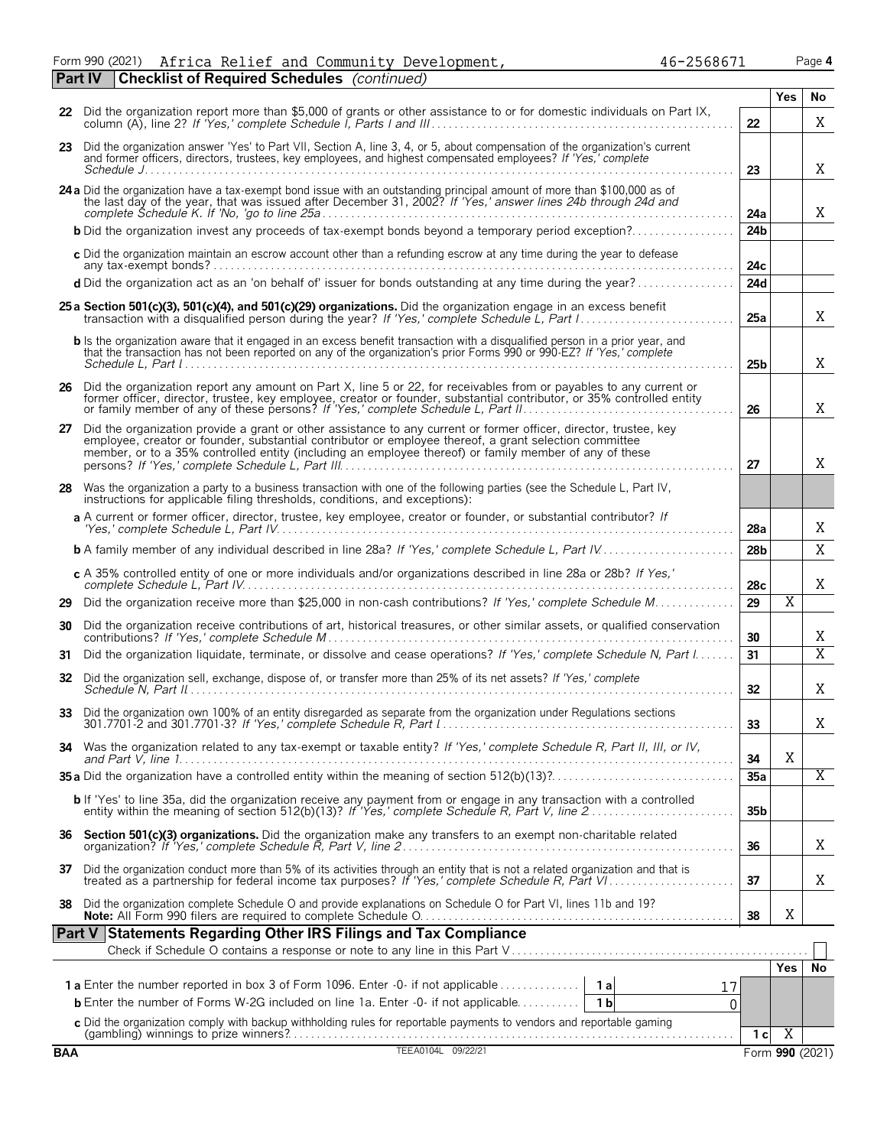Form 990 (2021) Africa Relief and Community Development, 46-2568671 Page **4** Africa Relief and Community Development, 46-2568671

|            | <b>Part IV</b> | <b>Checklist of Required Schedules</b> (continued)                                                                                                                                                                                                                                                                                    |                 |                       |                 |
|------------|----------------|---------------------------------------------------------------------------------------------------------------------------------------------------------------------------------------------------------------------------------------------------------------------------------------------------------------------------------------|-----------------|-----------------------|-----------------|
|            |                |                                                                                                                                                                                                                                                                                                                                       |                 | <b>Yes</b>            | No              |
|            |                | 22 Did the organization report more than \$5,000 of grants or other assistance to or for domestic individuals on Part IX,                                                                                                                                                                                                             | 22              |                       | X               |
|            |                | 23 Did the organization answer 'Yes' to Part VII, Section A, line 3, 4, or 5, about compensation of the organization's current<br>and former officers, directors, trustees, key employees, and highest compensated employees? If 'Yes,' complete                                                                                      | 23              |                       | X               |
|            |                | 24 a Did the organization have a tax-exempt bond issue with an outstanding principal amount of more than \$100,000 as of the last day of the year, that was issued after December 31, 2002? If 'Yes,' answer lines 24b through                                                                                                        | 24a             |                       | X               |
|            |                | <b>b</b> Did the organization invest any proceeds of tax-exempt bonds beyond a temporary period exception?                                                                                                                                                                                                                            | 24 <sub>b</sub> |                       |                 |
|            |                | c Did the organization maintain an escrow account other than a refunding escrow at any time during the year to defease                                                                                                                                                                                                                | 24c             |                       |                 |
|            |                | d Did the organization act as an 'on behalf of' issuer for bonds outstanding at any time during the year?                                                                                                                                                                                                                             | 24d             |                       |                 |
|            |                | 25 a Section 501(c)(3), 501(c)(4), and 501(c)(29) organizations. Did the organization engage in an excess benefit                                                                                                                                                                                                                     | 25a             |                       | X               |
|            |                | <b>b</b> Is the organization aware that it engaged in an excess benefit transaction with a disqualified person in a prior year, and<br>that the transaction has not been reported on any of the organization's prior Forms 990 or 990-EZ? If 'Yes,' complete                                                                          | 25 <sub>b</sub> |                       | X               |
|            |                | 26 Did the organization report any amount on Part X, line 5 or 22, for receivables from or payables to any current or former officer, director, trustee, key employee, creator or founder, substantial contributor, or 35% con                                                                                                        | 26              |                       | Χ               |
| 27         |                | Did the organization provide a grant or other assistance to any current or former officer, director, trustee, key<br>employee, creator or founder, substantial contributor or employee thereof, a grant selection committee<br>member, or to a 35% controlled entity (including an employee thereof) or family member of any of these | 27              |                       | Χ               |
|            |                | 28 Was the organization a party to a business transaction with one of the following parties (see the Schedule L, Part IV,<br>instructions for applicable filing thresholds, conditions, and exceptions):                                                                                                                              |                 |                       |                 |
|            |                | a A current or former officer, director, trustee, key employee, creator or founder, or substantial contributor? If                                                                                                                                                                                                                    | 28a             |                       | Χ               |
|            |                | <b>b</b> A family member of any individual described in line 28a? If 'Yes,' complete Schedule L, Part IV                                                                                                                                                                                                                              | 28 <sub>b</sub> |                       | X               |
|            |                | c A 35% controlled entity of one or more individuals and/or organizations described in line 28a or 28b? If Yes,'                                                                                                                                                                                                                      | 28c             |                       | Χ               |
|            |                | 29 Did the organization receive more than \$25,000 in non-cash contributions? If 'Yes,' complete Schedule M                                                                                                                                                                                                                           | 29              | $\overline{\text{X}}$ |                 |
| 30         |                | Did the organization receive contributions of art, historical treasures, or other similar assets, or qualified conservation                                                                                                                                                                                                           | 30              |                       | Χ               |
| 31         |                | Did the organization liquidate, terminate, or dissolve and cease operations? If 'Yes,' complete Schedule N, Part I                                                                                                                                                                                                                    | 31              |                       | $\overline{X}$  |
| 32         |                | Did the organization sell, exchange, dispose of, or transfer more than 25% of its net assets? If 'Yes,' complete                                                                                                                                                                                                                      | 32              |                       | Χ               |
| 33         |                | Did the organization own 100% of an entity disregarded as separate from the organization under Regulations sections                                                                                                                                                                                                                   | 33              |                       | Χ               |
|            |                | 34 Was the organization related to any tax-exempt or taxable entity? If 'Yes,' complete Schedule R, Part II, III, or IV,                                                                                                                                                                                                              | 34              | X                     |                 |
|            |                |                                                                                                                                                                                                                                                                                                                                       | 35a             |                       | Χ               |
|            |                | <b>b</b> If 'Yes' to line 35a, did the organization receive any payment from or engage in any transaction with a controlled entity within the meaning of section 512(b)(13)? If 'Yes,' complete Schedule R, Part V, line 2                                                                                                            | 35 <sub>b</sub> |                       |                 |
|            |                |                                                                                                                                                                                                                                                                                                                                       | 36              |                       | Χ               |
|            |                | 37 Did the organization conduct more than 5% of its activities through an entity that is not a related organization and that is treated as a partnership for federal income tax purposes? If 'Yes,' complete Schedule R, Part                                                                                                         | 37              |                       | Χ               |
| 38         |                | Did the organization complete Schedule O and provide explanations on Schedule O for Part VI, lines 11b and 19?                                                                                                                                                                                                                        | 38              | X                     |                 |
|            |                | Part V Statements Regarding Other IRS Filings and Tax Compliance                                                                                                                                                                                                                                                                      |                 |                       |                 |
|            |                |                                                                                                                                                                                                                                                                                                                                       |                 | Yes                   | No              |
|            |                | 17                                                                                                                                                                                                                                                                                                                                    |                 |                       |                 |
|            |                | <b>b</b> Enter the number of Forms W-2G included on line 1a. Enter -0- if not applicable<br>1 <sub>b</sub><br>$\Omega$                                                                                                                                                                                                                |                 |                       |                 |
|            |                |                                                                                                                                                                                                                                                                                                                                       |                 |                       |                 |
| <b>BAA</b> |                | TEEA0104L 09/22/21                                                                                                                                                                                                                                                                                                                    | 1 <sub>c</sub>  | $\overline{X}$        | Form 990 (2021) |
|            |                |                                                                                                                                                                                                                                                                                                                                       |                 |                       |                 |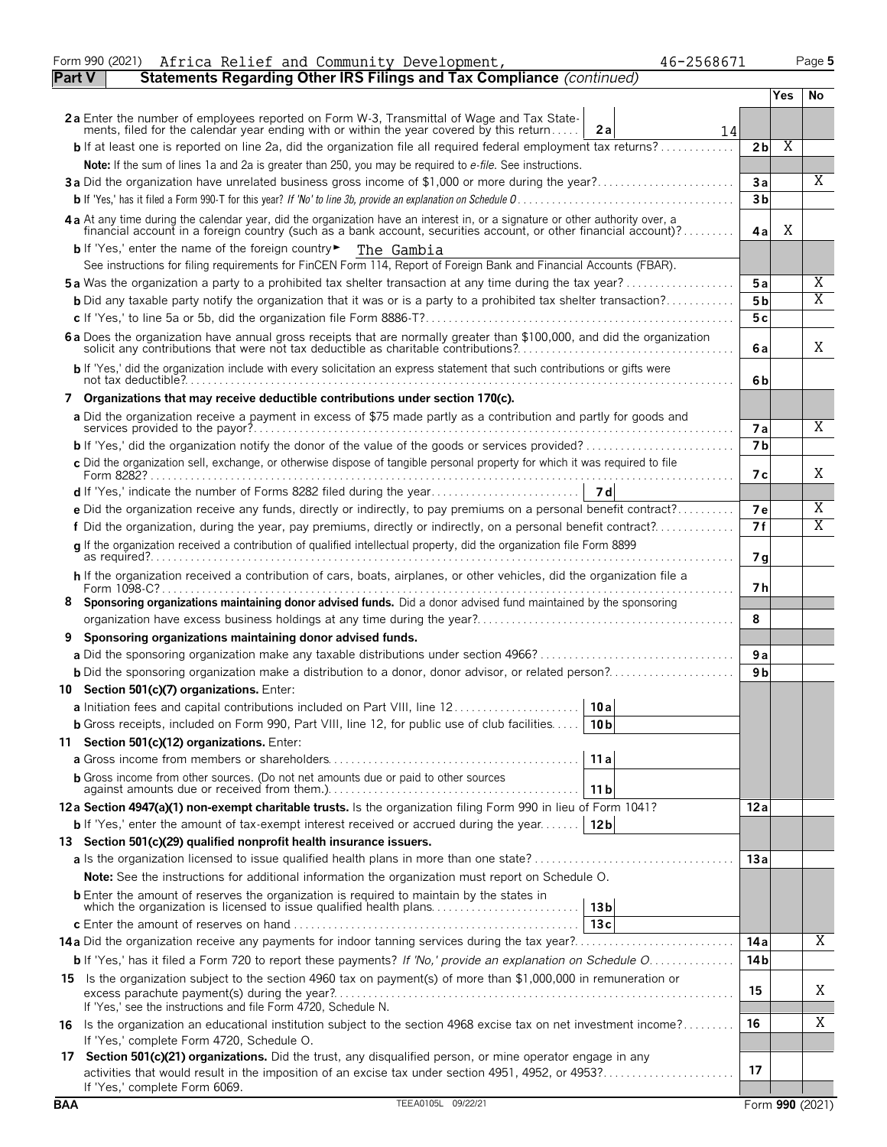|        | Africa Relief and Community Development,<br>46-2568671<br>Form 990 (2021)                                                                                                                                                                          |                       |     | Page 5 |
|--------|----------------------------------------------------------------------------------------------------------------------------------------------------------------------------------------------------------------------------------------------------|-----------------------|-----|--------|
| Part V | Statements Regarding Other IRS Filings and Tax Compliance (continued)                                                                                                                                                                              |                       |     |        |
|        |                                                                                                                                                                                                                                                    |                       | Yes | No     |
|        | 2a Enter the number of employees reported on Form W-3, Transmittal of Wage and Tax Statements, filed for the calendar year ending with or within the year covered by this return                                                                   |                       |     |        |
|        | 2a<br>14                                                                                                                                                                                                                                           |                       |     |        |
|        | <b>b</b> If at least one is reported on line 2a, did the organization file all required federal employment tax returns?                                                                                                                            | 2 <sub>b</sub>        | Χ   |        |
|        | Note: If the sum of lines 1a and 2a is greater than 250, you may be required to e-file. See instructions.                                                                                                                                          |                       |     |        |
|        | 3a Did the organization have unrelated business gross income of \$1,000 or more during the year?                                                                                                                                                   | 3a                    |     | Χ      |
|        |                                                                                                                                                                                                                                                    | 3 <sub>b</sub>        |     |        |
|        | 4 a At any time during the calendar year, did the organization have an interest in, or a signature or other authority over, a financial account in a foreign country (such as a bank account, securities account, or other fin                     | 4al                   | X   |        |
|        | b If 'Yes,' enter the name of the foreign country <b>F</b> The Gambia                                                                                                                                                                              |                       |     |        |
|        | See instructions for filing requirements for FinCEN Form 114, Report of Foreign Bank and Financial Accounts (FBAR).                                                                                                                                |                       |     |        |
|        | <b>5a</b> Was the organization a party to a prohibited tax shelter transaction at any time during the tax year?                                                                                                                                    | 5a                    |     | Χ      |
|        | <b>b</b> Did any taxable party notify the organization that it was or is a party to a prohibited tax shelter transaction?                                                                                                                          | 5 <sub>b</sub>        |     | Χ      |
|        |                                                                                                                                                                                                                                                    | 5c                    |     |        |
|        | 6 a Does the organization have annual gross receipts that are normally greater than \$100,000, and did the organization solicit any contributions that were not tax deductible as charitable contributions?                                        | 6 a                   |     | X      |
|        | b If 'Yes,' did the organization include with every solicitation an express statement that such contributions or gifts were                                                                                                                        |                       |     |        |
|        | 7 Organizations that may receive deductible contributions under section 170(c).                                                                                                                                                                    | 6b                    |     |        |
|        | a Did the organization receive a payment in excess of \$75 made partly as a contribution and partly for goods and                                                                                                                                  |                       |     |        |
|        |                                                                                                                                                                                                                                                    | 7a                    |     | Χ      |
|        |                                                                                                                                                                                                                                                    | 7 <sub>b</sub>        |     |        |
|        | c Did the organization sell, exchange, or otherwise dispose of tangible personal property for which it was required to file                                                                                                                        |                       |     |        |
|        |                                                                                                                                                                                                                                                    | 7 с                   |     | Χ      |
|        |                                                                                                                                                                                                                                                    |                       |     |        |
|        | e Did the organization receive any funds, directly or indirectly, to pay premiums on a personal benefit contract?                                                                                                                                  | <b>7e</b>             |     | Χ      |
|        | f Did the organization, during the year, pay premiums, directly or indirectly, on a personal benefit contract?                                                                                                                                     | 7f                    |     | Χ      |
|        | q If the organization received a contribution of qualified intellectual property, did the organization file Form 8899                                                                                                                              | 7 g                   |     |        |
|        | h If the organization received a contribution of cars, boats, airplanes, or other vehicles, did the organization file a                                                                                                                            |                       |     |        |
|        |                                                                                                                                                                                                                                                    | 7 h                   |     |        |
|        | 8 Sponsoring organizations maintaining donor advised funds. Did a donor advised fund maintained by the sponsoring                                                                                                                                  | 8                     |     |        |
|        |                                                                                                                                                                                                                                                    |                       |     |        |
|        | Sponsoring organizations maintaining donor advised funds.                                                                                                                                                                                          |                       |     |        |
|        |                                                                                                                                                                                                                                                    | 9 a<br>9 <sub>b</sub> |     |        |
|        |                                                                                                                                                                                                                                                    |                       |     |        |
|        | 10 Section 501(c)(7) organizations. Enter:                                                                                                                                                                                                         |                       |     |        |
|        | 10a <br>a Initiation fees and capital contributions included on Part VIII, line 12                                                                                                                                                                 |                       |     |        |
|        | <b>b</b> Gross receipts, included on Form 990, Part VIII, line 12, for public use of club facilities<br>10 <sub>b</sub>                                                                                                                            |                       |     |        |
|        | 11 Section 501(c)(12) organizations. Enter:                                                                                                                                                                                                        |                       |     |        |
|        | 11a                                                                                                                                                                                                                                                |                       |     |        |
|        | <b>b</b> Gross income from other sources. (Do not net amounts due or paid to other sources<br>11 b                                                                                                                                                 |                       |     |        |
|        | 12a Section 4947(a)(1) non-exempt charitable trusts. Is the organization filing Form 990 in lieu of Form 1041?                                                                                                                                     | 12a                   |     |        |
|        | <b>b</b> If 'Yes,' enter the amount of tax-exempt interest received or accrued during the year<br>12 <sub>b</sub>                                                                                                                                  |                       |     |        |
|        | 13 Section 501(c)(29) qualified nonprofit health insurance issuers.                                                                                                                                                                                |                       |     |        |
|        |                                                                                                                                                                                                                                                    | 13a                   |     |        |
|        | <b>Note:</b> See the instructions for additional information the organization must report on Schedule O.                                                                                                                                           |                       |     |        |
|        | <b>b</b> Enter the amount of reserves the organization is required to maintain by the states in<br>which the organization is licensed to issue qualified health plans<br>13 <sub>b</sub>                                                           |                       |     |        |
|        | 13c                                                                                                                                                                                                                                                |                       |     |        |
|        |                                                                                                                                                                                                                                                    | 14 a                  |     | Χ      |
|        | <b>b</b> If 'Yes,' has it filed a Form 720 to report these payments? If 'No,' provide an explanation on Schedule $0, \ldots, \ldots, \ldots$                                                                                                       | 14 <sub>b</sub>       |     |        |
|        | 15 Is the organization subject to the section 4960 tax on payment(s) of more than \$1,000,000 in remuneration or                                                                                                                                   |                       |     |        |
|        | If 'Yes,' see the instructions and file Form 4720, Schedule N.                                                                                                                                                                                     | 15                    |     | Χ      |
|        | 16 Is the organization an educational institution subject to the section 4968 excise tax on net investment income?                                                                                                                                 | 16                    |     | Χ      |
|        | If 'Yes,' complete Form 4720, Schedule O.                                                                                                                                                                                                          |                       |     |        |
|        | 17 Section 501(c)(21) organizations. Did the trust, any disqualified person, or mine operator engage in any<br>activities that would result in the imposition of an excise tax under section 4951, 4952, or 4953?<br>If 'Yes,' complete Form 6069. | 17                    |     |        |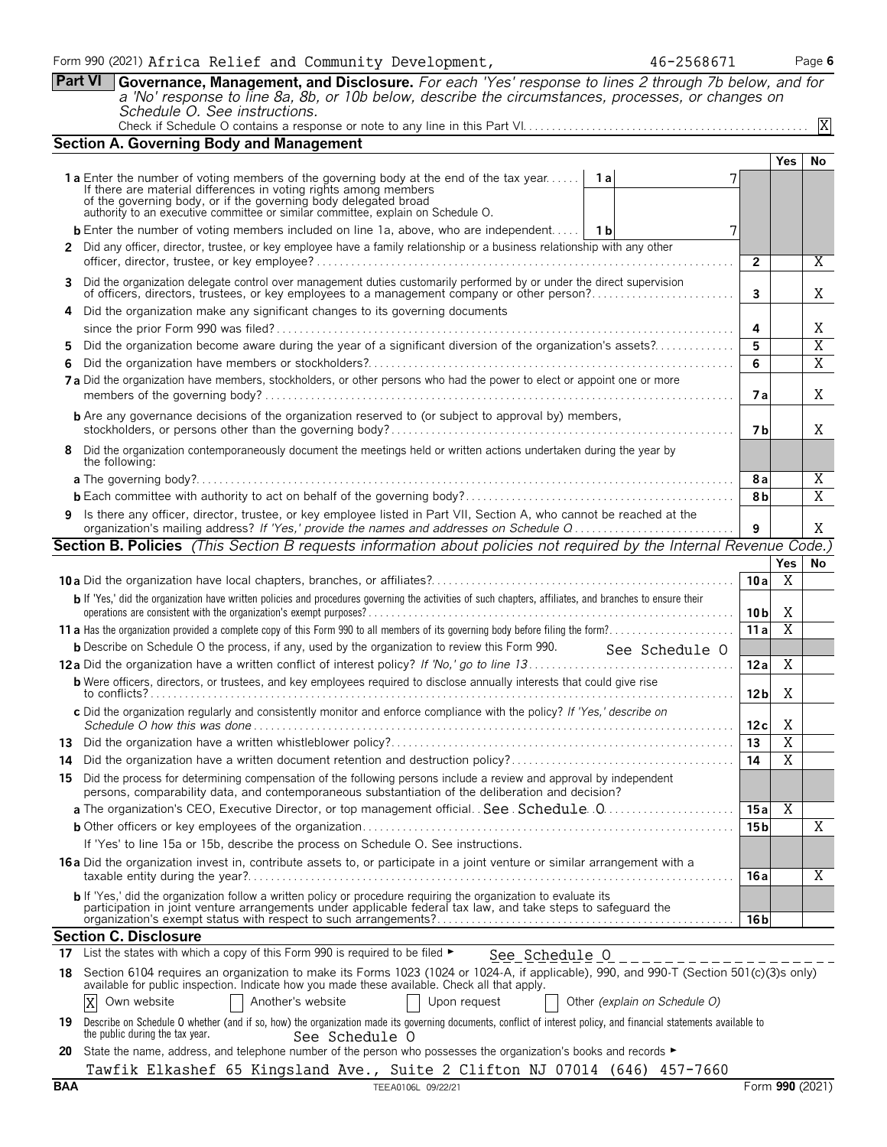**Part VI Governance, Management, and Disclosure.** *For each 'Yes' response to lines 2 through 7b below, and for a 'No' response to line 8a, 8b, or 10b below, describe the circumstances, processes, or changes on Schedule O. See instructions.*

|--|--|

|    | <b>Section A. Governing Body and Management</b>                                                                                                                                                                                   |                        |                     |                |  |  |  |  |
|----|-----------------------------------------------------------------------------------------------------------------------------------------------------------------------------------------------------------------------------------|------------------------|---------------------|----------------|--|--|--|--|
|    |                                                                                                                                                                                                                                   |                        | Yes                 | No             |  |  |  |  |
|    | <b>1a</b> Enter the number of voting members of the governing body at the end of the tax year<br>1 a                                                                                                                              |                        |                     |                |  |  |  |  |
|    | If there are material differences in voting rights among members<br>of the governing body, or if the governing body delegated broad<br>authority to an executive committee or similar committee, explain on Schedule O.           |                        |                     |                |  |  |  |  |
|    |                                                                                                                                                                                                                                   |                        |                     |                |  |  |  |  |
|    | <b>b</b> Enter the number of voting members included on line 1a, above, who are independent   1b<br>7                                                                                                                             |                        |                     |                |  |  |  |  |
|    | 2 Did any officer, director, trustee, or key employee have a family relationship or a business relationship with any other                                                                                                        |                        |                     |                |  |  |  |  |
|    | 3 Did the organization delegate control over management duties customarily performed by or under the direct supervision                                                                                                           |                        |                     | Χ              |  |  |  |  |
|    |                                                                                                                                                                                                                                   | 3                      |                     | X              |  |  |  |  |
|    | 4 Did the organization make any significant changes to its governing documents                                                                                                                                                    |                        |                     |                |  |  |  |  |
|    |                                                                                                                                                                                                                                   | 4                      |                     | Χ              |  |  |  |  |
| 5. | Did the organization become aware during the year of a significant diversion of the organization's assets?                                                                                                                        | 5                      |                     | $\overline{X}$ |  |  |  |  |
| 6. |                                                                                                                                                                                                                                   | 6                      |                     | $\overline{X}$ |  |  |  |  |
|    | 7 a Did the organization have members, stockholders, or other persons who had the power to elect or appoint one or more                                                                                                           | 7 a                    |                     | X              |  |  |  |  |
|    | <b>b</b> Are any governance decisions of the organization reserved to (or subject to approval by) members,                                                                                                                        |                        |                     |                |  |  |  |  |
|    |                                                                                                                                                                                                                                   | 7 b                    |                     | X              |  |  |  |  |
|    | 8 Did the organization contemporaneously document the meetings held or written actions undertaken during the year by<br>the following:                                                                                            |                        |                     |                |  |  |  |  |
|    |                                                                                                                                                                                                                                   | 8а                     |                     | X              |  |  |  |  |
|    |                                                                                                                                                                                                                                   | 8b                     |                     | $\overline{X}$ |  |  |  |  |
|    | 9 Is there any officer, director, trustee, or key employee listed in Part VII, Section A, who cannot be reached at the<br>organization's mailing address? If 'Yes,' provide the names and addresses on Schedule Q                 | 9                      |                     | X              |  |  |  |  |
|    | <b>Section B. Policies</b> (This Section B requests information about policies not required by the Internal Revenue Code.)                                                                                                        |                        |                     |                |  |  |  |  |
|    |                                                                                                                                                                                                                                   |                        | Yes                 | No             |  |  |  |  |
|    |                                                                                                                                                                                                                                   | 10a                    | X                   |                |  |  |  |  |
|    | b If 'Yes,' did the organization have written policies and procedures governing the activities of such chapters, affiliates, and branches to ensure their                                                                         |                        |                     |                |  |  |  |  |
|    |                                                                                                                                                                                                                                   | 10 <sub>b</sub><br>11a | X<br>$\overline{X}$ |                |  |  |  |  |
|    | <b>b</b> Describe on Schedule O the process, if any, used by the organization to review this Form 990.<br>See Schedule O                                                                                                          |                        |                     |                |  |  |  |  |
|    |                                                                                                                                                                                                                                   | 12a                    | X                   |                |  |  |  |  |
|    | <b>b</b> Were officers, directors, or trustees, and key employees required to disclose annually interests that could give rise                                                                                                    |                        |                     |                |  |  |  |  |
|    |                                                                                                                                                                                                                                   | 12 <sub>b</sub>        | Χ                   |                |  |  |  |  |
|    | c Did the organization regularly and consistently monitor and enforce compliance with the policy? If 'Yes,' describe on                                                                                                           | 12c                    | X                   |                |  |  |  |  |
|    |                                                                                                                                                                                                                                   | 13                     | $\overline{X}$      |                |  |  |  |  |
| 14 |                                                                                                                                                                                                                                   | 14                     | $\overline{X}$      |                |  |  |  |  |
|    | 15 Did the process for determining compensation of the following persons include a review and approval by independent<br>persons, comparability data, and contemporaneous substantiation of the deliberation and decision?        |                        |                     |                |  |  |  |  |
|    |                                                                                                                                                                                                                                   | 15 a                   | Χ                   |                |  |  |  |  |
|    |                                                                                                                                                                                                                                   | 15 <sub>b</sub>        |                     | X              |  |  |  |  |
|    | If 'Yes' to line 15a or 15b, describe the process on Schedule O. See instructions.                                                                                                                                                |                        |                     |                |  |  |  |  |
|    | 16 a Did the organization invest in, contribute assets to, or participate in a joint venture or similar arrangement with a                                                                                                        | 16 a                   |                     | X              |  |  |  |  |
|    | b If 'Yes,' did the organization follow a written policy or procedure requiring the organization to evaluate its<br>participation in joint venture arrangements under applicable federal tax law, and take steps to safeguard the | 16 <sub>b</sub>        |                     |                |  |  |  |  |
|    | <b>Section C. Disclosure</b>                                                                                                                                                                                                      |                        |                     |                |  |  |  |  |
|    | 17 List the states with which a copy of this Form 990 is required to be filed $\blacktriangleright$<br>See Schedule 0                                                                                                             |                        |                     |                |  |  |  |  |
|    | 18 Section 6104 requires an organization to make its Forms 1023 (1024 or 1024-A, if applicable), 990, and 990-T (Section 501(c)(3)s only)                                                                                         |                        |                     |                |  |  |  |  |
|    | available for public inspection. Indicate how you made these available. Check all that apply.<br>Another's website<br>Other (explain on Schedule O)<br>X<br>Own website<br>Upon request                                           |                        |                     |                |  |  |  |  |
|    | 19 Describe on Schedule O whether (and if so, how) the organization made its governing documents, conflict of interest policy, and financial statements available to<br>the public during the tax year.<br>See Schedule O         |                        |                     |                |  |  |  |  |
|    | 20 State the name, address, and telephone number of the person who possesses the organization's books and records ►                                                                                                               |                        |                     |                |  |  |  |  |
|    | Tawfik Elkashef 65 Kingsland Ave., Suite 2 Clifton NJ 07014 (646) 457-7660                                                                                                                                                        |                        |                     |                |  |  |  |  |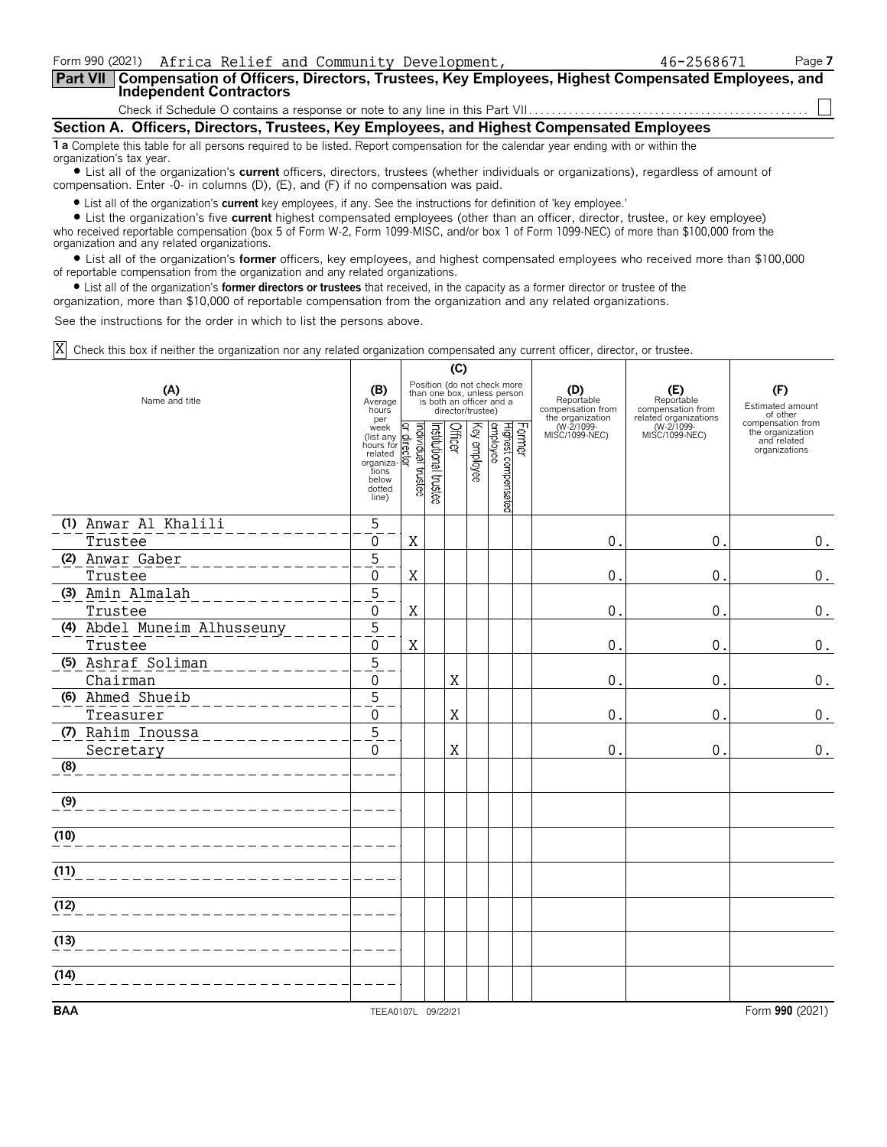| Form 990 (2021) Africa Relief and Community Development,                                                                                                              | 46-2568671 | Page 7 |
|-----------------------------------------------------------------------------------------------------------------------------------------------------------------------|------------|--------|
| Part VII   Compensation of Officers, Directors, Trustees, Key Employees, Highest Compensated Employees, and<br><b>Independent Contractors</b>                         |            |        |
|                                                                                                                                                                       |            |        |
| Section A. Officers, Directors, Trustees, Key Employees, and Highest Compensated Employees                                                                            |            |        |
| <b>1 a</b> Complete this table for all persons required to be listed. Report compensation for the calendar year ending with or within the<br>organization's tax year. |            |        |
| I ist all of the organization's current officers, directors, trustees (whether individuals or organizations), regardless of amount of                                 |            |        |

uais or organizations), regardiess of amount of compensation. Enter -0- in columns (D), (E), and (F) if no compensation was paid.

? List all of the organization's **current** key employees, if any. See the instructions for definition of 'key employee.'

? List the organization's five **current** highest compensated employees (other than an officer, director, trustee, or key employee) who received reportable compensation (box 5 of Form W-2, Form 1099-MISC, and/or box 1 of Form 1099-NEC) of more than \$100,000 from the organization and any related organizations.

? List all of the organization's **former** officers, key employees, and highest compensated employees who received more than \$100,000 of reportable compensation from the organization and any related organizations.

? List all of the organization's **former directors or trustees** that received, in the capacity as a former director or trustee of the

organization, more than \$10,000 of reportable compensation from the organization and any related organizations.

See the instructions for the order in which to list the persons above.

Check this box if neither the organization nor any related organization compensated any current officer, director, or trustee. X

|                                |                                                                                                                                                 | (C)                                                                                                         |                       |         |              |                                 |        |                                                            |                                                                 |                                                                       |
|--------------------------------|-------------------------------------------------------------------------------------------------------------------------------------------------|-------------------------------------------------------------------------------------------------------------|-----------------------|---------|--------------|---------------------------------|--------|------------------------------------------------------------|-----------------------------------------------------------------|-----------------------------------------------------------------------|
| (A)<br>Name and title          | (B)<br>Average<br>hours<br>per                                                                                                                  | Position (do not check more<br>than one box, unless person<br>is both an officer and a<br>director/trustee) |                       |         |              |                                 |        | (D)<br>Reportable<br>compensation from<br>the organization | (E)<br>Reportable<br>compensation from<br>related organizations | (F)<br>Estimated amount<br>of other                                   |
|                                | per<br>(list any derivative)<br>(list any derivative)<br>hours for related<br>reganiza-<br>tions<br>below<br>dotted<br>line)<br>(line)<br>line) |                                                                                                             | Institutional trustee | Officer | Key employee | Highest compensated<br>employee | Former | (W-2/1099-<br>MISC/1099-NEC)                               | (W-2/1099-<br>MISC/1099-NEC)                                    | compensation from<br>the organization<br>and related<br>organizations |
| (1) Anwar Al Khalili           | 5                                                                                                                                               |                                                                                                             |                       |         |              |                                 |        |                                                            |                                                                 |                                                                       |
| Trustee                        | 0<br>$\overline{5}$                                                                                                                             | X                                                                                                           |                       |         |              |                                 |        | $\Omega$                                                   | 0.                                                              | 0.                                                                    |
| (2) Anwar Gaber<br>Trustee     | 0                                                                                                                                               | X                                                                                                           |                       |         |              |                                 |        | 0                                                          | $0$ .                                                           | 0.                                                                    |
| (3) Amin Almalah               | $\overline{5}$                                                                                                                                  |                                                                                                             |                       |         |              |                                 |        |                                                            |                                                                 |                                                                       |
| Trustee                        | 0                                                                                                                                               | X                                                                                                           |                       |         |              |                                 |        | 0                                                          | 0.                                                              | 0.                                                                    |
| (4) Abdel Muneim Alhusseuny    | $\overline{5}$                                                                                                                                  |                                                                                                             |                       |         |              |                                 |        |                                                            |                                                                 |                                                                       |
| Trustee                        | $\mathbf 0$                                                                                                                                     | $\rm X$                                                                                                     |                       |         |              |                                 |        | 0                                                          | 0.                                                              | 0.                                                                    |
| (5) Ashraf Soliman<br>Chairman | $\overline{5}$<br>$\mathbf 0$                                                                                                                   |                                                                                                             |                       | X       |              |                                 |        | 0                                                          | 0.                                                              | 0.                                                                    |
| (6) Ahmed Shueib               | $\overline{5}$                                                                                                                                  |                                                                                                             |                       |         |              |                                 |        |                                                            |                                                                 |                                                                       |
| Treasurer                      | $\Omega$                                                                                                                                        |                                                                                                             |                       | X       |              |                                 |        | 0                                                          | 0.                                                              | 0.                                                                    |
| (7) Rahim Inoussa<br>Secretary | $\overline{5}$<br>$\Omega$                                                                                                                      |                                                                                                             |                       | X       |              |                                 |        | 0                                                          | 0.                                                              | $0$ .                                                                 |
| (8)                            |                                                                                                                                                 |                                                                                                             |                       |         |              |                                 |        |                                                            |                                                                 |                                                                       |
| (9)                            |                                                                                                                                                 |                                                                                                             |                       |         |              |                                 |        |                                                            |                                                                 |                                                                       |
| (10)                           |                                                                                                                                                 |                                                                                                             |                       |         |              |                                 |        |                                                            |                                                                 |                                                                       |
| (11)                           |                                                                                                                                                 |                                                                                                             |                       |         |              |                                 |        |                                                            |                                                                 |                                                                       |
| (12)                           |                                                                                                                                                 |                                                                                                             |                       |         |              |                                 |        |                                                            |                                                                 |                                                                       |
| (13)                           |                                                                                                                                                 |                                                                                                             |                       |         |              |                                 |        |                                                            |                                                                 |                                                                       |
| (14)                           |                                                                                                                                                 |                                                                                                             |                       |         |              |                                 |        |                                                            |                                                                 |                                                                       |
| <b>BAA</b>                     | TEEA0107L 09/22/21                                                                                                                              |                                                                                                             |                       |         |              |                                 |        |                                                            |                                                                 | Form 990 (2021)                                                       |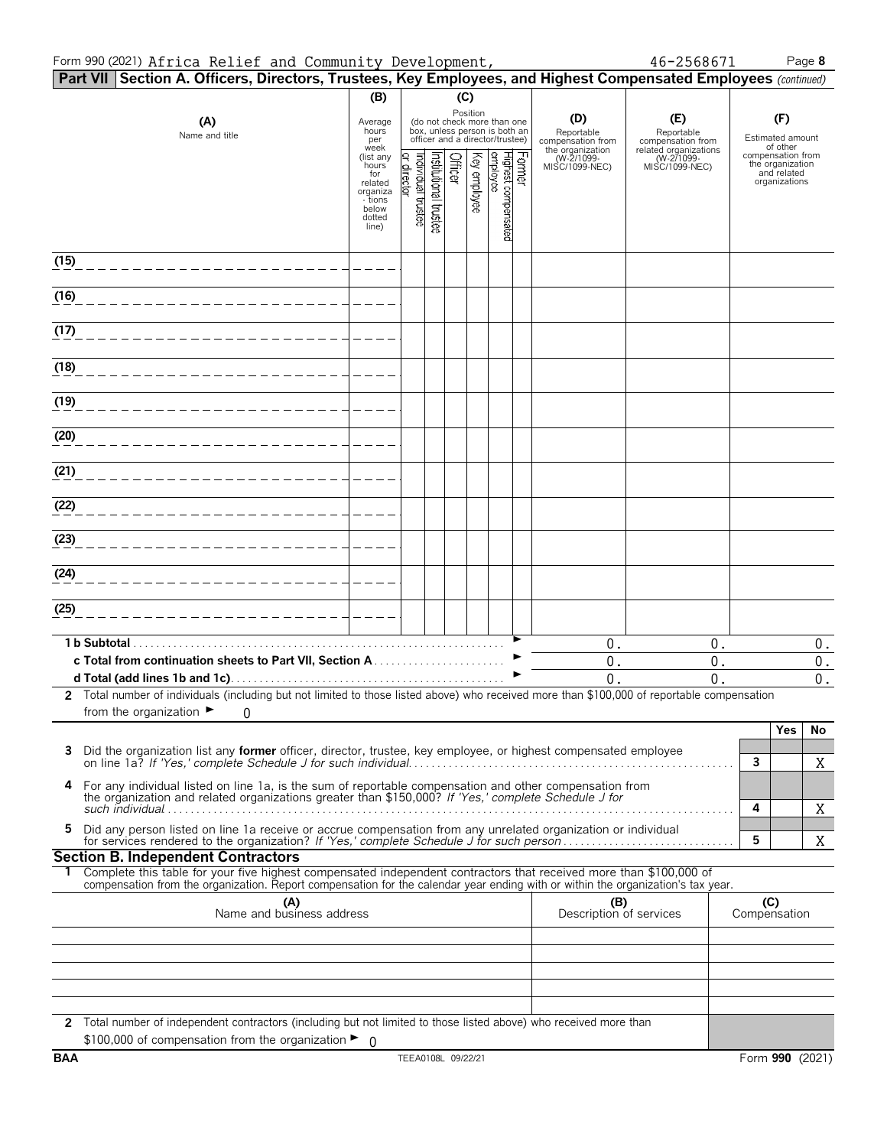#### Form 990 (2021) Page **8** Africa Relief and Community Development, 46-2568671

|  | 46-2568671 |  |
|--|------------|--|
|  |            |  |

|      | Part VII Section A. Officers, Directors, Trustees, Key Employees, and Highest Compensated Employees (continued)                                                                                                                                        |                                 |                               |                      |         |              |                                                                                                             |                                                            |                                                                 |                                                      |          |
|------|--------------------------------------------------------------------------------------------------------------------------------------------------------------------------------------------------------------------------------------------------------|---------------------------------|-------------------------------|----------------------|---------|--------------|-------------------------------------------------------------------------------------------------------------|------------------------------------------------------------|-----------------------------------------------------------------|------------------------------------------------------|----------|
|      |                                                                                                                                                                                                                                                        | (B)                             |                               |                      | (C)     |              |                                                                                                             |                                                            |                                                                 |                                                      |          |
|      | (A)<br>Name and title                                                                                                                                                                                                                                  | Average<br>hours<br>per<br>week |                               |                      |         |              | Position<br>(do not check more than one<br>box, unless person is both an<br>officer and a director/trustee) | (D)<br>Reportable<br>compensation from<br>the organization | (E)<br>Reportable<br>compensation from<br>related organizations | (F)<br>Estimated amount<br>of other                  |          |
|      |                                                                                                                                                                                                                                                        | (list any<br>hours<br>for       |                               |                      | Officer | Key employee | Former<br> Highest compensated<br> employee                                                                 | (W-2/1099-<br>MISC/1099-NEC)                               | (W-2/1099-<br>MISC/1099-NEC)                                    | compensation from<br>the organization<br>and related |          |
|      |                                                                                                                                                                                                                                                        | related<br>organiza             | ndividual trustee<br>director | nstitutional trustee |         |              |                                                                                                             |                                                            |                                                                 | organizations                                        |          |
|      |                                                                                                                                                                                                                                                        | - tions<br>below<br>dotted      |                               |                      |         |              |                                                                                                             |                                                            |                                                                 |                                                      |          |
|      |                                                                                                                                                                                                                                                        | line)                           |                               |                      |         |              |                                                                                                             |                                                            |                                                                 |                                                      |          |
| (15) |                                                                                                                                                                                                                                                        |                                 |                               |                      |         |              |                                                                                                             |                                                            |                                                                 |                                                      |          |
| (16) |                                                                                                                                                                                                                                                        |                                 |                               |                      |         |              |                                                                                                             |                                                            |                                                                 |                                                      |          |
| (17) |                                                                                                                                                                                                                                                        |                                 |                               |                      |         |              |                                                                                                             |                                                            |                                                                 |                                                      |          |
| (18) |                                                                                                                                                                                                                                                        |                                 |                               |                      |         |              |                                                                                                             |                                                            |                                                                 |                                                      |          |
| (19) |                                                                                                                                                                                                                                                        |                                 |                               |                      |         |              |                                                                                                             |                                                            |                                                                 |                                                      |          |
|      |                                                                                                                                                                                                                                                        |                                 |                               |                      |         |              |                                                                                                             |                                                            |                                                                 |                                                      |          |
| (20) |                                                                                                                                                                                                                                                        |                                 |                               |                      |         |              |                                                                                                             |                                                            |                                                                 |                                                      |          |
| (21) |                                                                                                                                                                                                                                                        |                                 |                               |                      |         |              |                                                                                                             |                                                            |                                                                 |                                                      |          |
| (22) |                                                                                                                                                                                                                                                        |                                 |                               |                      |         |              |                                                                                                             |                                                            |                                                                 |                                                      |          |
| (23) |                                                                                                                                                                                                                                                        |                                 |                               |                      |         |              |                                                                                                             |                                                            |                                                                 |                                                      |          |
| (24) |                                                                                                                                                                                                                                                        |                                 |                               |                      |         |              |                                                                                                             |                                                            |                                                                 |                                                      |          |
| (25) |                                                                                                                                                                                                                                                        |                                 |                               |                      |         |              |                                                                                                             |                                                            |                                                                 |                                                      |          |
|      |                                                                                                                                                                                                                                                        |                                 |                               |                      |         |              |                                                                                                             |                                                            |                                                                 |                                                      |          |
|      | 1 b Subtotal.                                                                                                                                                                                                                                          |                                 |                               |                      |         |              |                                                                                                             | 0.                                                         | 0.                                                              |                                                      | 0.       |
|      |                                                                                                                                                                                                                                                        |                                 |                               |                      |         |              |                                                                                                             | 0.<br>$\overline{0}$ .                                     | $0$ .<br>0.                                                     |                                                      | 0.<br>0. |
|      | 2 Total number of individuals (including but not limited to those listed above) who received more than \$100,000 of reportable compensation                                                                                                            |                                 |                               |                      |         |              |                                                                                                             |                                                            |                                                                 |                                                      |          |
|      | from the organization $\blacktriangleright$<br>0                                                                                                                                                                                                       |                                 |                               |                      |         |              |                                                                                                             |                                                            |                                                                 |                                                      |          |
|      |                                                                                                                                                                                                                                                        |                                 |                               |                      |         |              |                                                                                                             |                                                            |                                                                 | Yes                                                  | No       |
| 3    | Did the organization list any former officer, director, trustee, key employee, or highest compensated employee                                                                                                                                         |                                 |                               |                      |         |              |                                                                                                             |                                                            |                                                                 | 3                                                    | X        |
| 4    | For any individual listed on line 1a, is the sum of reportable compensation and other compensation from                                                                                                                                                |                                 |                               |                      |         |              |                                                                                                             |                                                            |                                                                 |                                                      |          |
|      | the organization and related organizations greater than \$150,000? If 'Yes,' complete Schedule J for                                                                                                                                                   |                                 |                               |                      |         |              |                                                                                                             |                                                            |                                                                 | 4                                                    | Χ        |
| 5    | Did any person listed on line 1a receive or accrue compensation from any unrelated organization or individual                                                                                                                                          |                                 |                               |                      |         |              |                                                                                                             |                                                            |                                                                 | 5                                                    | X        |
|      | <b>Section B. Independent Contractors</b>                                                                                                                                                                                                              |                                 |                               |                      |         |              |                                                                                                             |                                                            |                                                                 |                                                      |          |
|      | Complete this table for your five highest compensated independent contractors that received more than \$100,000 of<br>compensation from the organization. Report compensation for the calendar year ending with or within the organization's tax year. |                                 |                               |                      |         |              |                                                                                                             |                                                            |                                                                 |                                                      |          |
|      | (A)<br>Name and business address                                                                                                                                                                                                                       |                                 |                               |                      |         |              |                                                                                                             | (B)<br>Description of services                             |                                                                 | (C)<br>Compensation                                  |          |
|      |                                                                                                                                                                                                                                                        |                                 |                               |                      |         |              |                                                                                                             |                                                            |                                                                 |                                                      |          |
|      |                                                                                                                                                                                                                                                        |                                 |                               |                      |         |              |                                                                                                             |                                                            |                                                                 |                                                      |          |
|      |                                                                                                                                                                                                                                                        |                                 |                               |                      |         |              |                                                                                                             |                                                            |                                                                 |                                                      |          |
|      |                                                                                                                                                                                                                                                        |                                 |                               |                      |         |              |                                                                                                             |                                                            |                                                                 |                                                      |          |
|      | 2 Total number of independent contractors (including but not limited to those listed above) who received more than<br>\$100,000 of compensation from the organization $\blacktriangleright$ 0                                                          |                                 |                               |                      |         |              |                                                                                                             |                                                            |                                                                 |                                                      |          |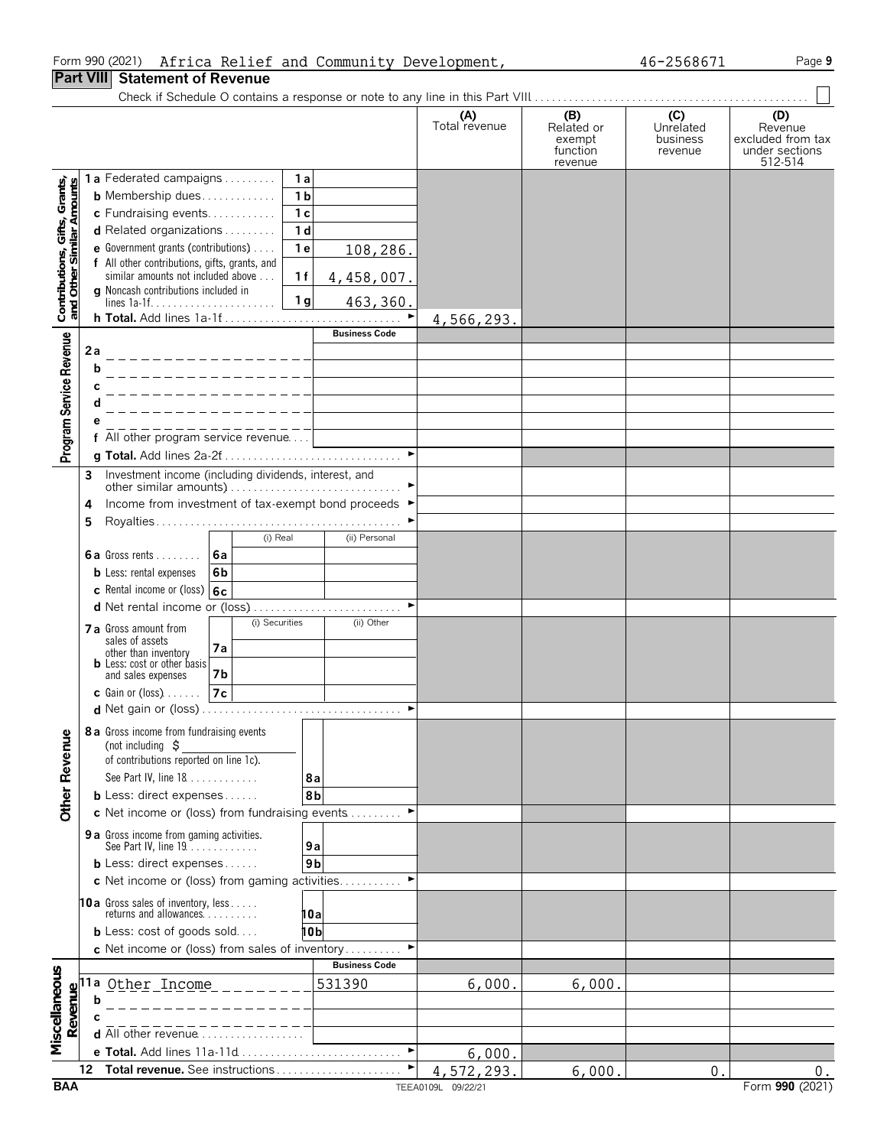#### Form 990 (2021) Africa Relief and Community Development, 46-2568671 Page **9**

#### **Part VIII Statement of Revenue**

Check if Schedule O contains a response or note to any line in this Part VIII. . . . . . . . . . . . . . . . . . . . . . . . . . . . . . . . . . . . . . . . . . . . . . . . .

|                               |                           |      |                                                                         |                |                |                |                       | (A)<br>Total revenue | (B)<br>Related or<br>exempt<br>function<br>revenue | (C)<br>Unrelated<br>business<br>revenue | (D)<br>Revenue<br>excluded from tax<br>under sections<br>512-514 |
|-------------------------------|---------------------------|------|-------------------------------------------------------------------------|----------------|----------------|----------------|-----------------------|----------------------|----------------------------------------------------|-----------------------------------------|------------------------------------------------------------------|
|                               |                           |      | 1a Federated campaigns                                                  |                |                | 1 a            |                       |                      |                                                    |                                         |                                                                  |
|                               |                           |      | <b>b</b> Membership dues                                                |                |                | 1 <sub>b</sub> |                       |                      |                                                    |                                         |                                                                  |
|                               |                           |      | c Fundraising events                                                    |                |                | 1 <sub>c</sub> |                       |                      |                                                    |                                         |                                                                  |
|                               |                           |      | d Related organizations                                                 |                |                | 1 <sub>d</sub> |                       |                      |                                                    |                                         |                                                                  |
|                               |                           |      | e Government grants (contributions)                                     |                |                | 1e             | 108,286.              |                      |                                                    |                                         |                                                                  |
|                               |                           |      | f All other contributions, gifts, grants, and                           |                |                |                |                       |                      |                                                    |                                         |                                                                  |
|                               |                           |      | similar amounts not included above                                      |                |                | 1f             | 4,458,007.            |                      |                                                    |                                         |                                                                  |
| Contributions, Gifts, Grants, | and Other Similar Amounts |      | <b>g</b> Noncash contributions included in                              |                |                | 1 <sub>g</sub> | 463,360.              |                      |                                                    |                                         |                                                                  |
|                               |                           |      | h Total. Add lines 1a-1f                                                |                |                |                | $\blacktriangleright$ | 4,566,293.           |                                                    |                                         |                                                                  |
|                               |                           |      |                                                                         |                |                |                | <b>Business Code</b>  |                      |                                                    |                                         |                                                                  |
|                               |                           | 2a   |                                                                         |                |                |                |                       |                      |                                                    |                                         |                                                                  |
|                               |                           | b    |                                                                         |                |                |                |                       |                      |                                                    |                                         |                                                                  |
|                               |                           |      |                                                                         |                |                |                |                       |                      |                                                    |                                         |                                                                  |
|                               |                           |      |                                                                         |                |                |                |                       |                      |                                                    |                                         |                                                                  |
|                               |                           |      |                                                                         |                |                |                |                       |                      |                                                    |                                         |                                                                  |
| Program Service Revenue       |                           |      | f All other program service revenue                                     |                |                |                |                       |                      |                                                    |                                         |                                                                  |
|                               |                           |      |                                                                         |                |                |                | $\blacktriangleright$ |                      |                                                    |                                         |                                                                  |
|                               |                           | 3    | Investment income (including dividends, interest, and                   |                |                |                |                       |                      |                                                    |                                         |                                                                  |
|                               |                           |      |                                                                         |                |                |                |                       |                      |                                                    |                                         |                                                                  |
|                               |                           | 4    | Income from investment of tax-exempt bond proceeds ▶                    |                |                |                |                       |                      |                                                    |                                         |                                                                  |
|                               |                           | 5    |                                                                         |                |                |                |                       |                      |                                                    |                                         |                                                                  |
|                               |                           |      | 6a Gross rents $6a$                                                     |                | (i) Real       |                | (ii) Personal         |                      |                                                    |                                         |                                                                  |
|                               |                           |      |                                                                         | 6 <sub>b</sub> |                |                |                       |                      |                                                    |                                         |                                                                  |
|                               |                           |      | <b>b</b> Less: rental expenses<br><b>c</b> Rental income or (loss) $6c$ |                |                |                |                       |                      |                                                    |                                         |                                                                  |
|                               |                           |      | d Net rental income or (loss)                                           |                |                |                | $\blacktriangleright$ |                      |                                                    |                                         |                                                                  |
|                               |                           |      |                                                                         |                | (i) Securities |                | (ii) Other            |                      |                                                    |                                         |                                                                  |
|                               |                           |      | <b>7 a</b> Gross amount from<br>sales of assets                         |                |                |                |                       |                      |                                                    |                                         |                                                                  |
|                               |                           |      | other than inventory                                                    | 7а             |                |                |                       |                      |                                                    |                                         |                                                                  |
|                               |                           |      | <b>b</b> Less: cost or other basis<br>and sales expenses                | 7b             |                |                |                       |                      |                                                    |                                         |                                                                  |
|                               |                           |      | $c$ Gain or (loss)                                                      | 7c             |                |                |                       |                      |                                                    |                                         |                                                                  |
|                               |                           |      |                                                                         |                |                |                | $\blacktriangleright$ |                      |                                                    |                                         |                                                                  |
|                               |                           |      | 8 a Gross income from fundraising events                                |                |                |                |                       |                      |                                                    |                                         |                                                                  |
|                               |                           |      | (not including $\zeta$                                                  |                |                |                |                       |                      |                                                    |                                         |                                                                  |
|                               |                           |      | of contributions reported on line 1c).                                  |                |                |                |                       |                      |                                                    |                                         |                                                                  |
| <b>Other Revenue</b>          |                           |      | See Part IV, line 18                                                    |                |                |                | 8а                    |                      |                                                    |                                         |                                                                  |
|                               |                           |      | <b>b</b> Less: direct expenses                                          |                |                |                | 8b                    |                      |                                                    |                                         |                                                                  |
|                               |                           |      | c Net income or (loss) from fundraising events                          |                |                |                |                       |                      |                                                    |                                         |                                                                  |
|                               |                           |      | <b>9 a</b> Gross income from gaming activities.<br>See Part IV, line 19 |                |                |                |                       |                      |                                                    |                                         |                                                                  |
|                               |                           |      |                                                                         |                |                |                | 9а                    |                      |                                                    |                                         |                                                                  |
|                               |                           |      | <b>b</b> Less: direct expenses                                          |                |                |                | 9 <sub>b</sub>        |                      |                                                    |                                         |                                                                  |
|                               |                           |      | c Net income or (loss) from gaming activities                           |                |                |                |                       |                      |                                                    |                                         |                                                                  |
|                               |                           |      | 10a Gross sales of inventory, less<br>returns and allowances            |                |                |                |                       |                      |                                                    |                                         |                                                                  |
|                               |                           |      |                                                                         |                |                |                | 10a                   |                      |                                                    |                                         |                                                                  |
|                               |                           |      | <b>b</b> Less: cost of goods sold                                       |                |                |                | 10b                   |                      |                                                    |                                         |                                                                  |
|                               |                           |      | c Net income or (loss) from sales of inventory                          |                |                |                | <b>Business Code</b>  |                      |                                                    |                                         |                                                                  |
| Miscellaneous                 |                           | 11 a |                                                                         |                |                |                | 531390                |                      |                                                    |                                         |                                                                  |
|                               | Revenue                   | b    | Other Income                                                            |                |                |                |                       | 6,000.               | 6,000.                                             |                                         |                                                                  |
|                               |                           |      |                                                                         |                |                |                |                       |                      |                                                    |                                         |                                                                  |
|                               |                           |      | d All other revenue                                                     |                |                |                |                       |                      |                                                    |                                         |                                                                  |
|                               |                           |      |                                                                         |                |                |                | $\blacktriangleright$ | 6,000.               |                                                    |                                         |                                                                  |
|                               |                           | 12   | Total revenue. See instructions                                         |                |                |                |                       | 4,572,293.           | 6,000.                                             | 0.                                      | $0$ .                                                            |
|                               |                           |      |                                                                         |                |                |                |                       |                      |                                                    |                                         |                                                                  |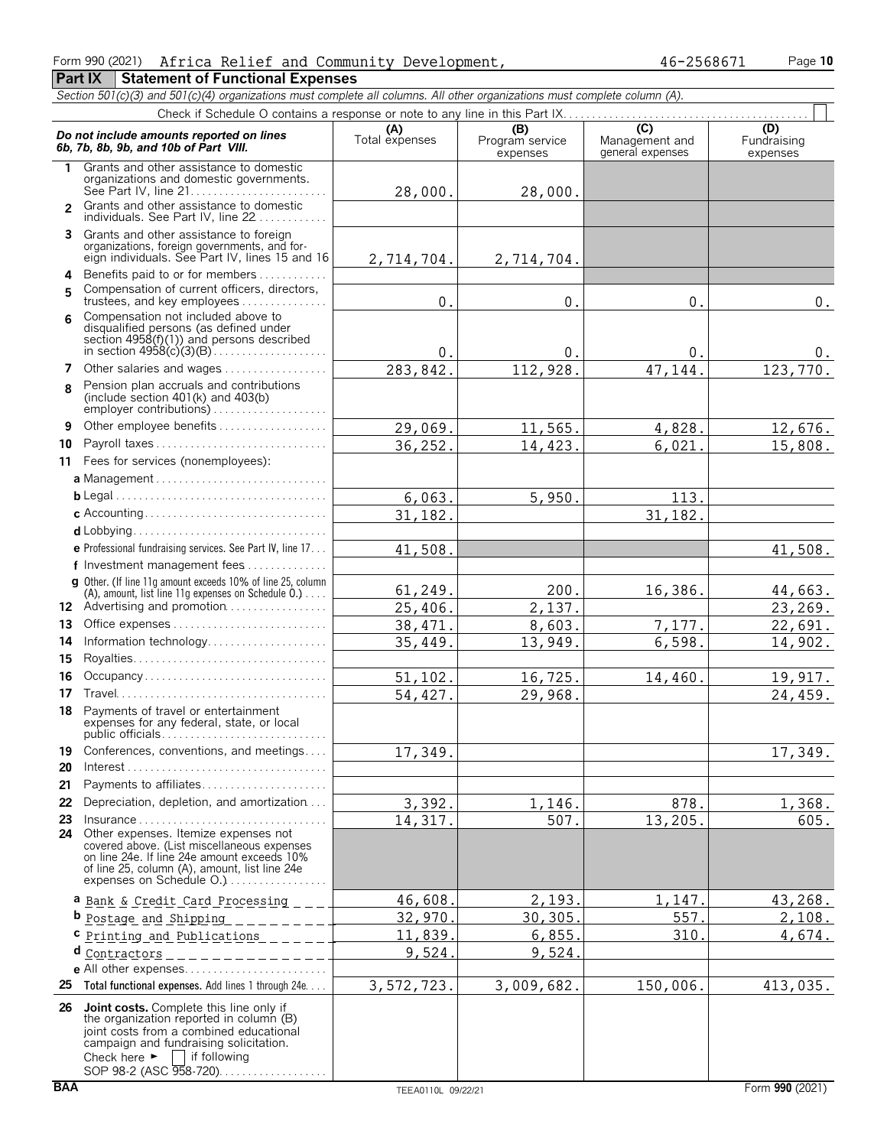#### Form 990 (2021) Page **10** Africa Relief and Community Development, 46-2568671

**Part IX** Statement of Functional Expenses

*Section 501(c)(3) and 501(c)(4) organizations must complete all columns. All other organizations must complete column (A).* Check if Schedule O contains a response or note to any line in this Part IX.

|                | Do not include amounts reported on lines<br>6b, 7b, 8b, 9b, and 10b of Part VIII.                                                                                                                                                                            | (A)<br>Total expenses | (B)<br>Program service<br>expenses | $\overline{C}$<br>Management and<br>general expenses | (D)<br>Fundraising<br>expenses |
|----------------|--------------------------------------------------------------------------------------------------------------------------------------------------------------------------------------------------------------------------------------------------------------|-----------------------|------------------------------------|------------------------------------------------------|--------------------------------|
| 1.             | Grants and other assistance to domestic<br>organizations and domestic governments.                                                                                                                                                                           | 28,000.               | 28,000.                            |                                                      |                                |
| $\overline{2}$ | Grants and other assistance to domestic<br>individuals. See Part IV, line 22                                                                                                                                                                                 |                       |                                    |                                                      |                                |
|                | 3 Grants and other assistance to foreign<br>organizations, foreign governments, and for-<br>eign individuals. See Part IV, lines 15 and 16                                                                                                                   |                       |                                    |                                                      |                                |
|                |                                                                                                                                                                                                                                                              | 2,714,704.            | 2,714,704.                         |                                                      |                                |
|                | 4 Benefits paid to or for members<br>Compensation of current officers, directors,                                                                                                                                                                            |                       |                                    |                                                      |                                |
| 5              | trustees, and key employees                                                                                                                                                                                                                                  | 0.                    | $0$ .                              | 0.                                                   | $0$ .                          |
| 6              | Compensation not included above to<br>disqualified persons (as defined under<br>section 4958(f)(1)) and persons described                                                                                                                                    |                       |                                    |                                                      |                                |
|                |                                                                                                                                                                                                                                                              | 0.                    | 0.                                 | 0.                                                   | υ.                             |
| 7              | Other salaries and wages                                                                                                                                                                                                                                     | 283,842.              | 112,928.                           | 47,144.                                              | 123,770.                       |
| 8              | Pension plan accruals and contributions<br>(include section 401(k) and 403(b)<br>employer contributions)                                                                                                                                                     |                       |                                    |                                                      |                                |
| 9              | Other employee benefits                                                                                                                                                                                                                                      | 29,069.               | 11,565.                            | 4,828.                                               | 12,676.                        |
| 10             | Payroll taxes                                                                                                                                                                                                                                                | 36,252.               | 14,423.                            | 6,021.                                               | 15,808.                        |
|                | 11 Fees for services (nonemployees):                                                                                                                                                                                                                         |                       |                                    |                                                      |                                |
|                |                                                                                                                                                                                                                                                              |                       |                                    |                                                      |                                |
|                |                                                                                                                                                                                                                                                              | 6,063.                | 5,950.                             | 113.                                                 |                                |
|                |                                                                                                                                                                                                                                                              | 31, 182.              |                                    | 31,182.                                              |                                |
|                |                                                                                                                                                                                                                                                              |                       |                                    |                                                      |                                |
|                | e Professional fundraising services. See Part IV, line 17                                                                                                                                                                                                    | 41,508.               |                                    |                                                      | 41,508.                        |
|                | f Investment management fees                                                                                                                                                                                                                                 |                       |                                    |                                                      |                                |
|                | g Other. (If line 11q amount exceeds 10% of line 25, column                                                                                                                                                                                                  | 61,249.               | 200.                               | 16,386.                                              |                                |
|                | (A), amount, list line 11g expenses on Schedule 0.)<br>12 Advertising and promotion                                                                                                                                                                          | 25,406.               | 2,137.                             |                                                      | 44,663.<br>23,269.             |
| 13             |                                                                                                                                                                                                                                                              | 38,471                | 8,603.                             | 7,177.                                               | 22,691.                        |
| 14             | Information technology                                                                                                                                                                                                                                       | 35,449                | 13,949.                            | 6,598.                                               | 14,902.                        |
| 15             |                                                                                                                                                                                                                                                              |                       |                                    |                                                      |                                |
| 16             | Occupancy                                                                                                                                                                                                                                                    | 51, 102.              | $\overline{1}$ 6, 725.             | 14,460.                                              | 19,917.                        |
| 17             |                                                                                                                                                                                                                                                              | 54,427.               | 29,968.                            |                                                      | 24,459.                        |
|                | 18 Payments of travel or entertainment<br>expenses for any federal, state, or local                                                                                                                                                                          |                       |                                    |                                                      |                                |
|                | 19 Conferences, conventions, and meetings                                                                                                                                                                                                                    | 17,349.               |                                    |                                                      | 17,349.                        |
| 20             | $Interest \dots \dots \dots \dots \dots \dots \dots \dots \dots \dots \dots \dots \dots$                                                                                                                                                                     |                       |                                    |                                                      |                                |
| 21             | Payments to affiliates                                                                                                                                                                                                                                       |                       |                                    |                                                      |                                |
| 22             | Depreciation, depletion, and amortization                                                                                                                                                                                                                    | 3,392.                | 1,146.                             | 878.                                                 | 1,368.                         |
| 23             | $insurance \ldots \ldots \ldots \ldots \ldots \ldots \ldots \ldots \ldots \ldots$                                                                                                                                                                            | 14,317.               | 507.                               | 13,205.                                              | 605.                           |
|                | 24 Other expenses. Itemize expenses not<br>covered above. (List miscellaneous expenses<br>on line 24e. If line 24e amount exceeds 10%<br>of line 25, column (A), amount, list line 24e<br>expenses on Schedule O.)                                           |                       |                                    |                                                      |                                |
|                | a Bank & Credit Card Processing ___                                                                                                                                                                                                                          | 46,608.               | 2,193.                             | 1,147                                                | 43, 268.                       |
|                | <b>b</b> <u>Postage</u> and Shipping                                                                                                                                                                                                                         | 32,970.               | 30, 305.                           | 557.                                                 | 2,108.                         |
|                | C Printing and Publications _____                                                                                                                                                                                                                            | 11,839.               | 6,855.                             | 310.                                                 | 4,674.                         |
| d              |                                                                                                                                                                                                                                                              | 9,524                 | 9,524                              |                                                      |                                |
|                |                                                                                                                                                                                                                                                              |                       |                                    |                                                      |                                |
| 25             | Total functional expenses. Add lines 1 through 24e                                                                                                                                                                                                           | 3,572,723.            | 3,009,682.                         | 150,006.                                             | 413,035.                       |
|                | 26 Joint costs. Complete this line only if<br>the organization reported in column (B)<br>joint costs from a combined educational<br>campaign and fundraising solicitation.<br>Check here $\blacktriangleright$<br>    if following<br>SOP 98-2 (ASC 958-720) |                       |                                    |                                                      |                                |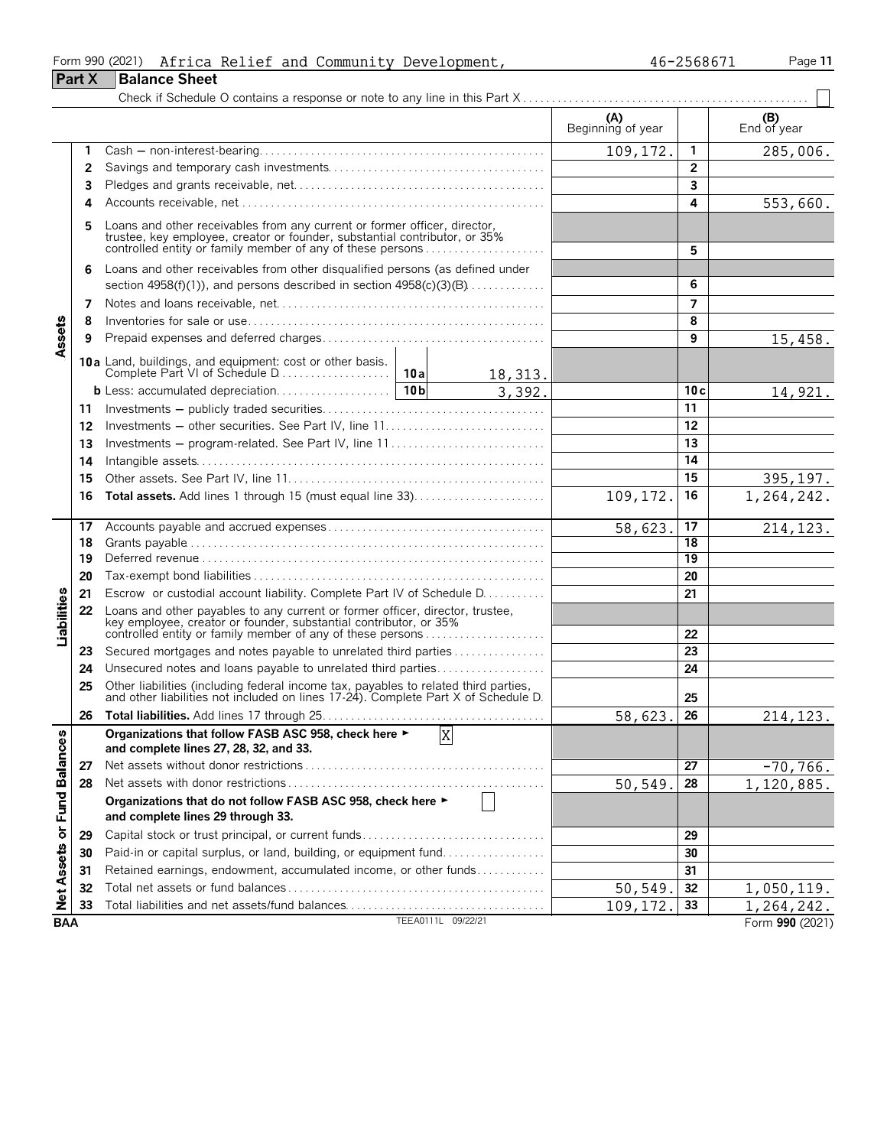|                             |               | Form 990 (2021)<br>Africa Relief and Community Development,                                                                                                                                                      |                |         |                          | 46-2568671      | Page 11                  |  |  |  |
|-----------------------------|---------------|------------------------------------------------------------------------------------------------------------------------------------------------------------------------------------------------------------------|----------------|---------|--------------------------|-----------------|--------------------------|--|--|--|
|                             | <b>Part X</b> | <b>Balance Sheet</b>                                                                                                                                                                                             |                |         |                          |                 |                          |  |  |  |
|                             |               |                                                                                                                                                                                                                  |                |         |                          |                 |                          |  |  |  |
|                             |               |                                                                                                                                                                                                                  |                |         | (A)<br>Beginning of year |                 | (B)<br>End of year       |  |  |  |
|                             | 1             |                                                                                                                                                                                                                  |                |         | 109,172.                 | 1               | 285,006.                 |  |  |  |
|                             | 2             |                                                                                                                                                                                                                  |                |         |                          | $\overline{2}$  |                          |  |  |  |
|                             | 3             |                                                                                                                                                                                                                  |                |         |                          | 3               |                          |  |  |  |
|                             | 4             |                                                                                                                                                                                                                  |                |         |                          | 4               | 553,660.                 |  |  |  |
|                             | 5             | Loans and other receivables from any current or former officer, director, trustee, key employee, creator or founder, substantial contributor, or 35% controlled entity or family member of any of these persons  |                |         |                          | 5               |                          |  |  |  |
|                             | 6             | Loans and other receivables from other disqualified persons (as defined under                                                                                                                                    |                |         |                          |                 |                          |  |  |  |
|                             |               | section $4958(f)(1)$ , and persons described in section $4958(c)(3)(B)$                                                                                                                                          |                |         |                          | 6               |                          |  |  |  |
|                             | 7             |                                                                                                                                                                                                                  |                |         |                          | 7               |                          |  |  |  |
| Assets                      | 8             |                                                                                                                                                                                                                  |                |         |                          | 8               |                          |  |  |  |
|                             | 9             |                                                                                                                                                                                                                  |                |         |                          | 9               | 15,458.                  |  |  |  |
|                             |               |                                                                                                                                                                                                                  |                |         |                          |                 |                          |  |  |  |
|                             |               |                                                                                                                                                                                                                  |                | 18,313. |                          |                 |                          |  |  |  |
|                             |               |                                                                                                                                                                                                                  |                | 3,392.  |                          | 10c             | 14,921.                  |  |  |  |
|                             | 11            |                                                                                                                                                                                                                  |                |         |                          | 11              |                          |  |  |  |
|                             | 12            |                                                                                                                                                                                                                  |                |         |                          | 12              |                          |  |  |  |
|                             | 13            | Investments – program-related. See Part IV, line 11                                                                                                                                                              |                |         |                          | 13<br>14        |                          |  |  |  |
|                             | 14            |                                                                                                                                                                                                                  |                |         |                          |                 |                          |  |  |  |
|                             | 15            |                                                                                                                                                                                                                  |                |         |                          | 15              | 395, 197.                |  |  |  |
|                             | 16            |                                                                                                                                                                                                                  |                |         | 109,172.                 | 16              | 1,264,242.               |  |  |  |
|                             | 17            |                                                                                                                                                                                                                  |                |         | 58,623.                  | 17              | 214, 123.                |  |  |  |
|                             | 18            |                                                                                                                                                                                                                  |                |         |                          | 18              |                          |  |  |  |
|                             | 19            |                                                                                                                                                                                                                  |                |         |                          | $\overline{19}$ |                          |  |  |  |
|                             | 20            |                                                                                                                                                                                                                  |                |         |                          | 20              |                          |  |  |  |
|                             | 21            | Escrow or custodial account liability. Complete Part IV of Schedule D.                                                                                                                                           |                |         |                          | 21              |                          |  |  |  |
| Liabilities                 | 22            | Loans and other payables to any current or former officer, director, trustee,<br>key employee, creator or founder, substantial contributor, or 35%<br>controlled entity or family member of any of these persons |                |         |                          | 22              |                          |  |  |  |
|                             | 23            | Secured mortgages and notes payable to unrelated third parties                                                                                                                                                   |                |         |                          | 23              |                          |  |  |  |
|                             | 24            | Unsecured notes and loans payable to unrelated third parties                                                                                                                                                     |                |         |                          | 24              |                          |  |  |  |
|                             | 25            | Other liabilities (including federal income tax, payables to related third parties, and other liabilities not included on lines 17-24). Complete Part X of Schedule D.                                           |                |         |                          | 25              |                          |  |  |  |
|                             | 26            |                                                                                                                                                                                                                  |                |         | 58,623.                  | 26              | 214, 123.                |  |  |  |
|                             |               | Organizations that follow FASB ASC 958, check here ►<br>and complete lines 27, 28, 32, and 33.                                                                                                                   | $\overline{X}$ |         |                          |                 |                          |  |  |  |
|                             | 27            |                                                                                                                                                                                                                  |                |         |                          | 27              | $-70, 766.$              |  |  |  |
|                             | 28            |                                                                                                                                                                                                                  |                |         | 50,549.                  | 28              | 1,120,885.               |  |  |  |
| Net Assets or Fund Balances |               | Organizations that do not follow FASB ASC 958, check here ►<br>and complete lines 29 through 33.                                                                                                                 |                |         |                          |                 |                          |  |  |  |
|                             | 29            |                                                                                                                                                                                                                  |                |         |                          | 29              |                          |  |  |  |
|                             | 30            | Paid-in or capital surplus, or land, building, or equipment fund                                                                                                                                                 |                |         |                          | 30              |                          |  |  |  |
|                             | 31            | Retained earnings, endowment, accumulated income, or other funds                                                                                                                                                 |                |         |                          | 31              |                          |  |  |  |
|                             |               |                                                                                                                                                                                                                  |                |         |                          | 32              |                          |  |  |  |
|                             |               |                                                                                                                                                                                                                  |                |         |                          |                 |                          |  |  |  |
|                             | 32<br>33      | Total liabilities and net assets/fund balances                                                                                                                                                                   |                |         | 50, 549.<br>109,172.     | 33              | 1,050,119.<br>1,264,242. |  |  |  |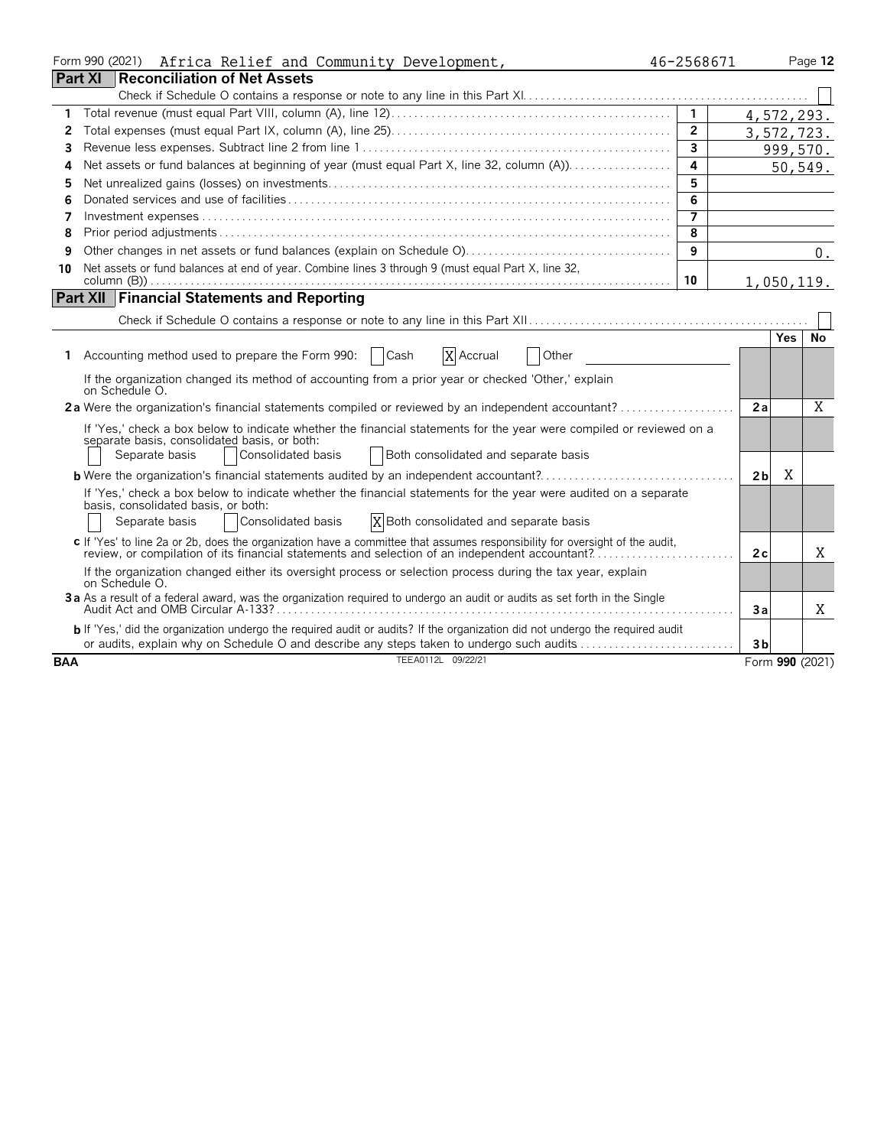|            | Form 990 (2021)<br>Africa Relief and Community Development,                                                                                                                                                                                          | 46-2568671     |                |     | Page 12         |
|------------|------------------------------------------------------------------------------------------------------------------------------------------------------------------------------------------------------------------------------------------------------|----------------|----------------|-----|-----------------|
|            | <b>Part XI</b><br><b>Reconciliation of Net Assets</b>                                                                                                                                                                                                |                |                |     |                 |
|            |                                                                                                                                                                                                                                                      |                |                |     |                 |
| 1          |                                                                                                                                                                                                                                                      | $\mathbf{1}$   |                |     | 4,572,293.      |
| 2          |                                                                                                                                                                                                                                                      | $\overline{2}$ |                |     | 3,572,723.      |
| 3          |                                                                                                                                                                                                                                                      | 3              |                |     | 999,570.        |
| 4          |                                                                                                                                                                                                                                                      | $\overline{a}$ |                |     | 50,549.         |
| 5          |                                                                                                                                                                                                                                                      | 5              |                |     |                 |
| 6          |                                                                                                                                                                                                                                                      | 6              |                |     |                 |
| 7          |                                                                                                                                                                                                                                                      | $\overline{7}$ |                |     |                 |
| 8          |                                                                                                                                                                                                                                                      | 8              |                |     |                 |
| 9          |                                                                                                                                                                                                                                                      | 9              |                |     | $0$ .           |
| 10         | Net assets or fund balances at end of year. Combine lines 3 through 9 (must equal Part X, line 32,                                                                                                                                                   |                |                |     |                 |
|            |                                                                                                                                                                                                                                                      | 10             |                |     | 1,050,119.      |
|            | <b>Part XII Financial Statements and Reporting</b>                                                                                                                                                                                                   |                |                |     |                 |
|            |                                                                                                                                                                                                                                                      |                |                |     |                 |
|            |                                                                                                                                                                                                                                                      |                |                | Yes | No              |
|            | 1 Accounting method used to prepare the Form 990:   Cash<br>X Accrual<br>Other                                                                                                                                                                       |                |                |     |                 |
|            | If the organization changed its method of accounting from a prior year or checked 'Other,' explain<br>on Schedule O.                                                                                                                                 |                |                |     |                 |
|            |                                                                                                                                                                                                                                                      |                | 2a             |     | X               |
|            | If 'Yes,' check a box below to indicate whether the financial statements for the year were compiled or reviewed on a<br>separate basis, consolidated basis, or both:<br>Consolidated basis<br>Separate basis<br>Both consolidated and separate basis |                |                |     |                 |
|            |                                                                                                                                                                                                                                                      |                |                | X   |                 |
|            | <b>b</b> Were the organization's financial statements audited by an independent accountant?                                                                                                                                                          |                | 2 <sub>b</sub> |     |                 |
|            | If 'Yes,' check a box below to indicate whether the financial statements for the year were audited on a separate<br>basis, consolidated basis, or both:                                                                                              |                |                |     |                 |
|            | Consolidated basis<br>X Both consolidated and separate basis<br>Separate basis                                                                                                                                                                       |                |                |     |                 |
|            | c If 'Yes' to line 2a or 2b, does the organization have a committee that assumes responsibility for oversight of the audit,                                                                                                                          |                |                |     |                 |
|            | review, or compilation of its financial statements and selection of an independent accountant?                                                                                                                                                       |                | 2c             |     | Χ               |
|            | If the organization changed either its oversight process or selection process during the tax year, explain<br>on Schedule O.                                                                                                                         |                |                |     |                 |
|            | 3a As a result of a federal award, was the organization required to undergo an audit or audits as set forth in the Single                                                                                                                            |                | 3a             |     | Χ               |
|            | b If 'Yes,' did the organization undergo the required audit or audits? If the organization did not undergo the required audit                                                                                                                        |                |                |     |                 |
|            | or audits, explain why on Schedule O and describe any steps taken to undergo such audits                                                                                                                                                             |                | 3 <sub>b</sub> |     |                 |
| <b>BAA</b> | TEEA0112L 09/22/21                                                                                                                                                                                                                                   |                |                |     | Form 990 (2021) |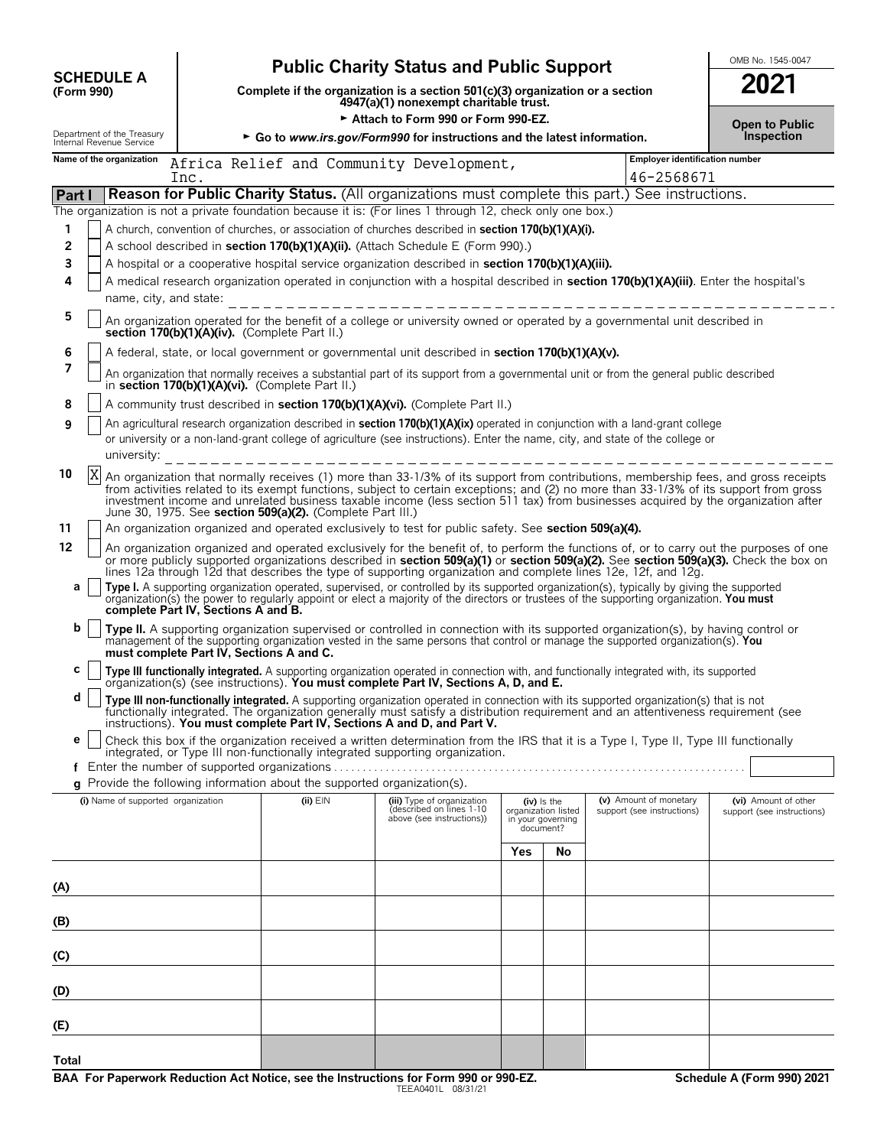|                                                        |                                                                                                                                                                                                                                                                                                                                                                                                                                                                                  |                                                                                 | <b>Public Charity Status and Public Support</b>                                                                                                                                                                                                                                                                                                                                                         |                                                           |           |                                                      | OMB No. 1545-0047                                  |  |  |  |
|--------------------------------------------------------|----------------------------------------------------------------------------------------------------------------------------------------------------------------------------------------------------------------------------------------------------------------------------------------------------------------------------------------------------------------------------------------------------------------------------------------------------------------------------------|---------------------------------------------------------------------------------|---------------------------------------------------------------------------------------------------------------------------------------------------------------------------------------------------------------------------------------------------------------------------------------------------------------------------------------------------------------------------------------------------------|-----------------------------------------------------------|-----------|------------------------------------------------------|----------------------------------------------------|--|--|--|
| <b>SCHEDULE A</b><br>(Form 990)                        |                                                                                                                                                                                                                                                                                                                                                                                                                                                                                  |                                                                                 | Complete if the organization is a section 501(c)(3) organization or a section<br>4947(a)(1) nonexempt charitable trust.                                                                                                                                                                                                                                                                                 |                                                           |           |                                                      | 2021                                               |  |  |  |
|                                                        |                                                                                                                                                                                                                                                                                                                                                                                                                                                                                  |                                                                                 | Attach to Form 990 or Form 990-EZ.                                                                                                                                                                                                                                                                                                                                                                      |                                                           |           |                                                      | <b>Open to Public</b>                              |  |  |  |
| Department of the Treasury<br>Internal Revenue Service |                                                                                                                                                                                                                                                                                                                                                                                                                                                                                  |                                                                                 | ► Go to www.irs.gov/Form990 for instructions and the latest information.                                                                                                                                                                                                                                                                                                                                |                                                           |           |                                                      | Inspection                                         |  |  |  |
| Name of the organization                               | Inc.                                                                                                                                                                                                                                                                                                                                                                                                                                                                             |                                                                                 | Africa Relief and Community Development,                                                                                                                                                                                                                                                                                                                                                                |                                                           |           | Employer identification number<br>46-2568671         |                                                    |  |  |  |
| Part I                                                 |                                                                                                                                                                                                                                                                                                                                                                                                                                                                                  |                                                                                 | <b>Reason for Public Charity Status.</b> (All organizations must complete this part.) See instructions.                                                                                                                                                                                                                                                                                                 |                                                           |           |                                                      |                                                    |  |  |  |
| 1<br>2<br>3                                            |                                                                                                                                                                                                                                                                                                                                                                                                                                                                                  |                                                                                 | The organization is not a private foundation because it is: (For lines 1 through 12, check only one box.)<br>A church, convention of churches, or association of churches described in section 170(b)(1)(A)(i).<br>A school described in section 170(b)(1)(A)(ii). (Attach Schedule E (Form 990).)<br>A hospital or a cooperative hospital service organization described in section 170(b)(1)(A)(iii). |                                                           |           |                                                      |                                                    |  |  |  |
| 4                                                      | name, city, and state:                                                                                                                                                                                                                                                                                                                                                                                                                                                           |                                                                                 | A medical research organization operated in conjunction with a hospital described in section 170(b)(1)(A)(iii). Enter the hospital's<br>____________________                                                                                                                                                                                                                                            |                                                           |           |                                                      |                                                    |  |  |  |
| 5                                                      | section 170(b)(1)(A)(iv). (Complete Part II.)                                                                                                                                                                                                                                                                                                                                                                                                                                    |                                                                                 | An organization operated for the benefit of a college or university owned or operated by a governmental unit described in                                                                                                                                                                                                                                                                               |                                                           |           |                                                      |                                                    |  |  |  |
| 6<br>7                                                 | A federal, state, or local government or governmental unit described in section 170(b)(1)(A)(v).<br>An organization that normally receives a substantial part of its support from a governmental unit or from the general public described<br>in section 170(b)(1)(A)(vi). (Complete Part II.)                                                                                                                                                                                   |                                                                                 |                                                                                                                                                                                                                                                                                                                                                                                                         |                                                           |           |                                                      |                                                    |  |  |  |
| 8                                                      |                                                                                                                                                                                                                                                                                                                                                                                                                                                                                  |                                                                                 |                                                                                                                                                                                                                                                                                                                                                                                                         |                                                           |           |                                                      |                                                    |  |  |  |
| 9                                                      | A community trust described in section 170(b)(1)(A)(vi). (Complete Part II.)<br>An agricultural research organization described in section 170(b)(1)(A)(ix) operated in conjunction with a land-grant college<br>or university or a non-land-grant college of agriculture (see instructions). Enter the name, city, and state of the college or<br>university:                                                                                                                   |                                                                                 |                                                                                                                                                                                                                                                                                                                                                                                                         |                                                           |           |                                                      |                                                    |  |  |  |
| 10<br>X                                                | An organization that normally receives (1) more than 33-1/3% of its support from contributions, membership fees, and gross receipts<br>from activities related to its exempt functions, subject to certain exceptions; and (2) no more than 33-1/3% of its support from gross<br>investment income and unrelated business taxable income (less section 511 tax) from businesses acquired by the organization after<br>June 30, 1975. See section 509(a)(2). (Complete Part III.) |                                                                                 |                                                                                                                                                                                                                                                                                                                                                                                                         |                                                           |           |                                                      |                                                    |  |  |  |
| 11<br>12                                               |                                                                                                                                                                                                                                                                                                                                                                                                                                                                                  |                                                                                 | An organization organized and operated exclusively to test for public safety. See section 509(a)(4).<br>An organization organized and operated exclusively for the benefit of, to perform the functions of, or to carry out the purposes of one                                                                                                                                                         |                                                           |           |                                                      |                                                    |  |  |  |
| a                                                      |                                                                                                                                                                                                                                                                                                                                                                                                                                                                                  |                                                                                 | or more publicly supported organizations described in section 509(a)(1) or section 509(a)(2). See section 509(a)(3). Check the box on<br>lines 12a through 12d that describes the type of supporting organization and complete lines 12e, 12f, and 12g.<br>Type I. A supporting organization operated, supervised, or controlled by its supported organization(s), typically by giving the supported    |                                                           |           |                                                      |                                                    |  |  |  |
|                                                        | complete Part IV, Sections A and B.                                                                                                                                                                                                                                                                                                                                                                                                                                              |                                                                                 | organization(s) the power to regularly appoint or elect a majority of the directors or trustees of the supporting organization. You must                                                                                                                                                                                                                                                                |                                                           |           |                                                      |                                                    |  |  |  |
| b                                                      | must complete Part IV, Sections A and C.                                                                                                                                                                                                                                                                                                                                                                                                                                         |                                                                                 | Type II. A supporting organization supervised or controlled in connection with its supported organization(s), by having control or<br>management of the supporting organization vested in the same persons that control or manage the supported organization(s). You                                                                                                                                    |                                                           |           |                                                      |                                                    |  |  |  |
| c                                                      |                                                                                                                                                                                                                                                                                                                                                                                                                                                                                  |                                                                                 | Type III functionally integrated. A supporting organization operated in connection with, and functionally integrated with, its supported organization(s) (see instructions). You must complete Part IV, Sections A, D, and E.                                                                                                                                                                           |                                                           |           |                                                      |                                                    |  |  |  |
| d                                                      |                                                                                                                                                                                                                                                                                                                                                                                                                                                                                  |                                                                                 | Type III non-functionally integrated. A supporting organization operated in connection with its supported organization(s) that is not functionally integrated. The organization generally must satisfy a distribution requirem<br>instructions). You must complete Part IV, Sections A and D, and Part V.                                                                                               |                                                           |           |                                                      |                                                    |  |  |  |
| е                                                      |                                                                                                                                                                                                                                                                                                                                                                                                                                                                                  |                                                                                 | Check this box if the organization received a written determination from the IRS that it is a Type I, Type II, Type III functionally<br>integrated, or Type III non-functionally integrated supporting organization.                                                                                                                                                                                    |                                                           |           |                                                      |                                                    |  |  |  |
|                                                        |                                                                                                                                                                                                                                                                                                                                                                                                                                                                                  | <b>q</b> Provide the following information about the supported organization(s). |                                                                                                                                                                                                                                                                                                                                                                                                         |                                                           |           |                                                      |                                                    |  |  |  |
| (i) Name of supported organization                     |                                                                                                                                                                                                                                                                                                                                                                                                                                                                                  | $(ii)$ $EIN$                                                                    | (iii) Type of organization<br>described on lines 1-10<br>above (see instructions))                                                                                                                                                                                                                                                                                                                      | $(iv)$ is the<br>organization listed<br>in your governing | document? | (v) Amount of monetary<br>support (see instructions) | (vi) Amount of other<br>support (see instructions) |  |  |  |
|                                                        |                                                                                                                                                                                                                                                                                                                                                                                                                                                                                  |                                                                                 |                                                                                                                                                                                                                                                                                                                                                                                                         | Yes                                                       | No        |                                                      |                                                    |  |  |  |
| (A)                                                    |                                                                                                                                                                                                                                                                                                                                                                                                                                                                                  |                                                                                 |                                                                                                                                                                                                                                                                                                                                                                                                         |                                                           |           |                                                      |                                                    |  |  |  |
| (B)                                                    |                                                                                                                                                                                                                                                                                                                                                                                                                                                                                  |                                                                                 |                                                                                                                                                                                                                                                                                                                                                                                                         |                                                           |           |                                                      |                                                    |  |  |  |
| (C)                                                    |                                                                                                                                                                                                                                                                                                                                                                                                                                                                                  |                                                                                 |                                                                                                                                                                                                                                                                                                                                                                                                         |                                                           |           |                                                      |                                                    |  |  |  |
| (D)                                                    |                                                                                                                                                                                                                                                                                                                                                                                                                                                                                  |                                                                                 |                                                                                                                                                                                                                                                                                                                                                                                                         |                                                           |           |                                                      |                                                    |  |  |  |
| (E)                                                    |                                                                                                                                                                                                                                                                                                                                                                                                                                                                                  |                                                                                 |                                                                                                                                                                                                                                                                                                                                                                                                         |                                                           |           |                                                      |                                                    |  |  |  |
| Total                                                  |                                                                                                                                                                                                                                                                                                                                                                                                                                                                                  |                                                                                 | Denomical Deduction Act Notice, can the Instructions for Form 000 or 000 F7                                                                                                                                                                                                                                                                                                                             |                                                           |           |                                                      | Cohodule A (Form 000) 2021                         |  |  |  |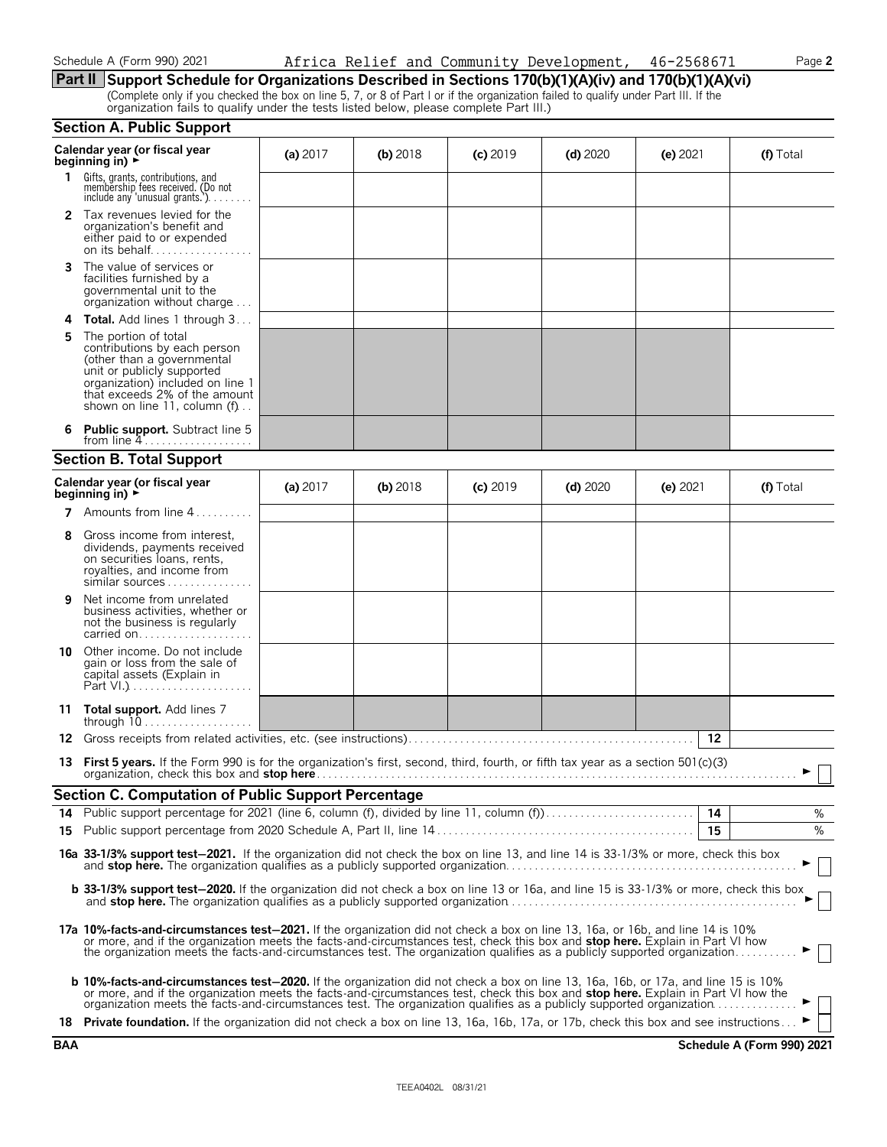#### **Part II Support Schedule for Organizations Described in Sections 170(b)(1)(A)(iv) and 170(b)(1)(A)(vi)**

(Complete only if you checked the box on line 5, 7, or 8 of Part I or if the organization failed to qualify under Part III. If the organization fails to qualify under the tests listed below, please complete Part III.)

|    | <b>Section A. Public Support</b>                                                                                                                                                                                                                                                                                                                                                                      |            |            |            |            |            |           |
|----|-------------------------------------------------------------------------------------------------------------------------------------------------------------------------------------------------------------------------------------------------------------------------------------------------------------------------------------------------------------------------------------------------------|------------|------------|------------|------------|------------|-----------|
|    | Calendar year (or fiscal year<br>beginning in) $\rightarrow$                                                                                                                                                                                                                                                                                                                                          | (a) $2017$ | $(b)$ 2018 | $(c)$ 2019 | $(d)$ 2020 | $(e)$ 2021 | (f) Total |
| 1. | Gifts, grants, contributions, and<br>membership fees received. (Do not<br>include any 'unusual grants.').                                                                                                                                                                                                                                                                                             |            |            |            |            |            |           |
|    | <b>2</b> Tax revenues levied for the<br>organization's benefit and<br>either paid to or expended<br>on its behalf                                                                                                                                                                                                                                                                                     |            |            |            |            |            |           |
| 3  | The value of services or<br>facilities furnished by a<br>governmental unit to the<br>organization without charge                                                                                                                                                                                                                                                                                      |            |            |            |            |            |           |
| 4  | <b>Total.</b> Add lines 1 through 3                                                                                                                                                                                                                                                                                                                                                                   |            |            |            |            |            |           |
| 5  | The portion of total<br>contributions by each person<br>(other than a governmental<br>unit or publicly supported<br>organization) included on line 1<br>that exceeds 2% of the amount<br>shown on line 11, column (f)                                                                                                                                                                                 |            |            |            |            |            |           |
| 6  | <b>Public support.</b> Subtract line 5<br>from line $4$                                                                                                                                                                                                                                                                                                                                               |            |            |            |            |            |           |
|    | <b>Section B. Total Support</b>                                                                                                                                                                                                                                                                                                                                                                       |            |            |            |            |            |           |
|    | Calendar year (or fiscal year<br>beginning in) $\rightarrow$                                                                                                                                                                                                                                                                                                                                          | (a) $2017$ | $(b)$ 2018 | $(c)$ 2019 | (d) $2020$ | (e) $2021$ | (f) Total |
| 7  | Amounts from line 4                                                                                                                                                                                                                                                                                                                                                                                   |            |            |            |            |            |           |
| 8  | Gross income from interest,<br>dividends, payments received<br>on securities loans, rents,<br>royalties, and income from<br>similar sources                                                                                                                                                                                                                                                           |            |            |            |            |            |           |
| 9  | Net income from unrelated<br>business activities, whether or<br>not the business is regularly<br>carried on                                                                                                                                                                                                                                                                                           |            |            |            |            |            |           |
| 10 | Other income. Do not include<br>gain or loss from the sale of<br>capital assets (Explain in                                                                                                                                                                                                                                                                                                           |            |            |            |            |            |           |
| 11 | <b>Total support.</b> Add lines 7<br>through $10$                                                                                                                                                                                                                                                                                                                                                     |            |            |            |            |            |           |
| 12 | Gross receipts from related activities, etc. (see instructions)                                                                                                                                                                                                                                                                                                                                       |            |            |            |            | 12         |           |
|    | 13 First 5 years. If the Form 990 is for the organization's first, second, third, fourth, or fifth tax year as a section 501(c)(3)                                                                                                                                                                                                                                                                    |            |            |            |            |            |           |
|    | <b>Section C. Computation of Public Support Percentage</b>                                                                                                                                                                                                                                                                                                                                            |            |            |            |            |            |           |
|    |                                                                                                                                                                                                                                                                                                                                                                                                       |            |            |            |            |            | %         |
|    |                                                                                                                                                                                                                                                                                                                                                                                                       |            |            |            |            | 15         | %         |
|    | 16a 33-1/3% support test-2021. If the organization did not check the box on line 13, and line 14 is 33-1/3% or more, check this box                                                                                                                                                                                                                                                                   |            |            |            |            |            |           |
|    | <b>b 33-1/3% support test-2020.</b> If the organization did not check a box on line 13 or 16a, and line 15 is 33-1/3% or more, check this box                                                                                                                                                                                                                                                         |            |            |            |            |            |           |
|    | 17a 10%-facts-and-circumstances test-2021. If the organization did not check a box on line 13, 16a, or 16b, and line 14 is 10%<br>or more, and if the organization meets the facts-and-circumstances test, check this box and stop here. Explain in Part VI how<br>the organization meets the facts-and-circumstances test. The organization qualifies as a publicly supported organization           |            |            |            |            |            | $\vert$   |
|    | <b>b 10%-facts-and-circumstances test-2020.</b> If the organization did not check a box on line 13, 16a, 16b, or 17a, and line 15 is 10%<br>or more, and if the organization meets the facts-and-circumstances test, check this box and stop here. Explain in Part VI how the<br>organization meets the facts-and-circumstances test. The organization qualifies as a publicly supported organization |            |            |            |            |            | $\Box$    |
|    | 18 Private foundation. If the organization did not check a box on line 13, 16a, 16b, 17a, or 17b, check this box and see instructions                                                                                                                                                                                                                                                                 |            |            |            |            |            |           |

**BAA Schedule A (Form 990) 2021**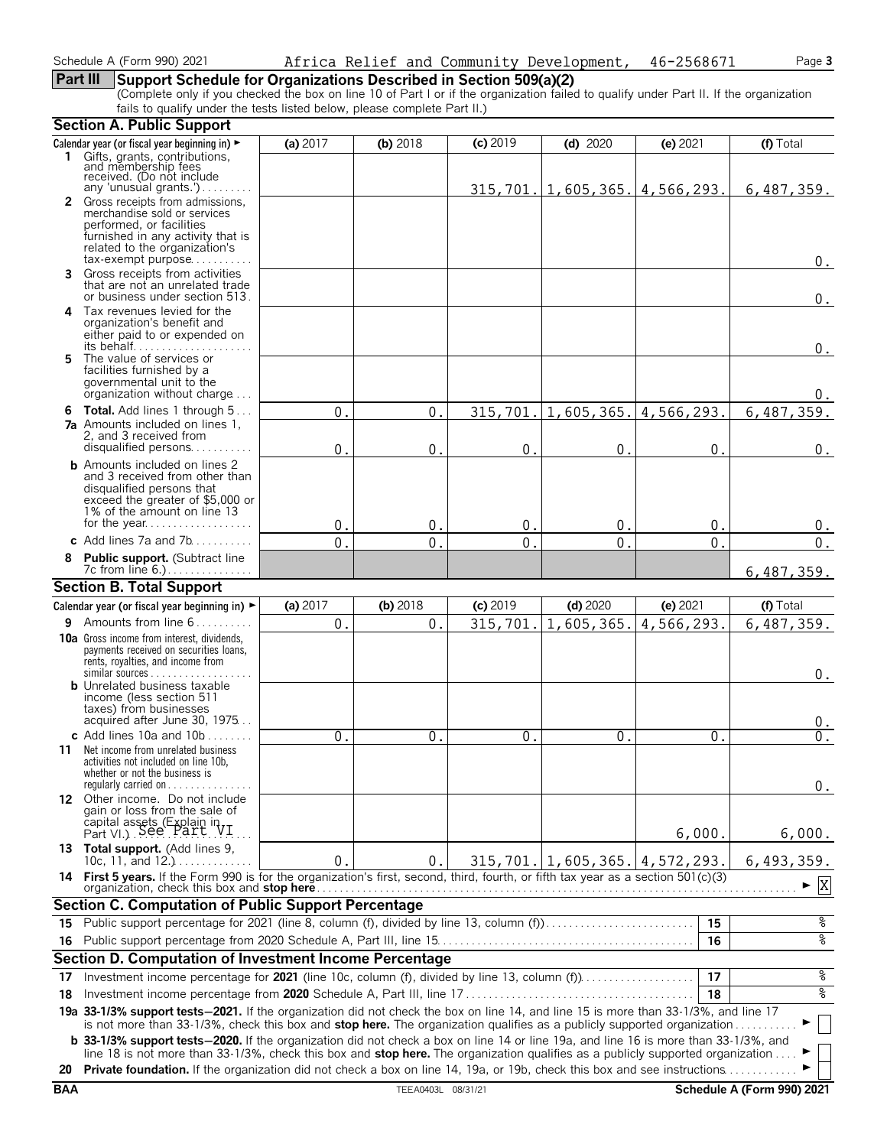### **Part III Support Schedule for Organizations Described in Section 509(a)(2)**

(Complete only if you checked the box on line 10 of Part I or if the organization failed to qualify under Part II. If the organization fails to qualify under the tests listed below, please complete Part II.)

|            | <b>Section A. Public Support</b>                                                                                                                                                                                                                                      |              |                    |                |                                           |                |                            |
|------------|-----------------------------------------------------------------------------------------------------------------------------------------------------------------------------------------------------------------------------------------------------------------------|--------------|--------------------|----------------|-------------------------------------------|----------------|----------------------------|
|            | Calendar year (or fiscal year beginning in) ►                                                                                                                                                                                                                         | (a) 2017     | (b) 2018           | (c) 2019       | $(d)$ 2020                                | (e) 2021       | (f) Total                  |
|            | 1 Gifts, grants, contributions,<br>and membership fees<br>received. (Do not include                                                                                                                                                                                   |              |                    |                |                                           |                |                            |
|            | any 'unusual grants.')<br>2 Gross receipts from admissions,                                                                                                                                                                                                           |              |                    |                | $315, 701.   1, 605, 365.   4, 566, 293.$ |                | 6,487,359.                 |
|            | merchandise sold or services                                                                                                                                                                                                                                          |              |                    |                |                                           |                |                            |
|            | performed, or facilities                                                                                                                                                                                                                                              |              |                    |                |                                           |                |                            |
|            | furnished in any activity that is<br>related to the organization's                                                                                                                                                                                                    |              |                    |                |                                           |                |                            |
|            | $tax\text{-}exempt$ purpose                                                                                                                                                                                                                                           |              |                    |                |                                           |                | 0.                         |
| 3          | Gross receipts from activities<br>that are not an unrelated trade<br>or business under section 513.                                                                                                                                                                   |              |                    |                |                                           |                | $0$ .                      |
|            | 4 Tax revenues levied for the                                                                                                                                                                                                                                         |              |                    |                |                                           |                |                            |
|            | organization's benefit and<br>either paid to or expended on                                                                                                                                                                                                           |              |                    |                |                                           |                | 0.                         |
| 5.         | The value of services or                                                                                                                                                                                                                                              |              |                    |                |                                           |                |                            |
|            | facilities furnished by a                                                                                                                                                                                                                                             |              |                    |                |                                           |                |                            |
|            | governmental unit to the<br>organization without charge                                                                                                                                                                                                               |              |                    |                |                                           |                | 0.                         |
|            | <b>6 Total.</b> Add lines 1 through 5                                                                                                                                                                                                                                 | $\mathbf{0}$ | 0                  | 315,701.       | 1,605,365.                                | 4,566,293.     | 6,487,359.                 |
|            | <b>7a</b> Amounts included on lines 1,                                                                                                                                                                                                                                |              |                    |                |                                           |                |                            |
|            | 2, and 3 received from                                                                                                                                                                                                                                                |              |                    |                |                                           |                |                            |
|            | disqualified persons                                                                                                                                                                                                                                                  | $\Omega$     | $\mathbf 0$        | $\mathbf{0}$ . | $\mathbf{0}$                              | $\mathbf{0}$ . | 0.                         |
|            | <b>b</b> Amounts included on lines 2<br>and 3 received from other than                                                                                                                                                                                                |              |                    |                |                                           |                |                            |
|            | disqualified persons that                                                                                                                                                                                                                                             |              |                    |                |                                           |                |                            |
|            | exceed the greater of \$5,000 or<br>1% of the amount on line 13                                                                                                                                                                                                       |              |                    |                |                                           |                |                            |
|            |                                                                                                                                                                                                                                                                       | $\mathbf{0}$ | $\mathbf 0$        | 0.             | $\mathsf{O}$ .                            | 0.             | 0.                         |
|            | c Add lines 7a and $7b$                                                                                                                                                                                                                                               | $\Omega$     | 0                  | $\mathbf{0}$ . | $\overline{0}$                            | 0.             | 0.                         |
|            | Public support. (Subtract line                                                                                                                                                                                                                                        |              |                    |                |                                           |                |                            |
|            | 7c from line 6.).                                                                                                                                                                                                                                                     |              |                    |                |                                           |                | 6,487,359.                 |
|            | <b>Section B. Total Support</b>                                                                                                                                                                                                                                       |              |                    |                |                                           |                |                            |
|            | Calendar year (or fiscal year beginning in) $\blacktriangleright$                                                                                                                                                                                                     | (a) 2017     | $(b)$ 2018         | $(c)$ 2019     | $(d)$ 2020                                | (e) 2021       | (f) Total                  |
|            | 9 Amounts from line 6                                                                                                                                                                                                                                                 | $0$ .        | 0.                 | 315,701.       | 1,605,365.                                | 4,566,293.     | 6,487,359.                 |
|            | 10a Gross income from interest, dividends,<br>payments received on securities loans,<br>rents, royalties, and income from                                                                                                                                             |              |                    |                |                                           |                |                            |
|            | <b>b</b> Unrelated business taxable                                                                                                                                                                                                                                   |              |                    |                |                                           |                | 0.                         |
|            | income (less section 511                                                                                                                                                                                                                                              |              |                    |                |                                           |                |                            |
|            | taxes) from businesses                                                                                                                                                                                                                                                |              |                    |                |                                           |                |                            |
|            | acquired after June 30, 1975                                                                                                                                                                                                                                          |              |                    |                |                                           |                | υ.                         |
|            | c Add lines $10a$ and $10b$<br><b>11</b> Net income from unrelated business                                                                                                                                                                                           | 0            | $\Omega$           | $\mathbf{0}$ . | $\mathbf{0}$ .                            | 0.             | 0.                         |
|            | activities not included on line 10b,<br>whether or not the business is<br>regularly carried on $\dots\dots\dots$                                                                                                                                                      |              |                    |                |                                           |                | 0.                         |
|            | 12 Other income. Do not include                                                                                                                                                                                                                                       |              |                    |                |                                           |                |                            |
|            | gain or loss from the sale of                                                                                                                                                                                                                                         |              |                    |                |                                           |                |                            |
|            | capital assets (Explain in<br>Part VI.) See Part VI                                                                                                                                                                                                                   |              |                    |                |                                           | 6,000.         | 6,000.                     |
|            | 13 Total support. (Add lines 9,                                                                                                                                                                                                                                       |              |                    |                |                                           |                |                            |
|            | 10c, 11, and $12.$ )<br>14 First 5 years. If the Form 990 is for the organization's first, second, third, fourth, or fifth tax year as a section 501(c)(3)                                                                                                            | 0.           | $\mathbf 0$ .      |                | $315, 701.$ 1, 605, 365. 4, 572, 293.     |                | 6,493,359.                 |
|            | organization, check this box and stop here                                                                                                                                                                                                                            |              |                    |                |                                           |                | $\mathbf X$                |
|            | <b>Section C. Computation of Public Support Percentage</b>                                                                                                                                                                                                            |              |                    |                |                                           |                |                            |
| 15         | Public support percentage for 2021 (line 8, column (f), divided by line 13, column (f)                                                                                                                                                                                |              |                    |                |                                           | 15             | န့                         |
|            |                                                                                                                                                                                                                                                                       |              |                    |                |                                           | 16             | ०७                         |
|            | Section D. Computation of Investment Income Percentage                                                                                                                                                                                                                |              |                    |                |                                           |                |                            |
| 17         |                                                                                                                                                                                                                                                                       |              |                    |                |                                           | 17             | %                          |
| 18         |                                                                                                                                                                                                                                                                       |              |                    |                |                                           | 18             | ४                          |
|            | 19a 33-1/3% support tests-2021. If the organization did not check the box on line 14, and line 15 is more than 33-1/3%, and line 17                                                                                                                                   |              |                    |                |                                           |                |                            |
|            | is not more than 33-1/3%, check this box and stop here. The organization qualifies as a publicly supported organization<br><b>b</b> 33-1/3% support tests-2020. If the organization did not check a box on line 14 or line 19a, and line 16 is more than 33-1/3%, and |              |                    |                |                                           |                |                            |
|            | line 18 is not more than 33-1/3%, check this box and <b>stop here.</b> The organization qualifies as a publicly supported organization                                                                                                                                |              |                    |                |                                           |                |                            |
| 20         | <b>Private foundation.</b> If the organization did not check a box on line 14, 19a, or 19b, check this box and see instructions                                                                                                                                       |              |                    |                |                                           |                |                            |
| <b>BAA</b> |                                                                                                                                                                                                                                                                       |              | TEEA0403L 08/31/21 |                |                                           |                | Schedule A (Form 990) 2021 |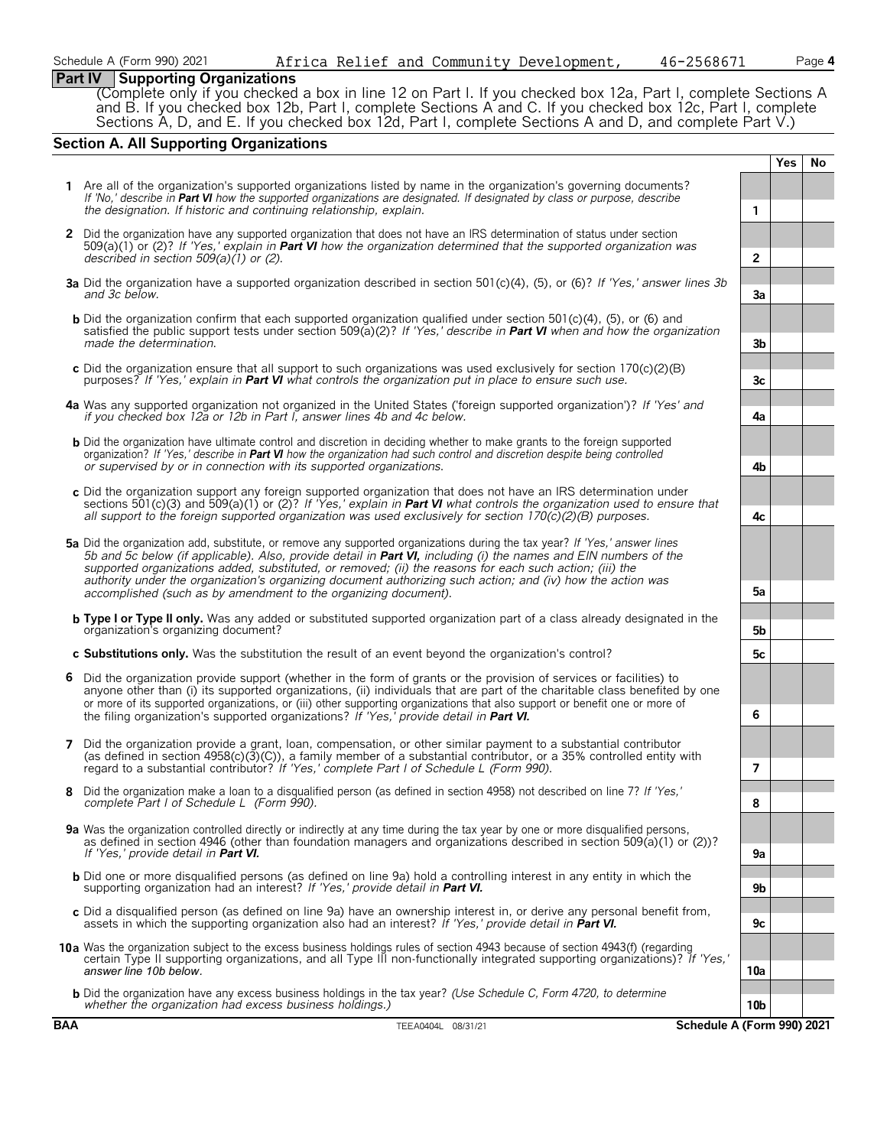### **Part IV Supporting Organizations**

(Complete only if you checked a box in line 12 on Part I. If you checked box 12a, Part I, complete Sections A and B. If you checked box 12b, Part I, complete Sections A and C. If you checked box 12c, Part I, complete Sections A, D, and E. If you checked box 12d, Part I, complete Sections A and D, and complete Part V.)

#### **Section A. All Supporting Organizations**

|            |                                                                                                                                                                                                                                                                                                                                                                                                                                                                            |                | Yes | No |
|------------|----------------------------------------------------------------------------------------------------------------------------------------------------------------------------------------------------------------------------------------------------------------------------------------------------------------------------------------------------------------------------------------------------------------------------------------------------------------------------|----------------|-----|----|
|            | 1 Are all of the organization's supported organizations listed by name in the organization's governing documents?<br>If 'No.' describe in Part VI how the supported organizations are designated. If designated by class or purpose, describe<br>the designation. If historic and continuing relationship, explain.                                                                                                                                                        | $\mathbf{1}$   |     |    |
|            | 2 Did the organization have any supported organization that does not have an IRS determination of status under section<br>509(a)(1) or (2)? If 'Yes,' explain in <b>Part VI</b> how the organization determined that the supported organization was<br>described in section $509(a)(1)$ or (2).                                                                                                                                                                            | $\overline{2}$ |     |    |
|            | 3a Did the organization have a supported organization described in section 501(c)(4), (5), or (6)? If 'Yes,' answer lines 3b<br>and 3c below.                                                                                                                                                                                                                                                                                                                              | 3a             |     |    |
|            | <b>b</b> Did the organization confirm that each supported organization qualified under section 501(c)(4), (5), or (6) and<br>satisfied the public support tests under section 509(a)(2)? If 'Yes,' describe in <b>Part VI</b> when and how the organization<br>made the determination.                                                                                                                                                                                     | 3b             |     |    |
|            | c Did the organization ensure that all support to such organizations was used exclusively for section $170(c)(2)(B)$<br>purposes? If 'Yes,' explain in <b>Part VI</b> what controls the organization put in place to ensure such use.                                                                                                                                                                                                                                      | 3c             |     |    |
|            | 4a Was any supported organization not organized in the United States ('foreign supported organization')? If 'Yes' and<br>if you checked box 12a or 12b in Part I, answer lines 4b and 4c below.                                                                                                                                                                                                                                                                            | 4a             |     |    |
|            | <b>b</b> Did the organization have ultimate control and discretion in deciding whether to make grants to the foreign supported<br>organization? If 'Yes,' describe in <b>Part VI</b> how the organization had such control and discretion despite being controlled<br>or supervised by or in connection with its supported organizations.                                                                                                                                  | 4b             |     |    |
|            | c Did the organization support any foreign supported organization that does not have an IRS determination under<br>sections 501(c)(3) and 509(a)(1) or (2)? If 'Yes,' explain in <b>Part VI</b> what controls the organization used to ensure that<br>all support to the foreign supported organization was used exclusively for section $170(c)(2)(B)$ purposes.                                                                                                          | 4c             |     |    |
|            | 5a Did the organization add, substitute, or remove any supported organizations during the tax year? If 'Yes,' answer lines<br>5b and 5c below (if applicable). Also, provide detail in Part VI, including (i) the names and EIN numbers of the<br>supported organizations added, substituted, or removed; (ii) the reasons for each such action; (iii) the<br>authority under the organization's organizing document authorizing such action; and (iv) how the action was  |                |     |    |
|            | accomplished (such as by amendment to the organizing document).<br><b>b Type I or Type II only.</b> Was any added or substituted supported organization part of a class already designated in the<br>organization's organizing document?                                                                                                                                                                                                                                   | 5а<br>5b       |     |    |
|            | c Substitutions only. Was the substitution the result of an event beyond the organization's control?                                                                                                                                                                                                                                                                                                                                                                       | 5c             |     |    |
| 6          | Did the organization provide support (whether in the form of grants or the provision of services or facilities) to<br>anyone other than (i) its supported organizations, (ii) individuals that are part of the charitable class benefited by one<br>or more of its supported organizations, or (iii) other supporting organizations that also support or benefit one or more of<br>the filing organization's supported organizations? If 'Yes,' provide detail in Part VI. | 6              |     |    |
| 7          | Did the organization provide a grant, loan, compensation, or other similar payment to a substantial contributor<br>(as defined in section $4958(c)(3)(c)$ ), a family member of a substantial contributor, or a 35% controlled entity with<br>regard to a substantial contributor? If 'Yes,' complete Part I of Schedule L (Form 990).                                                                                                                                     | 7              |     |    |
|            | Did the organization make a loan to a disgualified person (as defined in section 4958) not described on line 7? If 'Yes,'<br>complete Part I of Schedule L (Form 990).                                                                                                                                                                                                                                                                                                     | 8              |     |    |
|            | 9a Was the organization controlled directly or indirectly at any time during the tax year by one or more disqualified persons,<br>as defined in section 4946 (other than foundation managers and organizations described in section 509(a)(1) or (2))?<br>If 'Yes,' provide detail in <b>Part VI.</b>                                                                                                                                                                      | 9а             |     |    |
|            | <b>b</b> Did one or more disqualified persons (as defined on line 9a) hold a controlling interest in any entity in which the<br>supporting organization had an interest? If 'Yes,' provide detail in Part VI.                                                                                                                                                                                                                                                              | 9b             |     |    |
|            | c Did a disqualified person (as defined on line 9a) have an ownership interest in, or derive any personal benefit from,<br>assets in which the supporting organization also had an interest? If 'Yes,' provide detail in Part VI.                                                                                                                                                                                                                                          | 9c             |     |    |
|            | 10a Was the organization subject to the excess business holdings rules of section 4943 because of section 4943(f) (regarding<br>certain Type II supporting organizations, and all Type III non-functionally integrated supporting organizations)? If 'Yes,'<br>answer line 10b below.                                                                                                                                                                                      | 10a            |     |    |
|            | <b>b</b> Did the organization have any excess business holdings in the tax year? (Use Schedule C, Form 4720, to determine<br>whether the organization had excess business holdings.)                                                                                                                                                                                                                                                                                       | 10b            |     |    |
| <b>BAA</b> | Schedule A (Form 990) 2021<br>TEEA0404L 08/31/21                                                                                                                                                                                                                                                                                                                                                                                                                           |                |     |    |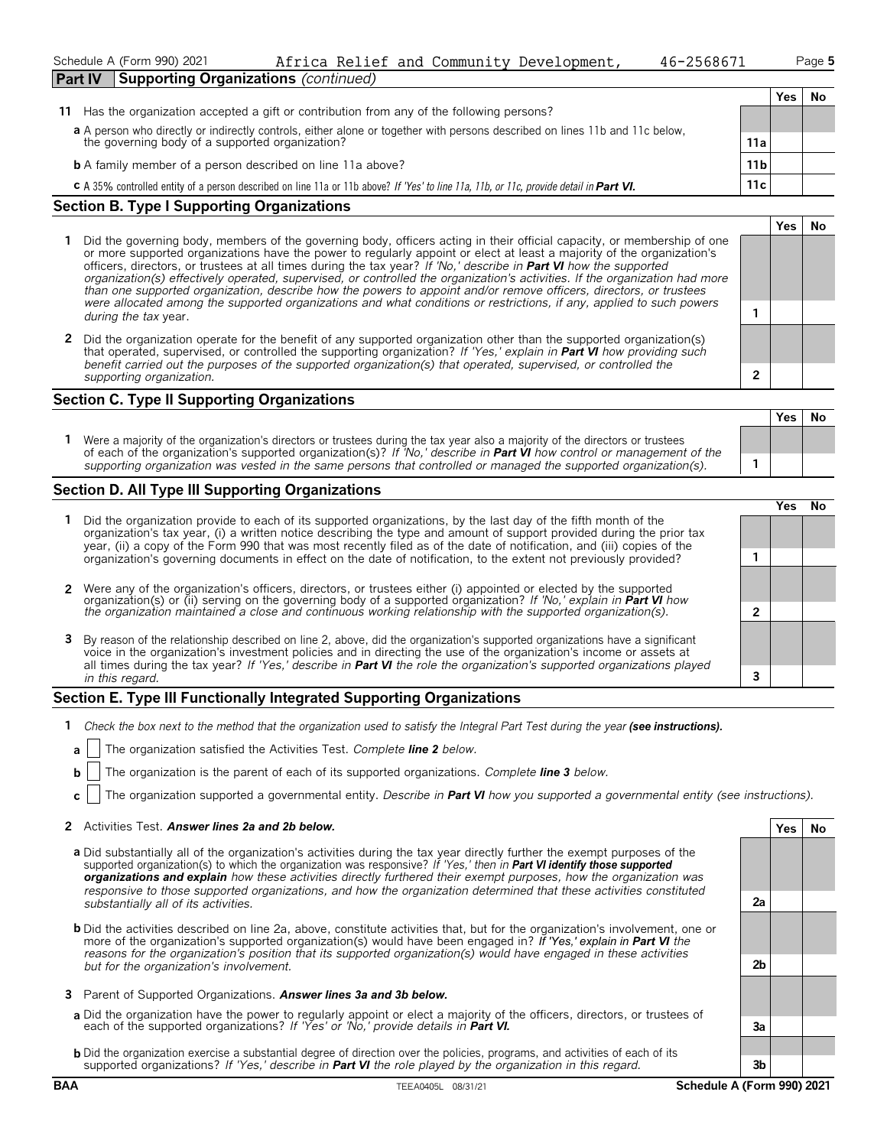| Schedule A (Form 990) 2021<br>Africa Relief and Community Development,<br>46-2568671                                                                  |  |  |  |  |                  | Page 5 |    |
|-------------------------------------------------------------------------------------------------------------------------------------------------------|--|--|--|--|------------------|--------|----|
| <b>Supporting Organizations (continued)</b><br><b>Part IV</b>                                                                                         |  |  |  |  |                  |        |    |
|                                                                                                                                                       |  |  |  |  |                  | Yes    | No |
| Has the organization accepted a gift or contribution from any of the following persons?<br>11                                                         |  |  |  |  |                  |        |    |
| a A person who directly or indirectly controls, either alone or together with persons described on lines 11b and 11c below,                           |  |  |  |  |                  |        |    |
| the governing body of a supported organization?                                                                                                       |  |  |  |  | 11a              |        |    |
| <b>b</b> A family member of a person described on line 11a above?                                                                                     |  |  |  |  | 11 b             |        |    |
| <b>C</b> A 35% controlled entity of a person described on line 11a or 11b above? If 'Yes' to line 11a, 11b, or 11c, provide detail in <b>Part VI.</b> |  |  |  |  | 11c <sub>1</sub> |        |    |

#### **Section B. Type I Supporting Organizations**

- **1** Did the governing body, members of the governing body, officers acting in their official capacity, or membership of one or more supported organizations have the power to regularly appoint or elect at least a majority of the organization's officers, directors, or trustees at all times during the tax year? *If 'No,' describe in Part VI how the supported organization(s) effectively operated, supervised, or controlled the organization's activities. If the organization had more than one supported organization, describe how the powers to appoint and/or remove officers, directors, or trustees were allocated among the supported organizations and what conditions or restrictions, if any, applied to such powers* **1** *during the tax* year.
- **2** Did the organization operate for the benefit of any supported organization other than the supported organization(s) that operated, supervised, or controlled the supporting organization? *If 'Yes,' explain in Part VI how providing such benefit carried out the purposes of the supported organization(s) that operated, supervised, or controlled the supporting organization.* **2**

#### **Section C. Type II Supporting Organizations**

**Yes No 1** Were a majority of the organization's directors or trustees during the tax year also a majority of the directors or trustees of each of the organization's supported organization(s)? *If 'No,' describe in Part VI how control or management of the supporting organization was vested in the same persons that controlled or managed the supported organization(s).* **1**

#### **Section D. All Type III Supporting Organizations**

|                                                                                                                                                                                                                                                                                                                                                                                       |  | res) |  |
|---------------------------------------------------------------------------------------------------------------------------------------------------------------------------------------------------------------------------------------------------------------------------------------------------------------------------------------------------------------------------------------|--|------|--|
| Did the organization provide to each of its supported organizations, by the last day of the fifth month of the<br>organization's tax year, (i) a written notice describing the type and amount of support provided during the prior tax<br>year, (ii) a copy of the Form 990 that was most recently filed as of the date of notification, and (iii) copies of the                     |  |      |  |
| organization's governing documents in effect on the date of notification, to the extent not previously provided?                                                                                                                                                                                                                                                                      |  |      |  |
| 2 Were any of the organization's officers, directors, or trustees either (i) appointed or elected by the supported organization(s) or (ii) serving on the governing body of a supported organization? If 'No,' explain in Part                                                                                                                                                        |  |      |  |
| the organization maintained a close and continuous working relationship with the supported organization(s).                                                                                                                                                                                                                                                                           |  |      |  |
| 3 By reason of the relationship described on line 2, above, did the organization's supported organizations have a significant<br>voice in the organization's investment policies and in directing the use of the organization's income or assets at<br>all times during the tax year? If 'Yes,' describe in <b>Part VI</b> the role the organization's supported organizations played |  |      |  |
| in this regard.                                                                                                                                                                                                                                                                                                                                                                       |  |      |  |

#### **Section E. Type III Functionally Integrated Supporting Organizations**

- **1** *Check the box next to the method that the organization used to satisfy the Integral Part Test during the year (see instructions).*
- **a** The organization satisfied the Activities Test. *Complete line 2 below.*
- **b** The organization is the parent of each of its supported organizations. *Complete line 3 below.*
- **c** The organization supported a governmental entity. *Describe in Part VI how you supported a governmental entity (see instructions).*

#### **2** Activities Test. *Answer lines 2a and 2b below.* **Yes No**

- **a** Did substantially all of the organization's activities during the tax year directly further the exempt purposes of the supported organization(s) to which the organization was responsive? *If 'Yes,' then in Part VI identify those supported organizations and explain how these activities directly furthered their exempt purposes, how the organization was responsive to those supported organizations, and how the organization determined that these activities constituted substantially all of its activities.* **2a**
- **b** Did the activities described on line 2a, above, constitute activities that, but for the organization's involvement, one or more of the organization's supported organization(s) would have been engaged in? *If 'Yes,' explain in Part VI the reasons for the organization's position that its supported organization(s) would have engaged in these activities but for the organization's involvement.* **2b**
- **3** Parent of Supported Organizations. *Answer lines 3a and 3b below.*
- **a** Did the organization have the power to regularly appoint or elect a majority of the officers, directors, or trustees of each of the supported organizations? *If 'Yes' or 'No,' provide details in Part VI.* **3a**
- **b** Did the organization exercise a substantial degree of direction over the policies, programs, and activities of each of its supported organizations? *If 'Yes,' describe in Part VI the role played by the organization in this regard.* **3b**

**Yes No**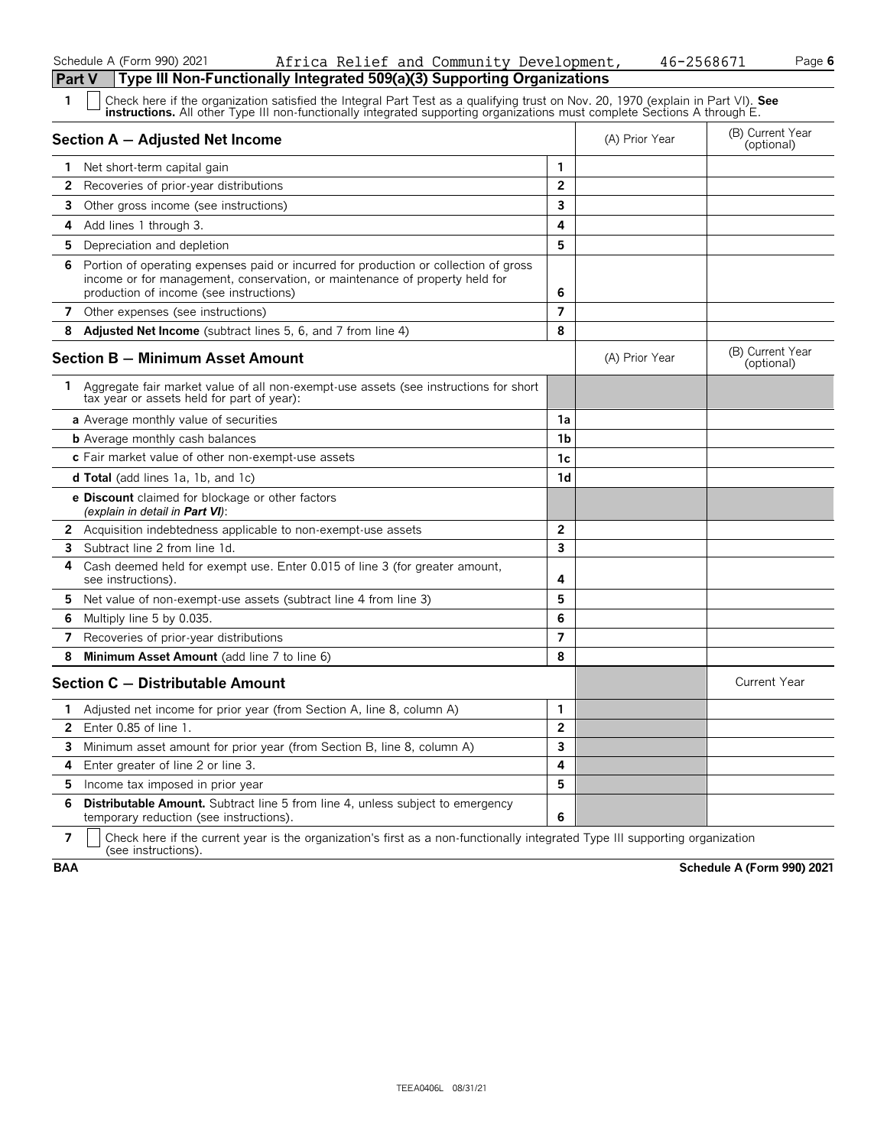#### Schedule A (Form 990) 2021 Page **6** Africa Relief and Community Development, 46-2568671

| <b>Part V</b>         | Type III Non-Functionally Integrated 509(a)(3) Supporting Organizations                                                                                                                                                                                       |                |                |                                |
|-----------------------|---------------------------------------------------------------------------------------------------------------------------------------------------------------------------------------------------------------------------------------------------------------|----------------|----------------|--------------------------------|
| 1                     | Check here if the organization satisfied the Integral Part Test as a qualifying trust on Nov. 20, 1970 (explain in Part VI). See<br>instructions. All other Type III non-functionally integrated supporting organizations must complete Sections A through E. |                |                |                                |
|                       | Section A - Adjusted Net Income                                                                                                                                                                                                                               |                | (A) Prior Year | (B) Current Year<br>(optional) |
| 1.                    | Net short-term capital gain                                                                                                                                                                                                                                   | 1              |                |                                |
| 2                     | Recoveries of prior-year distributions                                                                                                                                                                                                                        | $\overline{2}$ |                |                                |
| 3                     | Other gross income (see instructions)                                                                                                                                                                                                                         | 3              |                |                                |
| 4                     | Add lines 1 through 3.                                                                                                                                                                                                                                        | 4              |                |                                |
| 5                     | Depreciation and depletion                                                                                                                                                                                                                                    | 5              |                |                                |
| 6.                    | Portion of operating expenses paid or incurred for production or collection of gross<br>income or for management, conservation, or maintenance of property held for<br>production of income (see instructions)                                                | 6              |                |                                |
| $\overline{7}$        | Other expenses (see instructions)                                                                                                                                                                                                                             | $\overline{7}$ |                |                                |
| 8                     | Adjusted Net Income (subtract lines 5, 6, and 7 from line 4)                                                                                                                                                                                                  | 8              |                |                                |
|                       | <b>Section B - Minimum Asset Amount</b>                                                                                                                                                                                                                       |                | (A) Prior Year | (B) Current Year<br>(optional) |
| 1.                    | Aggregate fair market value of all non-exempt-use assets (see instructions for short<br>tax year or assets held for part of year):                                                                                                                            |                |                |                                |
|                       | a Average monthly value of securities                                                                                                                                                                                                                         | 1a             |                |                                |
|                       | <b>b</b> Average monthly cash balances                                                                                                                                                                                                                        | 1b             |                |                                |
|                       | c Fair market value of other non-exempt-use assets                                                                                                                                                                                                            | 1c             |                |                                |
|                       | <b>d Total</b> (add lines 1a, 1b, and 1c)                                                                                                                                                                                                                     | 1d             |                |                                |
|                       | <b>e Discount</b> claimed for blockage or other factors<br>(explain in detail in <b>Part VI</b> ):                                                                                                                                                            |                |                |                                |
|                       | 2 Acquisition indebtedness applicable to non-exempt-use assets                                                                                                                                                                                                | 2              |                |                                |
| 3                     | Subtract line 2 from line 1d.                                                                                                                                                                                                                                 | 3              |                |                                |
| 4                     | Cash deemed held for exempt use. Enter 0.015 of line 3 (for greater amount,<br>see instructions).                                                                                                                                                             | 4              |                |                                |
| 5                     | Net value of non-exempt-use assets (subtract line 4 from line 3)                                                                                                                                                                                              | 5              |                |                                |
| 6                     | Multiply line 5 by 0.035.                                                                                                                                                                                                                                     | 6              |                |                                |
| 7                     | Recoveries of prior-year distributions                                                                                                                                                                                                                        | $\overline{7}$ |                |                                |
| 8                     | Minimum Asset Amount (add line 7 to line 6)                                                                                                                                                                                                                   | 8              |                |                                |
|                       | Section C - Distributable Amount                                                                                                                                                                                                                              |                |                | <b>Current Year</b>            |
| 1.                    | Adjusted net income for prior year (from Section A, line 8, column A)                                                                                                                                                                                         | 1              |                |                                |
| $\mathbf{2}^{\prime}$ | Enter $0.85$ of line $1$ .                                                                                                                                                                                                                                    | $\overline{2}$ |                |                                |
|                       | <b>3</b> Minimum asset amount for prior year (from Section B, line 8, column A)                                                                                                                                                                               | 3              |                |                                |
| 4                     | Enter greater of line 2 or line 3.                                                                                                                                                                                                                            | 4              |                |                                |
| 5                     | Income tax imposed in prior year                                                                                                                                                                                                                              | 5              |                |                                |
| 6                     | <b>Distributable Amount.</b> Subtract line 5 from line 4, unless subject to emergency<br>temporary reduction (see instructions).                                                                                                                              | 6              |                |                                |

**7**  $\mid$  Check here if the current year is the organization's first as a non-functionally integrated Type III supporting organization (see instructions).

**BAA Schedule A (Form 990) 2021**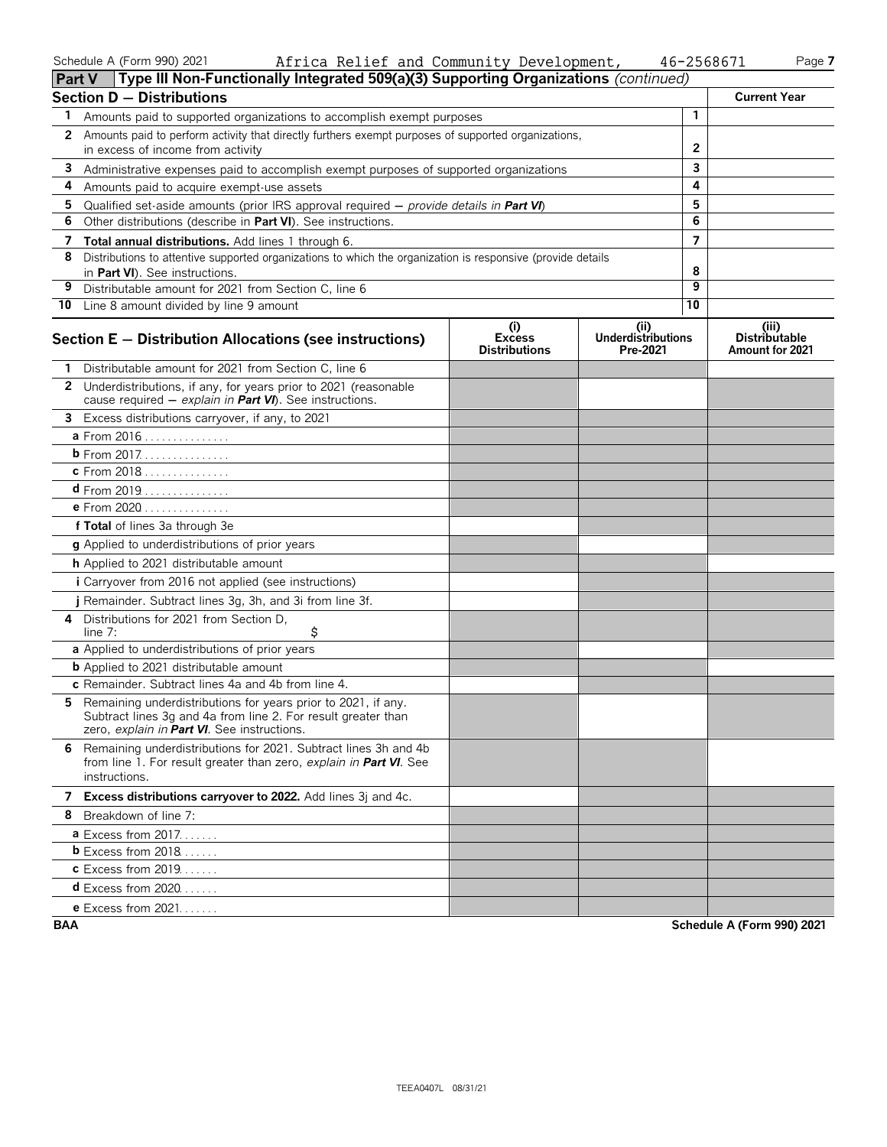#### Schedule A (Form 990) 2021 Page **7** Africa Relief and Community Development, 46-2568671

|              | (Type III Non-Functionally Integrated 509(a)(3) Supporting Organizations (continued)<br><b>Part V</b>                                                                         |                                              |                                               |                |                                                  |
|--------------|-------------------------------------------------------------------------------------------------------------------------------------------------------------------------------|----------------------------------------------|-----------------------------------------------|----------------|--------------------------------------------------|
|              | <b>Section D - Distributions</b>                                                                                                                                              |                                              |                                               |                | <b>Current Year</b>                              |
| 1            | Amounts paid to supported organizations to accomplish exempt purposes                                                                                                         |                                              |                                               | 1              |                                                  |
| $\mathbf{2}$ | Amounts paid to perform activity that directly furthers exempt purposes of supported organizations,                                                                           |                                              |                                               |                |                                                  |
|              | in excess of income from activity                                                                                                                                             |                                              |                                               | 2              |                                                  |
| 3            | Administrative expenses paid to accomplish exempt purposes of supported organizations                                                                                         |                                              |                                               | 3              |                                                  |
| 4            | Amounts paid to acquire exempt-use assets                                                                                                                                     |                                              |                                               | 4              |                                                  |
| 5            | Qualified set-aside amounts (prior IRS approval required $-$ provide details in Part VI)                                                                                      |                                              |                                               | 5              |                                                  |
| 6            | Other distributions (describe in Part VI). See instructions.                                                                                                                  |                                              |                                               | 6              |                                                  |
| 7            | Total annual distributions. Add lines 1 through 6.                                                                                                                            |                                              |                                               | $\overline{7}$ |                                                  |
| 8            | Distributions to attentive supported organizations to which the organization is responsive (provide details<br>in Part VI). See instructions.                                 |                                              |                                               | 8              |                                                  |
| 9            | Distributable amount for 2021 from Section C, line 6                                                                                                                          |                                              |                                               | 9              |                                                  |
|              | 10 Line 8 amount divided by line 9 amount                                                                                                                                     |                                              |                                               | 10             |                                                  |
|              | Section E - Distribution Allocations (see instructions)                                                                                                                       | (i)<br><b>Excess</b><br><b>Distributions</b> | (ii)<br><b>Underdistributions</b><br>Pre-2021 |                | (iii)<br><b>Distributable</b><br>Amount for 2021 |
|              | Distributable amount for 2021 from Section C, line 6                                                                                                                          |                                              |                                               |                |                                                  |
|              | 2 Underdistributions, if any, for years prior to 2021 (reasonable<br>cause required $-$ explain in Part VI). See instructions.                                                |                                              |                                               |                |                                                  |
| 3            | Excess distributions carryover, if any, to 2021                                                                                                                               |                                              |                                               |                |                                                  |
|              | a From 2016                                                                                                                                                                   |                                              |                                               |                |                                                  |
|              | <b>b</b> From 2017.                                                                                                                                                           |                                              |                                               |                |                                                  |
|              | c From 2018                                                                                                                                                                   |                                              |                                               |                |                                                  |
|              | <b>d</b> From 2019                                                                                                                                                            |                                              |                                               |                |                                                  |
|              | <b>e</b> From 2020                                                                                                                                                            |                                              |                                               |                |                                                  |
|              | f Total of lines 3a through 3e                                                                                                                                                |                                              |                                               |                |                                                  |
|              | g Applied to underdistributions of prior years                                                                                                                                |                                              |                                               |                |                                                  |
|              | h Applied to 2021 distributable amount                                                                                                                                        |                                              |                                               |                |                                                  |
|              | i Carryover from 2016 not applied (see instructions)                                                                                                                          |                                              |                                               |                |                                                  |
|              | j Remainder. Subtract lines 3g, 3h, and 3i from line 3f.                                                                                                                      |                                              |                                               |                |                                                  |
| 4            | Distributions for 2021 from Section D.<br>\$<br>line $7:$                                                                                                                     |                                              |                                               |                |                                                  |
|              | a Applied to underdistributions of prior years                                                                                                                                |                                              |                                               |                |                                                  |
|              | <b>b</b> Applied to 2021 distributable amount                                                                                                                                 |                                              |                                               |                |                                                  |
|              | c Remainder. Subtract lines 4a and 4b from line 4.                                                                                                                            |                                              |                                               |                |                                                  |
| 5.           | Remaining underdistributions for years prior to 2021, if any.<br>Subtract lines 3g and 4a from line 2. For result greater than<br>zero, explain in Part VI. See instructions. |                                              |                                               |                |                                                  |
|              | 6 Remaining underdistributions for 2021. Subtract lines 3h and 4b<br>from line 1. For result greater than zero, explain in Part VI. See<br>instructions.                      |                                              |                                               |                |                                                  |
|              | 7 Excess distributions carryover to 2022. Add lines 3j and 4c.                                                                                                                |                                              |                                               |                |                                                  |
|              | 8 Breakdown of line 7:                                                                                                                                                        |                                              |                                               |                |                                                  |
|              | <b>a</b> Excess from 2017.                                                                                                                                                    |                                              |                                               |                |                                                  |
|              | <b>b</b> Excess from $2018$                                                                                                                                                   |                                              |                                               |                |                                                  |
|              | <b>c</b> Excess from 2019.                                                                                                                                                    |                                              |                                               |                |                                                  |
|              | <b>d</b> Excess from 2020                                                                                                                                                     |                                              |                                               |                |                                                  |
|              | e Excess from 2021.                                                                                                                                                           |                                              |                                               |                |                                                  |

**BAA Schedule A (Form 990) 2021**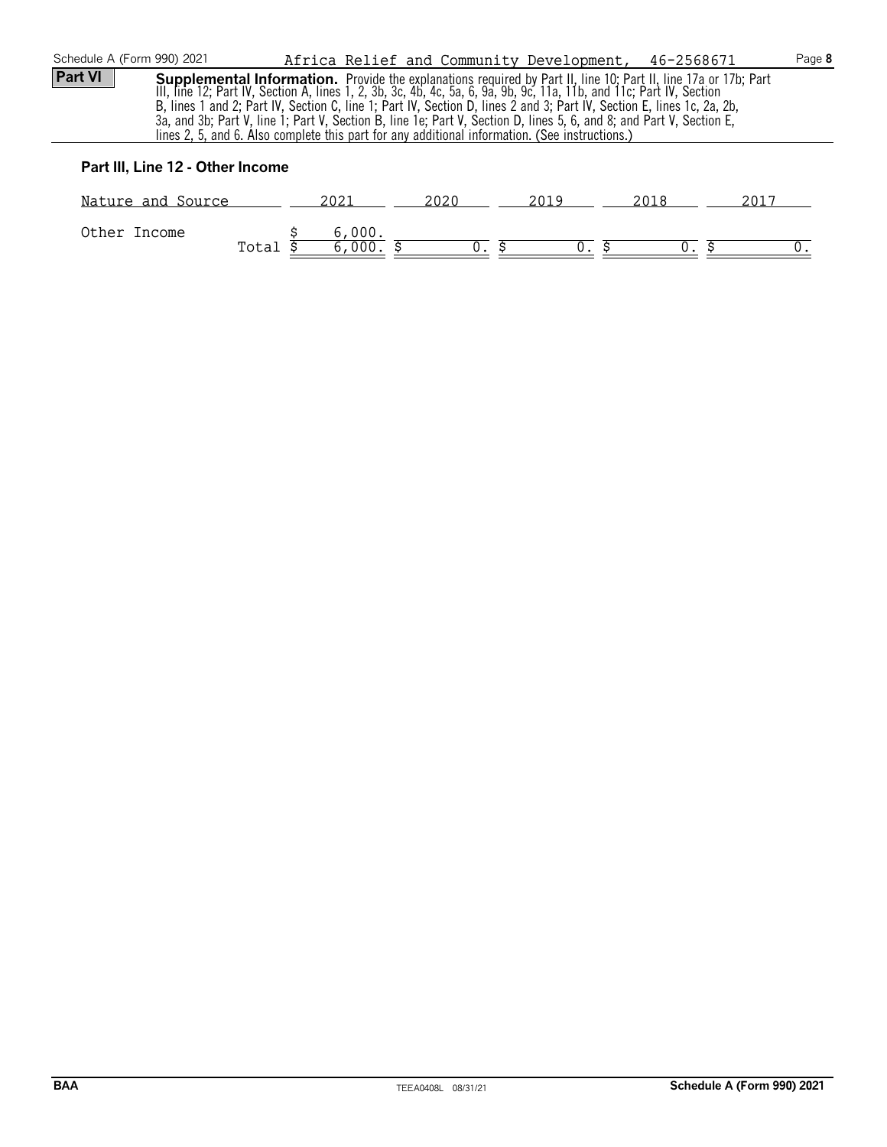| Schedule A (Form 990) 2021                                                                                                                                                                                                                                                                                                                                                                                                                                                                                                                                                                                |        | Africa Relief and Community Development, 46-2568671 |      |      | Page 8 |
|-----------------------------------------------------------------------------------------------------------------------------------------------------------------------------------------------------------------------------------------------------------------------------------------------------------------------------------------------------------------------------------------------------------------------------------------------------------------------------------------------------------------------------------------------------------------------------------------------------------|--------|-----------------------------------------------------|------|------|--------|
| <b>Part VI</b><br><b>Supplemental Information.</b> Provide the explanations required by Part II, line 10; Part II, line 17a or 17b; Part III, line 12; Part IV, Section A, lines 1, 2, 3b, 3c, 4b, 4c, 5a, 6, 9a, 9b, 9c, 11a, 11b, and 11c; Part IV,<br>B, lines 1 and 2; Part IV, Section C, line 1; Part IV, Section D, lines 2 and 3; Part IV, Section E, lines 1c, 2a, 2b,<br>3a, and 3b; Part V, line 1; Part V, Section B, line 1e; Part V, Section D, lines 5, 6, and 8; and Part V, Section E,<br>lines 2, 5, and 6. Also complete this part for any additional information. (See instructions.) |        |                                                     |      |      |        |
| Part III, Line 12 - Other Income                                                                                                                                                                                                                                                                                                                                                                                                                                                                                                                                                                          |        |                                                     |      |      |        |
| Nature and Source                                                                                                                                                                                                                                                                                                                                                                                                                                                                                                                                                                                         | 2021   | 2020                                                | 2019 | 2018 | 2017   |
| Other Income                                                                                                                                                                                                                                                                                                                                                                                                                                                                                                                                                                                              | 6,000. |                                                     |      |      |        |

 $\texttt{Total 5} \qquad 6,000. \; \$ \qquad \qquad 0. \; \$ \qquad \qquad 0. \; \$ \qquad \qquad 0. \; \$ \qquad \qquad 0. \;$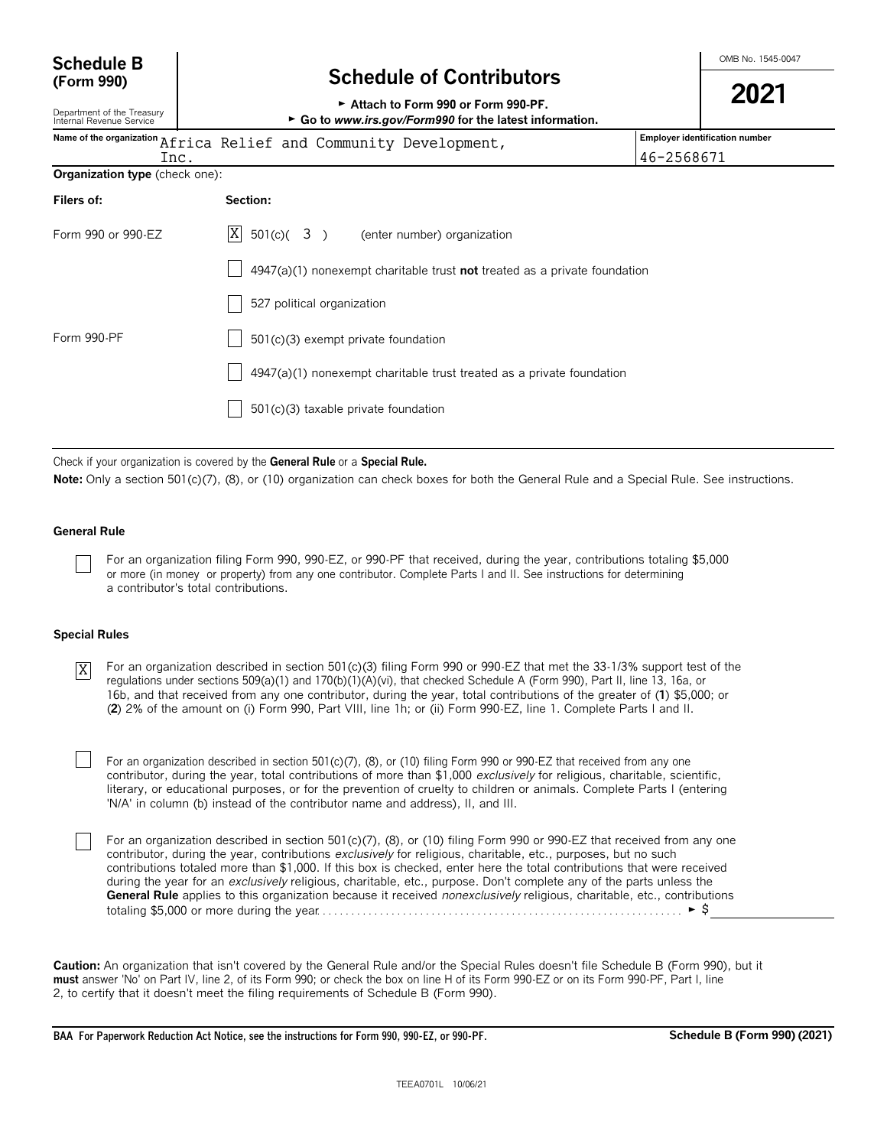| <b>Schedule B</b> |  |
|-------------------|--|
| (Form 990)        |  |

## **Schedule B**  $\overline{B}$  **Schedule B**  $\overline{C}$  and  $\overline{D}$  **Schedule B**  $\overline{S}$  **Schedule B**  $\overline{S}$  **Schedule B**  $\overline{S}$  **SC**  $\overline{S}$  **SC**  $\overline{S}$  **SC**  $\overline{S}$  **SC**  $\overline{S}$  **SC**  $\overline{S}$  **SC**  $\overline{S}$  **SC**  $\overline{S}$

| (Form 990)                                             | <b>Schedule of Contributors</b>                                                               |                                                                       | 2021                                  |  |  |
|--------------------------------------------------------|-----------------------------------------------------------------------------------------------|-----------------------------------------------------------------------|---------------------------------------|--|--|
| Department of the Treasury<br>Internal Revenue Service | Attach to Form 990 or Form 990-PF.<br>► Go to www.irs.gov/Form990 for the latest information. |                                                                       |                                       |  |  |
| Inc.                                                   | Name of the organization Africa Relief and Community Development,                             | 46-2568671                                                            | <b>Employer identification number</b> |  |  |
| Organization type (check one):                         |                                                                                               |                                                                       |                                       |  |  |
| Filers of:                                             | Section:                                                                                      |                                                                       |                                       |  |  |
| Form 990 or 990-EZ                                     | $ X $ 501(c)( 3)<br>(enter number) organization                                               |                                                                       |                                       |  |  |
|                                                        | $4947(a)(1)$ nonexempt charitable trust not treated as a private foundation                   |                                                                       |                                       |  |  |
|                                                        | 527 political organization                                                                    |                                                                       |                                       |  |  |
| Form 990-PF                                            | 501(c)(3) exempt private foundation                                                           |                                                                       |                                       |  |  |
|                                                        |                                                                                               | 4947(a)(1) nonexempt charitable trust treated as a private foundation |                                       |  |  |
|                                                        | 501(c)(3) taxable private foundation                                                          |                                                                       |                                       |  |  |
|                                                        |                                                                                               |                                                                       |                                       |  |  |

Check if your organization is covered by the **General Rule** or a **Special Rule.**

Note: Only a section 501(c)(7), (8), or (10) organization can check boxes for both the General Rule and a Special Rule. See instructions.

#### **General Rule**

For an organization filing Form 990, 990-EZ, or 990-PF that received, during the year, contributions totaling \$5,000 or more (in money or property) from any one contributor. Complete Parts I and II. See instructions for determining a contributor's total contributions.

#### **Special Rules**

For an organization described in section 501(c)(3) filing Form 990 or 990-EZ that met the 33-1/3% support test of the regulations under sections 509(a)(1) and 170(b)(1)(A)(vi), that checked Schedule A (Form 990), Part II, line 13, 16a, or 16b, and that received from any one contributor, during the year, total contributions of the greater of (**1**) \$5,000; or (**2**) 2% of the amount on (i) Form 990, Part VIII, line 1h; or (ii) Form 990-EZ, line 1. Complete Parts I and II. X

For an organization described in section 501(c)(7), (8), or (10) filing Form 990 or 990-EZ that received from any one contributor, during the year, total contributions of more than \$1,000 *exclusively* for religious, charitable, scientific, literary, or educational purposes, or for the prevention of cruelty to children or animals. Complete Parts I (entering 'N/A' in column (b) instead of the contributor name and address), II, and III.

For an organization described in section 501(c)(7), (8), or (10) filing Form 990 or 990-EZ that received from any one contributor, during the year, contributions *exclusively* for religious, charitable, etc., purposes, but no such contributions totaled more than \$1,000. If this box is checked, enter here the total contributions that were received during the year for an *exclusively* religious, charitable, etc., purpose. Don't complete any of the parts unless the **General Rule** applies to this organization because it received *nonexclusively* religious, charitable, etc., contributions totaling \$5,000 or more during the year. . . . . . . . . . . . . . . . . . . . . . . . . . . . . . . . . . . . . . . . . . . . . . . . . . . . . . . . . . . . . . . . G \$

**Caution:** An organization that isn't covered by the General Rule and/or the Special Rules doesn't file Schedule B (Form 990), but it **must** answer 'No' on Part IV, line 2, of its Form 990; or check the box on line H of its Form 990-EZ or on its Form 990-PF, Part I, line 2, to certify that it doesn't meet the filing requirements of Schedule B (Form 990).

**BAA For Paperwork Reduction Act Notice, see the instructions for Form 990, 990-EZ, or 990-PF. Schedule B (Form 990) (2021)**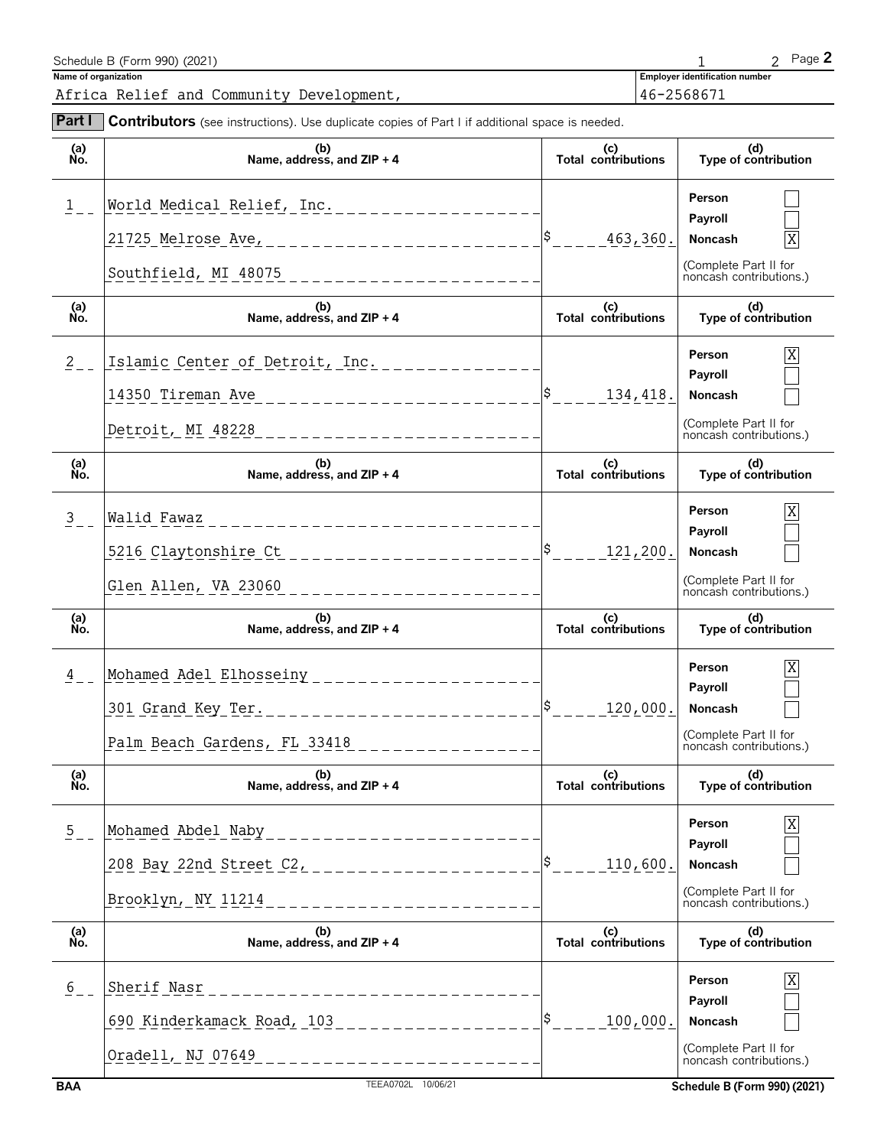| Schedule B (Form 990) (2021)             |                                       | $P$ ade $\blacktriangle$ |
|------------------------------------------|---------------------------------------|--------------------------|
| Name of organization                     | <b>Employer identification number</b> |                          |
| Africa Relief and Community Development, | 46-2568671                            |                          |
|                                          |                                       |                          |

| Part I             | <b>Contributors</b> (see instructions). Use duplicate copies of Part I if additional space is needed.                                             |                                   |                                                                                       |
|--------------------|---------------------------------------------------------------------------------------------------------------------------------------------------|-----------------------------------|---------------------------------------------------------------------------------------|
| (a)<br>No.         | (b)<br>Name, address, and ZIP + 4                                                                                                                 | (c)<br>Total contributions        | (d)<br>Type of contribution                                                           |
| 1                  | World Medical Relief, Inc. _____________________<br>21725 Melrose Ave, ____________________________                                               | 463,360.                          | Person<br>Payroll<br>Noncash<br>(Complete Part II for<br>noncash contributions.)      |
| (a)<br>No.         | (b)<br>Name, address, and $ZIP + 4$                                                                                                               | (c)<br>Total contributions        | (d)<br>Type of contribution                                                           |
| $2 \overline{ }$   | Islamic Center of Detroit, Inc. _______________<br>14350 Tireman Ave<br>_______________________<br>Detroit, MI 48228<br>------------------------- | 134,418.                          | Χ<br>Person<br>Payroll<br>Noncash<br>(Complete Part II for<br>noncash contributions.) |
| (a)<br>Ňó.         | (b)<br>Name, address, and ZIP + 4                                                                                                                 | (c)<br><b>Total contributions</b> | (d)<br>Type of contribution                                                           |
| 3 <sup>7</sup>     | Walid Fawaz<br>-------------------------<br>5216 Claytonshire Ct<br>______________________<br>Glen Allen, VA 23060 ___________________________    | 121,200.                          | Χ<br>Person<br>Payroll<br>Noncash<br>(Complete Part II for<br>noncash contributions.) |
| (a)<br>No.         | (b)<br>Name, address, and ZIP + 4                                                                                                                 | (c)<br>Total contributions        | (d)<br>Type of contribution                                                           |
| 4                  | Mohamed Adel Elhosseiny _____________________<br>Palm Beach Gardens, FL 33418<br>________________                                                 | ١Ş.<br>120,000.                   | Person<br>Payroll<br>Noncash<br>(Complete Part II for<br>noncash contributions.)      |
| (a)<br>Ńó.         | (b)<br>Name, address, and ZIP + 4                                                                                                                 | (c)<br><b>Total contributions</b> | (d)<br>Type of contribution                                                           |
| $\overline{5}$ – – | Mohamed Abdel Naby<br>____________________<br>208 Bay 22nd Street C2, _____________________<br>Brooklyn, NY 11214<br>________________             | 110,600.                          | Person<br>Payroll<br>Noncash<br>(Complete Part II for<br>noncash contributions.)      |
| (a)<br>No.         | (b)<br>Name, address, and $ZIP + 4$                                                                                                               | (c)<br>Total contributions        | (d)<br>Type of contribution                                                           |
| $\frac{6}{5}$ –    | Sherif Nasr<br>______________________<br>690 Kinderkamack Road, 103 __________________<br>Oradell, NJ 07649<br>______________________             | 100,000.                          | Person<br>Payroll<br>Noncash<br>(Complete Part II for<br>noncash contributions.)      |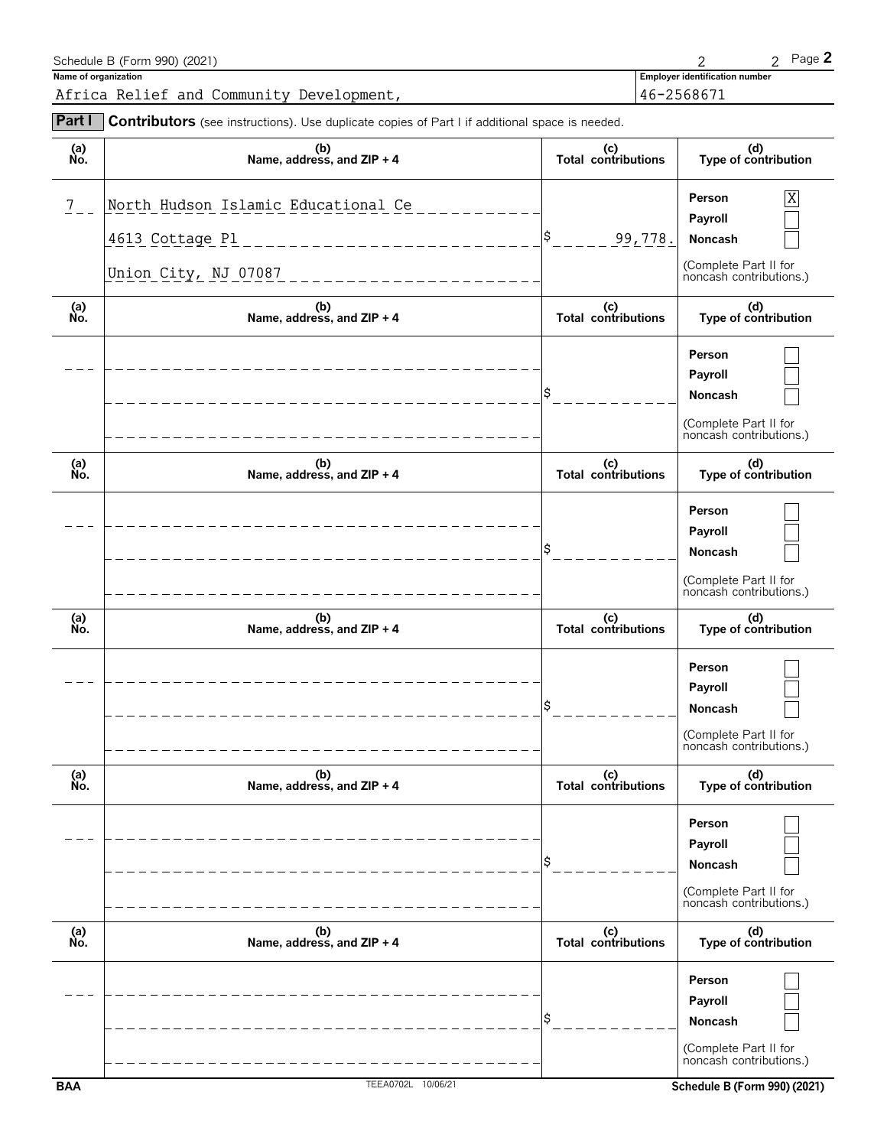| Schedule B (Form 990) (2021)                                                                               |                                       | Page 2 |
|------------------------------------------------------------------------------------------------------------|---------------------------------------|--------|
| Name of organization                                                                                       | <b>Employer identification number</b> |        |
| Africa Relief and Community Development,                                                                   | 46-2568671                            |        |
| <b>Part Contributors</b> (see instructions). Use duplicate copies of Part I if additional space is needed. |                                       |        |

| (a)<br>No.      | (b)<br>Name, address, and $ZIP + 4$                                                                                             | (c)<br>Total contributions | (d)<br>Type of contribution                                                                                      |
|-----------------|---------------------------------------------------------------------------------------------------------------------------------|----------------------------|------------------------------------------------------------------------------------------------------------------|
| $7\phantom{.0}$ | North Hudson Islamic Educational Ce<br>4613 Cottage Pl<br>______________________<br>Union City, NJ 07087<br>------------------- | \$.<br>99,778.             | X<br>Person<br>Payroll<br>Noncash<br>(Complete Part II for<br>noncash contributions.)                            |
| (a)<br>No.      | (b)<br>Name, address, and ZIP + 4                                                                                               | (c)<br>Total contributions | (d)<br>Type of contribution                                                                                      |
|                 |                                                                                                                                 |                            | Person<br>Payroll<br>Noncash<br>(Complete Part II for<br>noncash contributions.)                                 |
| (a)<br>No.      | (b)<br>Name, address, and ZIP + 4                                                                                               | (c)<br>Total contributions | (d)<br>Type of contribution                                                                                      |
|                 |                                                                                                                                 | S                          | Person<br>Payroll<br>Noncash<br>(Complete Part II for<br>noncash contributions.)                                 |
| (a)<br>No.      | (b)<br>Name, address, and ZIP + 4                                                                                               | (c)<br>Total contributions | (d)<br>Type of contribution                                                                                      |
|                 |                                                                                                                                 |                            | Person<br>Payroll<br>Noncash<br>(Complete Part II for<br>noncash contributions.)                                 |
| (a)<br>No.      | (b)<br>Name, address, and ZIP + 4                                                                                               | (c)<br>Total contributions | (d)<br>Type of contribution                                                                                      |
|                 |                                                                                                                                 |                            | Person<br>Payroll<br>Noncash<br>(Complete Part II for<br>noncash contributions.)                                 |
| (a)<br>No.      | (b)<br>Name, address, and ZIP + 4                                                                                               | (c)<br>Total contributions | (d)<br>Type of contribution                                                                                      |
| <b>BAA</b>      | TEEA0702L 10/06/21                                                                                                              |                            | Person<br>Payroll<br>Noncash<br>(Complete Part II for<br>noncash contributions.)<br>Schedule B (Form 990) (2021) |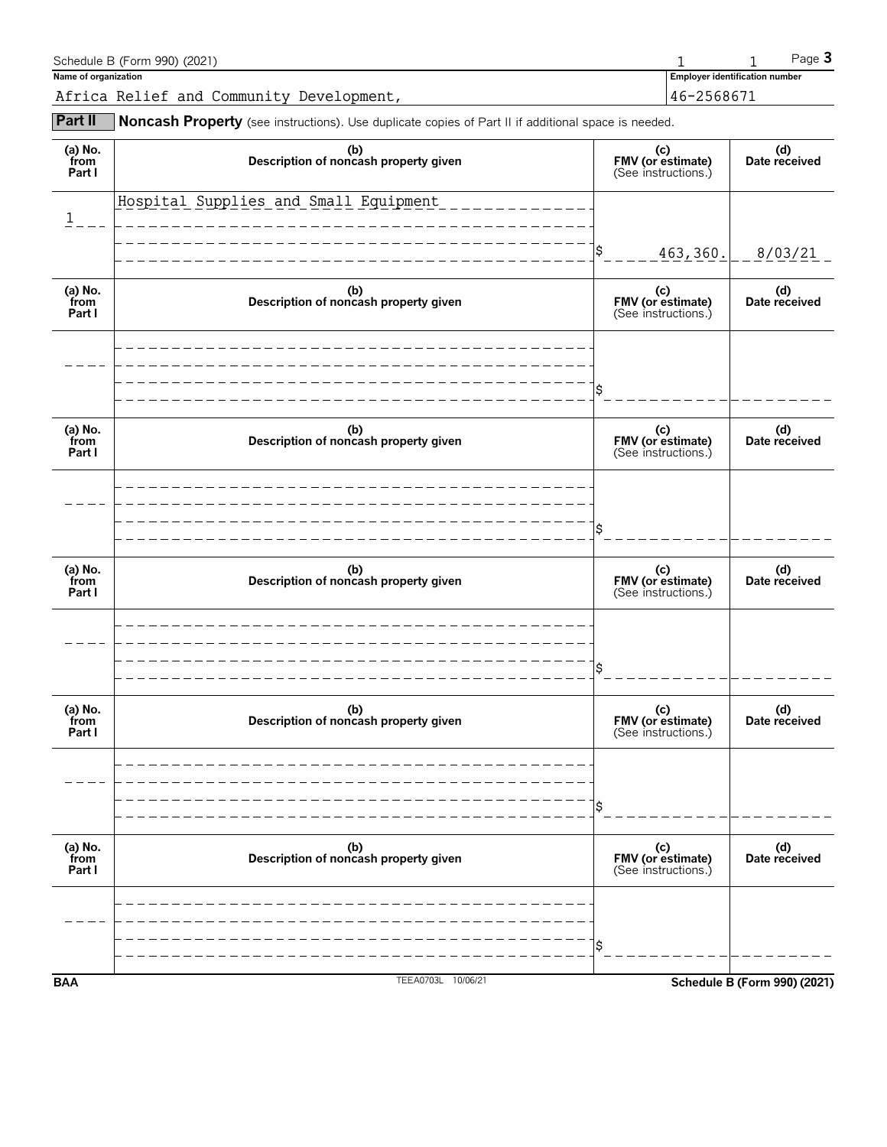| Schedule B (Form 990) (2021)             |                                       | $P$ aqe $\mathbf{3}$ |
|------------------------------------------|---------------------------------------|----------------------|
| Name of organization                     | <b>Employer identification number</b> |                      |
| Africa Relief and Community Development, | 46-2568671                            |                      |

**Part II** Noncash Property (see instructions). Use duplicate copies of Part II if additional space is needed.

| Part I                    |                                              |                                                 |                      |
|---------------------------|----------------------------------------------|-------------------------------------------------|----------------------|
|                           |                                              |                                                 |                      |
|                           |                                              |                                                 |                      |
|                           |                                              | (c)<br>FMV (or estimate)<br>(See instructions.) |                      |
| (a) No.<br>from           | (b)<br>Description of noncash property given |                                                 | (d)<br>Date received |
|                           |                                              | Ś                                               |                      |
|                           |                                              |                                                 |                      |
| Part I                    |                                              | (c)<br>FMV (or estimate)<br>(See instructions.) |                      |
| (a) No.<br>from           | (b)<br>Description of noncash property given |                                                 | (d)<br>Date received |
|                           |                                              | \$                                              |                      |
|                           |                                              |                                                 |                      |
| (a) No.<br>from<br>Part I | (b)<br>Description of noncash property given | (c)<br>FMV (or estimate)<br>(See instructions.) | (d)<br>Date received |
|                           |                                              | \$<br>463,360.                                  | 8/03/21              |
| 1                         |                                              |                                                 |                      |
|                           | Hospital Supplies and Small Equipment        |                                                 |                      |
| (a) No.<br>from<br>Part I | (b)<br>Description of noncash property given | (c)<br>FMV (or estimate)<br>(See instructions.) | (d)<br>Date received |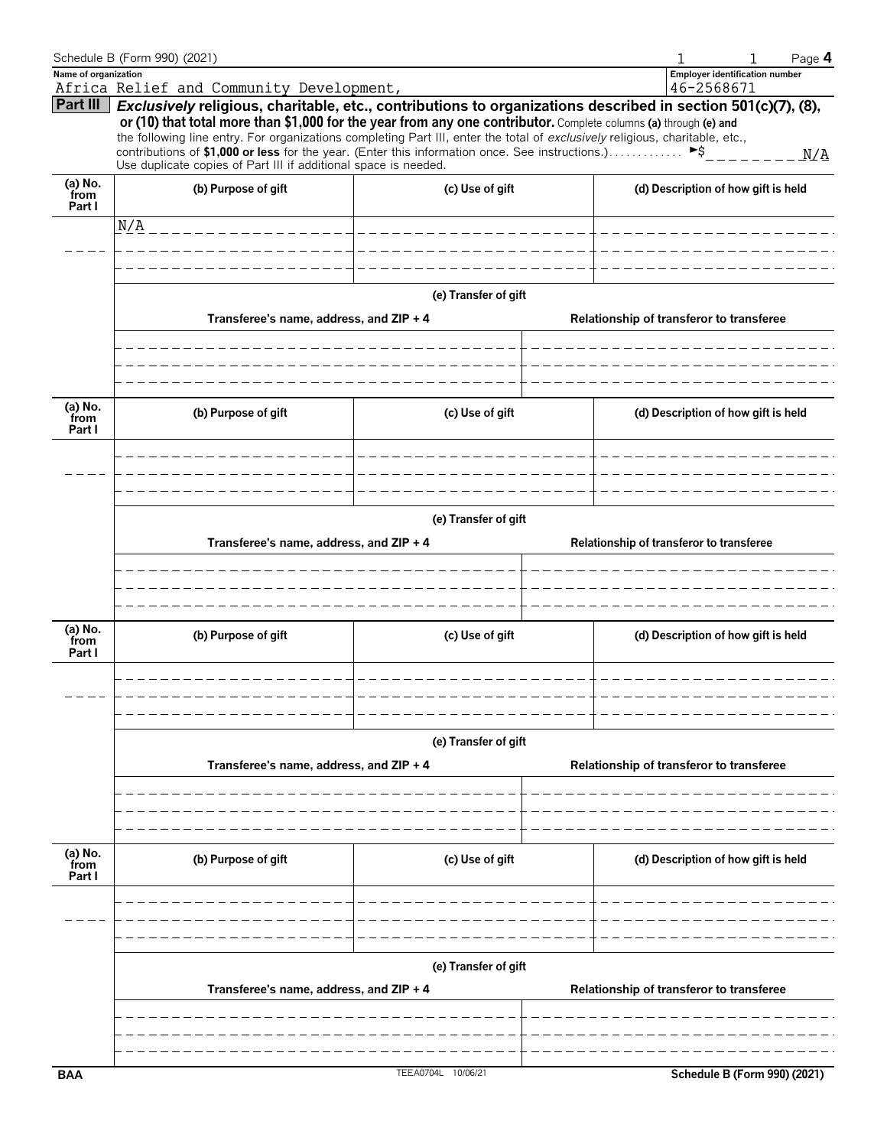|                           | Schedule B (Form 990) (2021)                                                                                                                                                                                                                                                                                                                                                                                                                                                                                                                                             |                                  |                                          | 1                                        | Page 4 |  |  |
|---------------------------|--------------------------------------------------------------------------------------------------------------------------------------------------------------------------------------------------------------------------------------------------------------------------------------------------------------------------------------------------------------------------------------------------------------------------------------------------------------------------------------------------------------------------------------------------------------------------|----------------------------------|------------------------------------------|------------------------------------------|--------|--|--|
| Name of organization      |                                                                                                                                                                                                                                                                                                                                                                                                                                                                                                                                                                          |                                  |                                          | <b>Employer identification number</b>    |        |  |  |
| Part III                  | Africa Relief and Community Development,                                                                                                                                                                                                                                                                                                                                                                                                                                                                                                                                 |                                  |                                          | 46-2568671                               |        |  |  |
|                           | Exclusively religious, charitable, etc., contributions to organizations described in section 501(c)(7), (8),<br>or (10) that total more than \$1,000 for the year from any one contributor. Complete columns (a) through (e) and<br>the following line entry. For organizations completing Part III, enter the total of exclusively religious, charitable, etc.,<br>contributions of \$1,000 or less for the year. (Enter this information once. See instructions.) $\triangleright$ \$___________N/A<br>Use duplicate copies of Part III if additional space is needed. |                                  |                                          |                                          |        |  |  |
| (a) No.<br>from<br>Part I | (b) Purpose of gift                                                                                                                                                                                                                                                                                                                                                                                                                                                                                                                                                      | (c) Use of gift                  |                                          | (d) Description of how gift is held      |        |  |  |
|                           | N/A                                                                                                                                                                                                                                                                                                                                                                                                                                                                                                                                                                      |                                  |                                          |                                          |        |  |  |
|                           |                                                                                                                                                                                                                                                                                                                                                                                                                                                                                                                                                                          |                                  |                                          |                                          |        |  |  |
|                           | Transferee's name, address, and ZIP + 4                                                                                                                                                                                                                                                                                                                                                                                                                                                                                                                                  | (e) Transfer of gift             |                                          | Relationship of transferor to transferee |        |  |  |
|                           |                                                                                                                                                                                                                                                                                                                                                                                                                                                                                                                                                                          |                                  |                                          |                                          |        |  |  |
| (a) No.<br>from<br>Part I | (b) Purpose of gift                                                                                                                                                                                                                                                                                                                                                                                                                                                                                                                                                      | (c) Use of gift                  |                                          | (d) Description of how gift is held      |        |  |  |
|                           |                                                                                                                                                                                                                                                                                                                                                                                                                                                                                                                                                                          |                                  |                                          |                                          |        |  |  |
|                           | (e) Transfer of gift                                                                                                                                                                                                                                                                                                                                                                                                                                                                                                                                                     |                                  |                                          |                                          |        |  |  |
|                           | Transferee's name, address, and ZIP + 4                                                                                                                                                                                                                                                                                                                                                                                                                                                                                                                                  |                                  |                                          | Relationship of transferor to transferee |        |  |  |
|                           |                                                                                                                                                                                                                                                                                                                                                                                                                                                                                                                                                                          |                                  |                                          |                                          |        |  |  |
| (a) No.<br>from<br>Part I | (b) Purpose of gift<br>the contract of the contract of the contract of                                                                                                                                                                                                                                                                                                                                                                                                                                                                                                   | (c) Use of gift<br>$\frac{1}{2}$ |                                          | (d) Description of how gift is held      |        |  |  |
|                           |                                                                                                                                                                                                                                                                                                                                                                                                                                                                                                                                                                          |                                  |                                          |                                          |        |  |  |
|                           | Transferee's name, address, and ZIP + 4                                                                                                                                                                                                                                                                                                                                                                                                                                                                                                                                  | (e) Transfer of gift             |                                          | Relationship of transferor to transferee |        |  |  |
|                           |                                                                                                                                                                                                                                                                                                                                                                                                                                                                                                                                                                          |                                  |                                          |                                          |        |  |  |
|                           |                                                                                                                                                                                                                                                                                                                                                                                                                                                                                                                                                                          |                                  |                                          |                                          |        |  |  |
| (a) No.<br>from<br>Part I | (b) Purpose of gift                                                                                                                                                                                                                                                                                                                                                                                                                                                                                                                                                      | (c) Use of gift                  |                                          | (d) Description of how gift is held      |        |  |  |
|                           |                                                                                                                                                                                                                                                                                                                                                                                                                                                                                                                                                                          |                                  |                                          |                                          |        |  |  |
|                           |                                                                                                                                                                                                                                                                                                                                                                                                                                                                                                                                                                          |                                  |                                          |                                          |        |  |  |
|                           | Transferee's name, address, and ZIP + 4                                                                                                                                                                                                                                                                                                                                                                                                                                                                                                                                  | (e) Transfer of gift             | Relationship of transferor to transferee |                                          |        |  |  |
|                           |                                                                                                                                                                                                                                                                                                                                                                                                                                                                                                                                                                          |                                  |                                          |                                          |        |  |  |
| <b>BAA</b>                |                                                                                                                                                                                                                                                                                                                                                                                                                                                                                                                                                                          | TEEA0704L 10/06/21               |                                          | Schedule B (Form 990) (2021)             |        |  |  |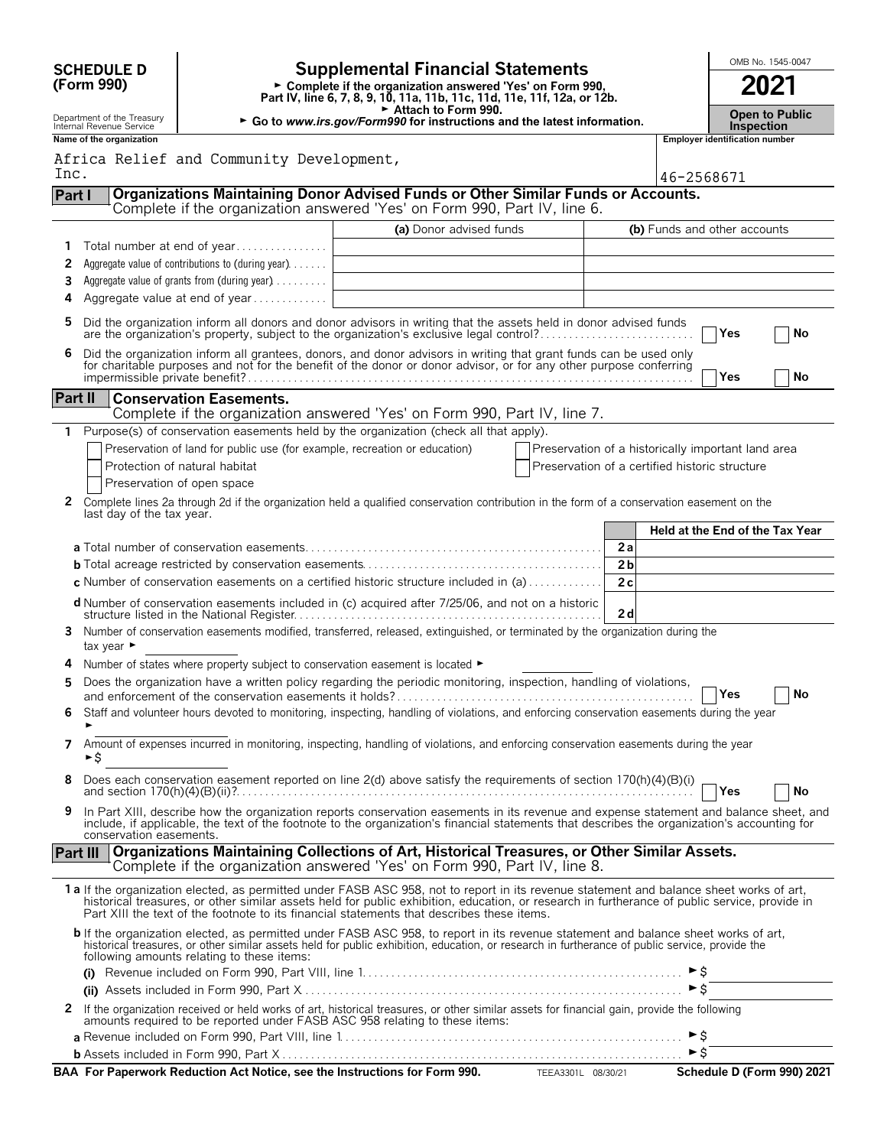| <b>Supplemental Financial Statements</b><br><b>SCHEDULE D</b><br>(Form 990)<br>► Complete if the organization answered 'Yes' on Form 990,<br>Part IV, line 6, 7, 8, 9, 10, 11a, 11b, 11c, 11d, 11e, 11f, 12a, or 12b.<br>Attach to Form 990.<br>Department of the Treasury<br>► Go to www.irs.gov/Form990 for instructions and the latest information.<br>Internal Revenue Service |                                |                                                                                |                                                                                                                                                                                                                                                                                                                                                                                        |                                                    |                      |                           |                                       | OMB No. 1545-0047<br>2021<br><b>Open to Public</b><br><b>Inspection</b> |  |
|------------------------------------------------------------------------------------------------------------------------------------------------------------------------------------------------------------------------------------------------------------------------------------------------------------------------------------------------------------------------------------|--------------------------------|--------------------------------------------------------------------------------|----------------------------------------------------------------------------------------------------------------------------------------------------------------------------------------------------------------------------------------------------------------------------------------------------------------------------------------------------------------------------------------|----------------------------------------------------|----------------------|---------------------------|---------------------------------------|-------------------------------------------------------------------------|--|
|                                                                                                                                                                                                                                                                                                                                                                                    | Name of the organization       | Africa Relief and Community Development,                                       |                                                                                                                                                                                                                                                                                                                                                                                        |                                                    |                      |                           | <b>Employer identification number</b> |                                                                         |  |
| Inc.<br>Part I                                                                                                                                                                                                                                                                                                                                                                     |                                |                                                                                | Organizations Maintaining Donor Advised Funds or Other Similar Funds or Accounts.                                                                                                                                                                                                                                                                                                      |                                                    |                      | 46-2568671                |                                       |                                                                         |  |
|                                                                                                                                                                                                                                                                                                                                                                                    |                                |                                                                                | Complete if the organization answered 'Yes' on Form 990, Part IV, line 6.                                                                                                                                                                                                                                                                                                              |                                                    |                      |                           |                                       |                                                                         |  |
|                                                                                                                                                                                                                                                                                                                                                                                    |                                |                                                                                | (a) Donor advised funds                                                                                                                                                                                                                                                                                                                                                                |                                                    |                      |                           | (b) Funds and other accounts          |                                                                         |  |
| 1                                                                                                                                                                                                                                                                                                                                                                                  |                                | Total number at end of year                                                    |                                                                                                                                                                                                                                                                                                                                                                                        |                                                    |                      |                           |                                       |                                                                         |  |
| 2                                                                                                                                                                                                                                                                                                                                                                                  |                                | Aggregate value of contributions to (during year)                              |                                                                                                                                                                                                                                                                                                                                                                                        |                                                    |                      |                           |                                       |                                                                         |  |
| 3<br>4                                                                                                                                                                                                                                                                                                                                                                             |                                | Aggregate value of grants from (during year)<br>Aggregate value at end of year |                                                                                                                                                                                                                                                                                                                                                                                        |                                                    |                      |                           |                                       |                                                                         |  |
| 5                                                                                                                                                                                                                                                                                                                                                                                  |                                |                                                                                | Did the organization inform all donors and donor advisors in writing that the assets held in donor advised funds                                                                                                                                                                                                                                                                       |                                                    |                      |                           |                                       |                                                                         |  |
|                                                                                                                                                                                                                                                                                                                                                                                    |                                |                                                                                | are the organization's property, subject to the organization's exclusive legal control?                                                                                                                                                                                                                                                                                                |                                                    |                      |                           | Yes                                   | No                                                                      |  |
| 6                                                                                                                                                                                                                                                                                                                                                                                  |                                |                                                                                | Did the organization inform all grantees, donors, and donor advisors in writing that grant funds can be used only<br>for charitable purposes and not for the benefit of the donor or donor advisor, or for any other purpose conferring                                                                                                                                                |                                                    |                      |                           |                                       |                                                                         |  |
|                                                                                                                                                                                                                                                                                                                                                                                    |                                |                                                                                |                                                                                                                                                                                                                                                                                                                                                                                        |                                                    |                      |                           | Yes                                   | No                                                                      |  |
| Part II                                                                                                                                                                                                                                                                                                                                                                            |                                | <b>Conservation Easements.</b>                                                 |                                                                                                                                                                                                                                                                                                                                                                                        |                                                    |                      |                           |                                       |                                                                         |  |
| 1.                                                                                                                                                                                                                                                                                                                                                                                 |                                |                                                                                | Complete if the organization answered 'Yes' on Form 990, Part IV, line 7.<br>Purpose(s) of conservation easements held by the organization (check all that apply).                                                                                                                                                                                                                     |                                                    |                      |                           |                                       |                                                                         |  |
|                                                                                                                                                                                                                                                                                                                                                                                    |                                | Preservation of land for public use (for example, recreation or education)     |                                                                                                                                                                                                                                                                                                                                                                                        | Preservation of a historically important land area |                      |                           |                                       |                                                                         |  |
|                                                                                                                                                                                                                                                                                                                                                                                    |                                | Protection of natural habitat                                                  |                                                                                                                                                                                                                                                                                                                                                                                        | Preservation of a certified historic structure     |                      |                           |                                       |                                                                         |  |
|                                                                                                                                                                                                                                                                                                                                                                                    |                                | Preservation of open space                                                     |                                                                                                                                                                                                                                                                                                                                                                                        |                                                    |                      |                           |                                       |                                                                         |  |
| $\mathbf{2}$                                                                                                                                                                                                                                                                                                                                                                       | last day of the tax year.      |                                                                                | Complete lines 2a through 2d if the organization held a qualified conservation contribution in the form of a conservation easement on the                                                                                                                                                                                                                                              |                                                    |                      |                           |                                       |                                                                         |  |
|                                                                                                                                                                                                                                                                                                                                                                                    |                                |                                                                                |                                                                                                                                                                                                                                                                                                                                                                                        |                                                    |                      |                           | Held at the End of the Tax Year       |                                                                         |  |
|                                                                                                                                                                                                                                                                                                                                                                                    |                                |                                                                                |                                                                                                                                                                                                                                                                                                                                                                                        |                                                    | 2a                   |                           |                                       |                                                                         |  |
|                                                                                                                                                                                                                                                                                                                                                                                    |                                |                                                                                | <b>c</b> Number of conservation easements on a certified historic structure included in (a) $\dots$                                                                                                                                                                                                                                                                                    |                                                    | 2 <sub>b</sub><br>2c |                           |                                       |                                                                         |  |
|                                                                                                                                                                                                                                                                                                                                                                                    |                                |                                                                                | d Number of conservation easements included in (c) acquired after 7/25/06, and not on a historic                                                                                                                                                                                                                                                                                       |                                                    |                      |                           |                                       |                                                                         |  |
| 3.                                                                                                                                                                                                                                                                                                                                                                                 |                                |                                                                                | Number of conservation easements modified, transferred, released, extinguished, or terminated by the organization during the                                                                                                                                                                                                                                                           |                                                    | 2d                   |                           |                                       |                                                                         |  |
|                                                                                                                                                                                                                                                                                                                                                                                    | tax year $\blacktriangleright$ |                                                                                |                                                                                                                                                                                                                                                                                                                                                                                        |                                                    |                      |                           |                                       |                                                                         |  |
|                                                                                                                                                                                                                                                                                                                                                                                    |                                | Number of states where property subject to conservation easement is located ►  | Does the organization have a written policy regarding the periodic monitoring, inspection, handling of violations,                                                                                                                                                                                                                                                                     |                                                    |                      |                           |                                       |                                                                         |  |
| 5                                                                                                                                                                                                                                                                                                                                                                                  |                                |                                                                                | and enforcement of the conservation easements it holds?                                                                                                                                                                                                                                                                                                                                |                                                    |                      |                           | <b>TYes</b>                           | No                                                                      |  |
|                                                                                                                                                                                                                                                                                                                                                                                    |                                |                                                                                | Staff and volunteer hours devoted to monitoring, inspecting, handling of violations, and enforcing conservation easements during the year                                                                                                                                                                                                                                              |                                                    |                      |                           |                                       |                                                                         |  |
| 7                                                                                                                                                                                                                                                                                                                                                                                  | ►\$                            |                                                                                | Amount of expenses incurred in monitoring, inspecting, handling of violations, and enforcing conservation easements during the year                                                                                                                                                                                                                                                    |                                                    |                      |                           |                                       |                                                                         |  |
| 8                                                                                                                                                                                                                                                                                                                                                                                  |                                |                                                                                | Does each conservation easement reported on line 2(d) above satisfy the requirements of section 170(h)(4)(B)(i)                                                                                                                                                                                                                                                                        |                                                    |                      |                           | Yes                                   | No                                                                      |  |
| 9                                                                                                                                                                                                                                                                                                                                                                                  | conservation easements.        |                                                                                | In Part XIII, describe how the organization reports conservation easements in its revenue and expense statement and balance sheet, and<br>include, if applicable, the text of the footnote to the organization's financial statements that describes the organization's accounting for                                                                                                 |                                                    |                      |                           |                                       |                                                                         |  |
| <b>Part III</b>                                                                                                                                                                                                                                                                                                                                                                    |                                |                                                                                | Organizations Maintaining Collections of Art, Historical Treasures, or Other Similar Assets.<br>Complete if the organization answered 'Yes' on Form 990, Part IV, line 8.                                                                                                                                                                                                              |                                                    |                      |                           |                                       |                                                                         |  |
|                                                                                                                                                                                                                                                                                                                                                                                    |                                |                                                                                | 1a If the organization elected, as permitted under FASB ASC 958, not to report in its revenue statement and balance sheet works of art,<br>historical treasures, or other similar assets held for public exhibition, education, or research in furtherance of public service, provide in<br>Part XIII the text of the footnote to its financial statements that describes these items. |                                                    |                      |                           |                                       |                                                                         |  |
|                                                                                                                                                                                                                                                                                                                                                                                    |                                | following amounts relating to these items:                                     | <b>b</b> If the organization elected, as permitted under FASB ASC 958, to report in its revenue statement and balance sheet works of art, historical treasures, or other similar assets held for public exhibition, education, or r                                                                                                                                                    |                                                    |                      |                           |                                       |                                                                         |  |
|                                                                                                                                                                                                                                                                                                                                                                                    |                                |                                                                                |                                                                                                                                                                                                                                                                                                                                                                                        |                                                    |                      | ►s                        |                                       |                                                                         |  |
|                                                                                                                                                                                                                                                                                                                                                                                    |                                |                                                                                |                                                                                                                                                                                                                                                                                                                                                                                        |                                                    |                      |                           |                                       |                                                                         |  |
| 2                                                                                                                                                                                                                                                                                                                                                                                  |                                |                                                                                | If the organization received or held works of art, historical treasures, or other similar assets for financial gain, provide the following<br>amounts required to be reported under FASB ASC 958 relating to these items:                                                                                                                                                              |                                                    |                      |                           |                                       |                                                                         |  |
|                                                                                                                                                                                                                                                                                                                                                                                    |                                |                                                                                |                                                                                                                                                                                                                                                                                                                                                                                        |                                                    |                      | ►Ŝ<br>$\triangleright$ \$ |                                       |                                                                         |  |
|                                                                                                                                                                                                                                                                                                                                                                                    |                                |                                                                                | <b>BAA For Paperwork Reduction Act Notice, see the Instructions for Form 990.</b> TEEA3301L 08/30/21                                                                                                                                                                                                                                                                                   |                                                    |                      |                           |                                       | Schedule D (Form 990) 2021                                              |  |
|                                                                                                                                                                                                                                                                                                                                                                                    |                                |                                                                                |                                                                                                                                                                                                                                                                                                                                                                                        |                                                    |                      |                           |                                       |                                                                         |  |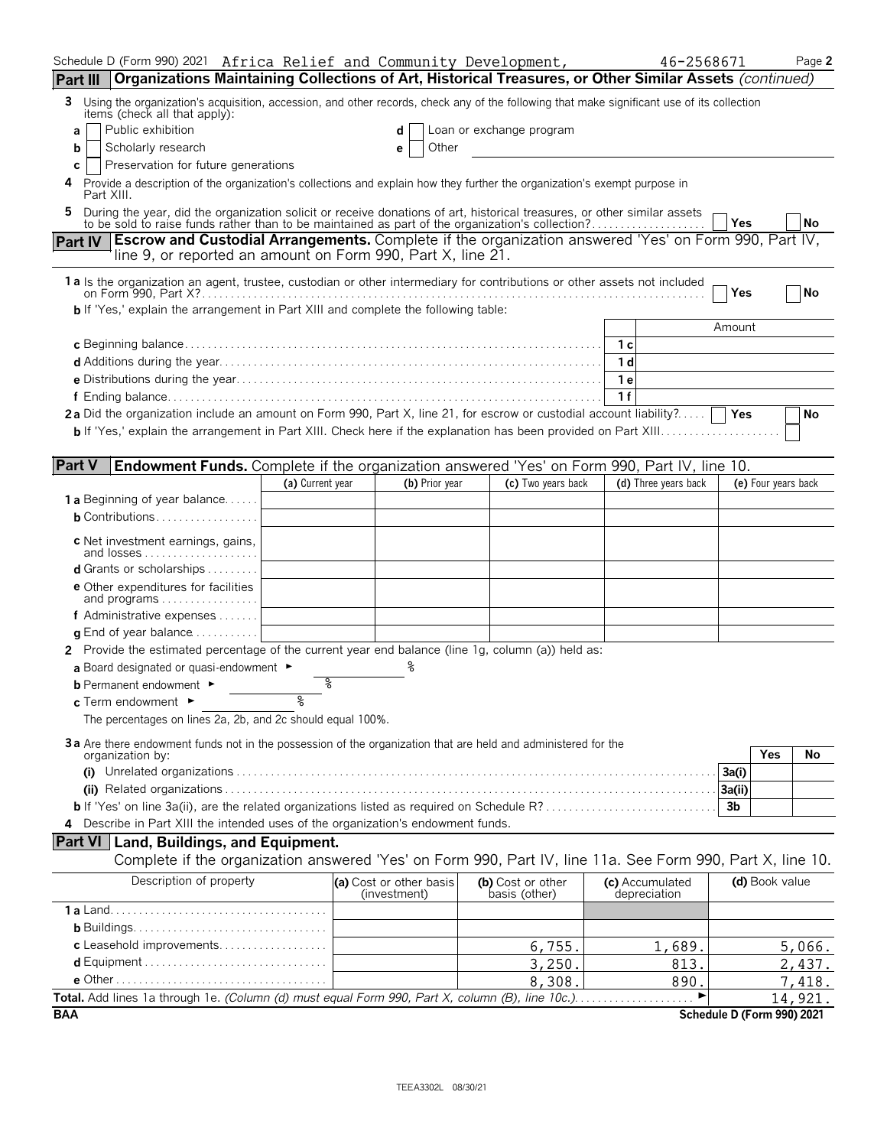| Schedule D (Form 990) 2021 Africa Relief and Community Development,                                                                                                                                                       |                  |                                         |                                    | 46-2568671                                                                                                  |                            | Page 2    |
|---------------------------------------------------------------------------------------------------------------------------------------------------------------------------------------------------------------------------|------------------|-----------------------------------------|------------------------------------|-------------------------------------------------------------------------------------------------------------|----------------------------|-----------|
| Part III                                                                                                                                                                                                                  |                  |                                         |                                    | Organizations Maintaining Collections of Art, Historical Treasures, or Other Similar Assets (continued)     |                            |           |
| Using the organization's acquisition, accession, and other records, check any of the following that make significant use of its collection<br>3<br>items (check all that apply):                                          |                  |                                         |                                    |                                                                                                             |                            |           |
| Public exhibition<br>a                                                                                                                                                                                                    |                  | d                                       | Loan or exchange program           |                                                                                                             |                            |           |
| Scholarly research<br>b                                                                                                                                                                                                   |                  | Other<br>е                              |                                    |                                                                                                             |                            |           |
| Preservation for future generations<br>С                                                                                                                                                                                  |                  |                                         |                                    |                                                                                                             |                            |           |
| Provide a description of the organization's collections and explain how they further the organization's exempt purpose in<br>4<br>Part XIII.                                                                              |                  |                                         |                                    |                                                                                                             |                            |           |
| During the year, did the organization solicit or receive donations of art, historical treasures, or other similar assets to be sold to raise funds rather than to be maintained as part of the organization's collection? |                  |                                         |                                    |                                                                                                             | Yes                        | <b>No</b> |
| Part IV                                                                                                                                                                                                                   |                  |                                         |                                    | <b>Escrow and Custodial Arrangements.</b> Complete if the organization answered 'Yes' on Form 990, Part IV, |                            |           |
| line 9, or reported an amount on Form 990, Part X, line 21.                                                                                                                                                               |                  |                                         |                                    |                                                                                                             |                            |           |
| 1a Is the organization an agent, trustee, custodian or other intermediary for contributions or other assets not included                                                                                                  |                  |                                         |                                    |                                                                                                             |                            |           |
|                                                                                                                                                                                                                           |                  |                                         |                                    |                                                                                                             | Yes                        | No        |
| <b>b</b> If 'Yes,' explain the arrangement in Part XIII and complete the following table:                                                                                                                                 |                  |                                         |                                    |                                                                                                             |                            |           |
|                                                                                                                                                                                                                           |                  |                                         |                                    |                                                                                                             | Amount                     |           |
|                                                                                                                                                                                                                           |                  |                                         |                                    | 1 с<br>1 d                                                                                                  |                            |           |
|                                                                                                                                                                                                                           |                  |                                         |                                    | 1е                                                                                                          |                            |           |
|                                                                                                                                                                                                                           |                  |                                         |                                    | 1f                                                                                                          |                            |           |
| 2a Did the organization include an amount on Form 990, Part X, line 21, for escrow or custodial account liability?                                                                                                        |                  |                                         |                                    |                                                                                                             | Yes                        | No        |
|                                                                                                                                                                                                                           |                  |                                         |                                    |                                                                                                             |                            |           |
|                                                                                                                                                                                                                           |                  |                                         |                                    |                                                                                                             |                            |           |
| <b>Part V</b>                                                                                                                                                                                                             |                  |                                         |                                    | <b>Endowment Funds.</b> Complete if the organization answered 'Yes' on Form 990, Part IV, line 10.          |                            |           |
|                                                                                                                                                                                                                           | (a) Current year | (b) Prior year                          | (c) Two years back                 | (d) Three years back                                                                                        | (e) Four years back        |           |
| <b>1 a</b> Beginning of year balance                                                                                                                                                                                      |                  |                                         |                                    |                                                                                                             |                            |           |
| <b>b</b> Contributions                                                                                                                                                                                                    |                  |                                         |                                    |                                                                                                             |                            |           |
| c Net investment earnings, gains,<br>and losses                                                                                                                                                                           |                  |                                         |                                    |                                                                                                             |                            |           |
| <b>d</b> Grants or scholarships $\ldots$                                                                                                                                                                                  |                  |                                         |                                    |                                                                                                             |                            |           |
| <b>e</b> Other expenditures for facilities                                                                                                                                                                                |                  |                                         |                                    |                                                                                                             |                            |           |
| and programs                                                                                                                                                                                                              |                  |                                         |                                    |                                                                                                             |                            |           |
| f Administrative expenses                                                                                                                                                                                                 |                  |                                         |                                    |                                                                                                             |                            |           |
| <b>g</b> End of year balance $\ldots \ldots \ldots$<br>2 Provide the estimated percentage of the current year end balance (line 1g, column (a)) held as:                                                                  |                  |                                         |                                    |                                                                                                             |                            |           |
| a Board designated or quasi-endowment $\blacktriangleright$                                                                                                                                                               |                  |                                         |                                    |                                                                                                             |                            |           |
| <b>b</b> Permanent endowment ►                                                                                                                                                                                            |                  |                                         |                                    |                                                                                                             |                            |           |
| $c$ Term endowment $\blacktriangleright$                                                                                                                                                                                  | ত্               |                                         |                                    |                                                                                                             |                            |           |
| The percentages on lines 2a, 2b, and 2c should equal 100%.                                                                                                                                                                |                  |                                         |                                    |                                                                                                             |                            |           |
|                                                                                                                                                                                                                           |                  |                                         |                                    |                                                                                                             |                            |           |
| 3a Are there endowment funds not in the possession of the organization that are held and administered for the<br>organization by:                                                                                         |                  |                                         |                                    |                                                                                                             | Yes                        | No        |
|                                                                                                                                                                                                                           |                  |                                         |                                    |                                                                                                             | 3a(i)                      |           |
|                                                                                                                                                                                                                           |                  |                                         |                                    |                                                                                                             | 3a(ii)                     |           |
|                                                                                                                                                                                                                           |                  |                                         |                                    |                                                                                                             | 3 <sub>b</sub>             |           |
| Describe in Part XIII the intended uses of the organization's endowment funds.<br>4                                                                                                                                       |                  |                                         |                                    |                                                                                                             |                            |           |
| <b>Part VI</b> Land, Buildings, and Equipment.                                                                                                                                                                            |                  |                                         |                                    |                                                                                                             |                            |           |
|                                                                                                                                                                                                                           |                  |                                         |                                    | Complete if the organization answered 'Yes' on Form 990, Part IV, line 11a. See Form 990, Part X, line 10.  |                            |           |
| Description of property                                                                                                                                                                                                   |                  | (a) Cost or other basis<br>(investment) | (b) Cost or other<br>basis (other) | (c) Accumulated<br>depreciation                                                                             | (d) Book value             |           |
|                                                                                                                                                                                                                           |                  |                                         |                                    |                                                                                                             |                            |           |
|                                                                                                                                                                                                                           |                  |                                         |                                    |                                                                                                             |                            |           |
| c Leasehold improvements                                                                                                                                                                                                  |                  |                                         | 6,755.                             | 1,689.                                                                                                      |                            | 5,066.    |
|                                                                                                                                                                                                                           |                  |                                         | 3,250.                             | 813.                                                                                                        |                            | 2,437.    |
|                                                                                                                                                                                                                           |                  |                                         | 8,308                              | 890.                                                                                                        |                            | 7,418.    |
|                                                                                                                                                                                                                           |                  |                                         |                                    |                                                                                                             |                            | 14,921.   |
| BAA                                                                                                                                                                                                                       |                  |                                         |                                    |                                                                                                             | Schedule D (Form 990) 2021 |           |

TEEA3302L 08/30/21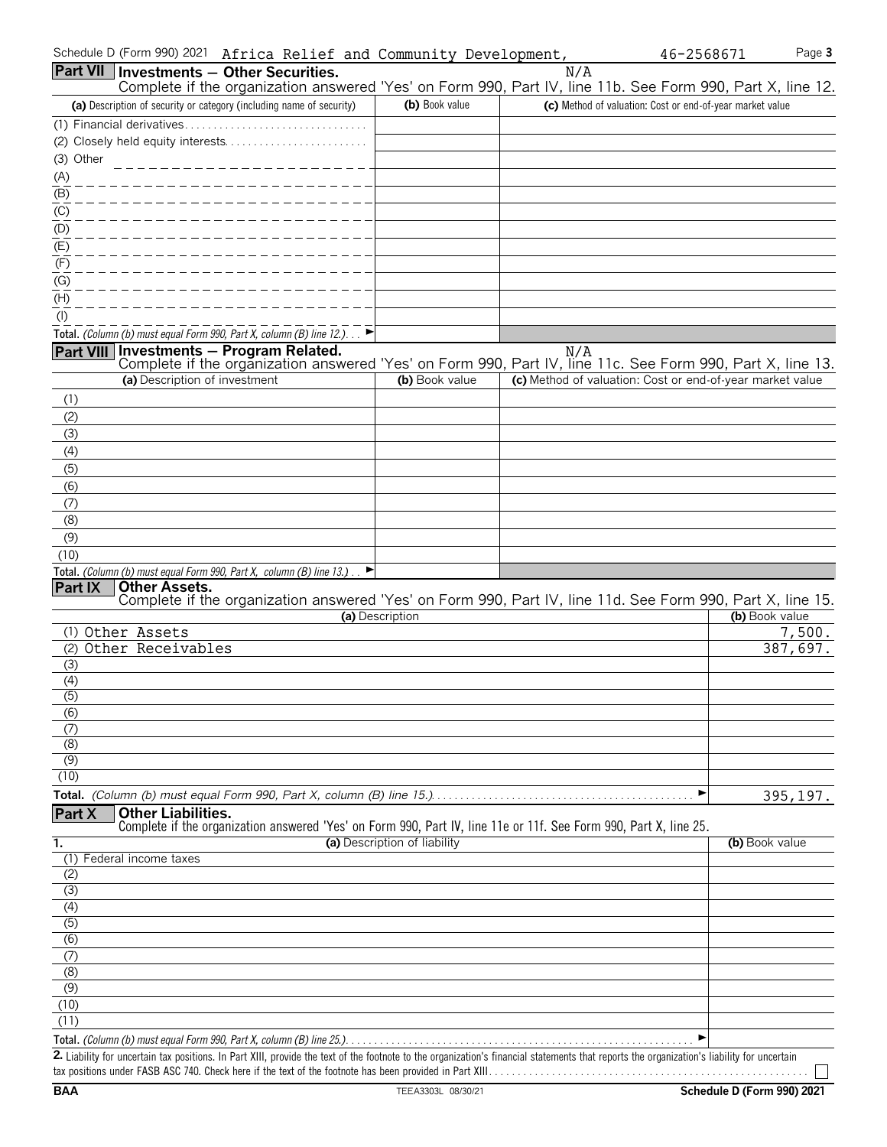| Schedule D (Form 990) 2021<br>Africa Relief and Community Development,                                                                                                                      |                              |     | 46-2568671                                                | Page 3   |
|---------------------------------------------------------------------------------------------------------------------------------------------------------------------------------------------|------------------------------|-----|-----------------------------------------------------------|----------|
| <b>Part VII Investments - Other Securities.</b><br>Complete if the organization answered 'Yes' on Form 990, Part IV, line 11b. See Form 990, Part X, line 12.                               |                              | N/A |                                                           |          |
| (a) Description of security or category (including name of security)                                                                                                                        | (b) Book value               |     | (c) Method of valuation: Cost or end-of-year market value |          |
|                                                                                                                                                                                             |                              |     |                                                           |          |
|                                                                                                                                                                                             |                              |     |                                                           |          |
| (3) Other<br>____________________                                                                                                                                                           |                              |     |                                                           |          |
| (A)                                                                                                                                                                                         |                              |     |                                                           |          |
| $\overline{(\mathsf{B})}$                                                                                                                                                                   |                              |     |                                                           |          |
| $\overline{C}$                                                                                                                                                                              |                              |     |                                                           |          |
| (D)                                                                                                                                                                                         |                              |     |                                                           |          |
| $\overline{E}$                                                                                                                                                                              |                              |     |                                                           |          |
| (F)<br>(G)                                                                                                                                                                                  |                              |     |                                                           |          |
| (H)                                                                                                                                                                                         |                              |     |                                                           |          |
| $($ l $)$                                                                                                                                                                                   |                              |     |                                                           |          |
| Total. (Column (b) must equal Form 990, Part X, column (B) line 12.). $\Box$                                                                                                                |                              |     |                                                           |          |
| Part VIII Investments - Program Related.<br>Complete if the organization answered 'Yes' on Form 990, Part IV, line 11c. See Form 990, Part X, line 13.                                      |                              | N/A |                                                           |          |
| (a) Description of investment                                                                                                                                                               | (b) Book value               |     | (c) Method of valuation: Cost or end-of-year market value |          |
| (1)                                                                                                                                                                                         |                              |     |                                                           |          |
| (2)                                                                                                                                                                                         |                              |     |                                                           |          |
| (3)                                                                                                                                                                                         |                              |     |                                                           |          |
| (4)                                                                                                                                                                                         |                              |     |                                                           |          |
| (5)                                                                                                                                                                                         |                              |     |                                                           |          |
| (6)                                                                                                                                                                                         |                              |     |                                                           |          |
| (7)                                                                                                                                                                                         |                              |     |                                                           |          |
| (8)<br>(9)                                                                                                                                                                                  |                              |     |                                                           |          |
| (10)                                                                                                                                                                                        |                              |     |                                                           |          |
| Total. (Column (b) must equal Form 990, Part X, column (B) line $13.$ )                                                                                                                     |                              |     |                                                           |          |
| Part IX<br><b>Other Assets.</b>                                                                                                                                                             |                              |     |                                                           |          |
| Complete if the organization answered 'Yes' on Form 990, Part IV, line 11d. See Form 990, Part X, line 15.                                                                                  |                              |     |                                                           |          |
| (1) Other Assets                                                                                                                                                                            | (a) Description              |     | (b) Book value                                            | 7,500.   |
| (2) Other Receivables                                                                                                                                                                       |                              |     |                                                           | 387,697. |
| (3)                                                                                                                                                                                         |                              |     |                                                           |          |
| (4)                                                                                                                                                                                         |                              |     |                                                           |          |
| (5)                                                                                                                                                                                         |                              |     |                                                           |          |
| (6)                                                                                                                                                                                         |                              |     |                                                           |          |
| (7)<br>(8)                                                                                                                                                                                  |                              |     |                                                           |          |
| (9)                                                                                                                                                                                         |                              |     |                                                           |          |
| (10)                                                                                                                                                                                        |                              |     |                                                           |          |
|                                                                                                                                                                                             |                              |     | ▶                                                         | 395,197. |
| <b>Other Liabilities.</b><br>Part X                                                                                                                                                         |                              |     |                                                           |          |
| Complete if the organization answered 'Yes' on Form 990, Part IV, line 11e or 11f. See Form 990, Part X, line 25.                                                                           |                              |     |                                                           |          |
| $\overline{1}$ .<br>Federal income taxes<br>(1)                                                                                                                                             | (a) Description of liability |     | (b) Book value                                            |          |
| (2)                                                                                                                                                                                         |                              |     |                                                           |          |
| (3)                                                                                                                                                                                         |                              |     |                                                           |          |
|                                                                                                                                                                                             |                              |     |                                                           |          |
| $\frac{(4)}{(5)}$                                                                                                                                                                           |                              |     |                                                           |          |
| (6)                                                                                                                                                                                         |                              |     |                                                           |          |
| (7)                                                                                                                                                                                         |                              |     |                                                           |          |
| (8)<br>(9)                                                                                                                                                                                  |                              |     |                                                           |          |
| (10)                                                                                                                                                                                        |                              |     |                                                           |          |
| (11)                                                                                                                                                                                        |                              |     |                                                           |          |
|                                                                                                                                                                                             |                              |     | ▶                                                         |          |
| 2. Liability for uncertain tax positions. In Part XIII, provide the text of the footnote to the organization's financial statements that reports the organization's liability for uncertain |                              |     |                                                           |          |
|                                                                                                                                                                                             |                              |     |                                                           |          |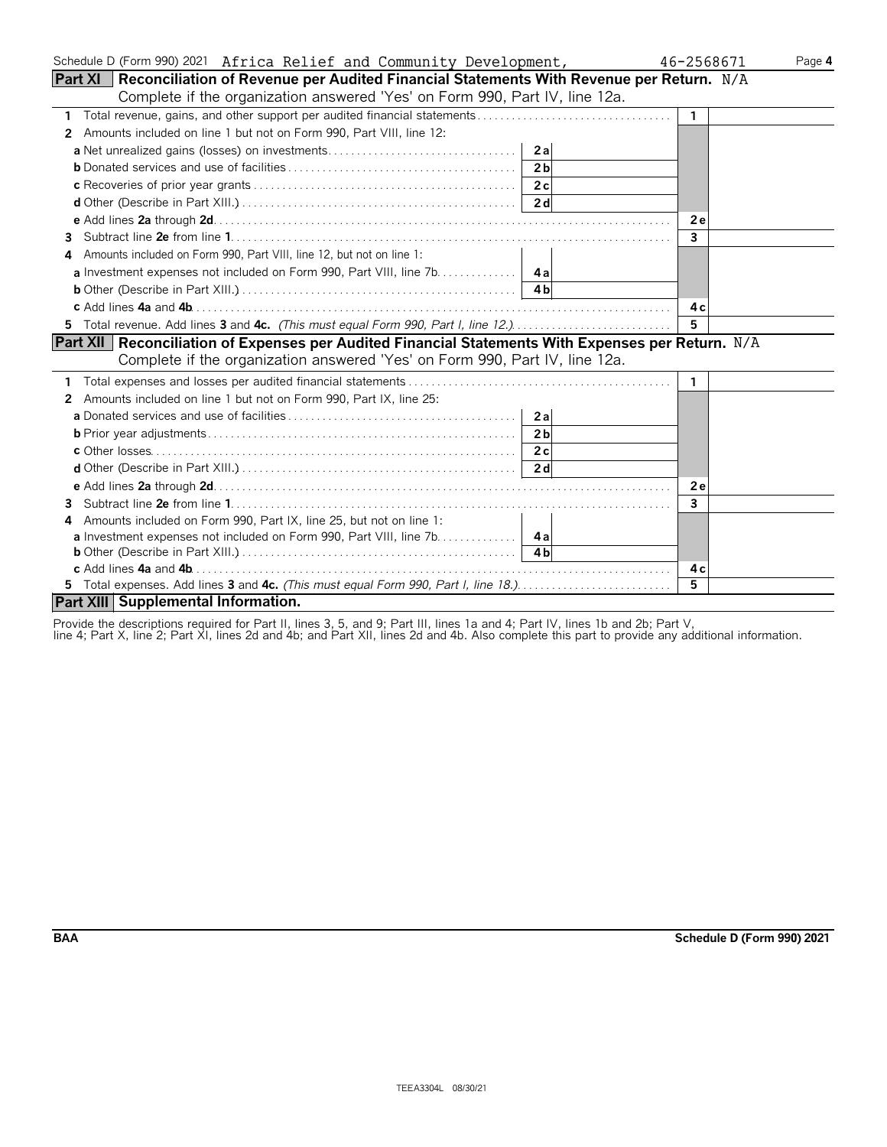| Schedule D (Form 990) 2021 Africa Relief and Community Development,                                  | 46-2568671<br>Page 4 |
|------------------------------------------------------------------------------------------------------|----------------------|
| Part XI   Reconciliation of Revenue per Audited Financial Statements With Revenue per Return. $ N/A$ |                      |
| Complete if the organization answered 'Yes' on Form 990, Part IV, line 12a.                          |                      |
|                                                                                                      | $\mathbf{1}$         |
| Amounts included on line 1 but not on Form 990, Part VIII, line 12:<br>2                             |                      |
| 2al                                                                                                  |                      |
| 2 <sub>b</sub>                                                                                       |                      |
| 2c                                                                                                   |                      |
|                                                                                                      |                      |
|                                                                                                      | 2e                   |
| 3.                                                                                                   | 3                    |
| Amounts included on Form 990, Part VIII, line 12, but not on line 1:<br>4                            |                      |
|                                                                                                      |                      |
|                                                                                                      |                      |
|                                                                                                      | 4 c                  |
|                                                                                                      | 5                    |
| Part XII   Reconciliation of Expenses per Audited Financial Statements With Expenses per Return. N/A |                      |
| Complete if the organization answered 'Yes' on Form 990, Part IV, line 12a.                          |                      |
|                                                                                                      | 1.                   |
| 2 Amounts included on line 1 but not on Form 990, Part IX, line 25:                                  |                      |
| 2a                                                                                                   |                      |
| 2 <sub>b</sub>                                                                                       |                      |
|                                                                                                      |                      |
|                                                                                                      |                      |
|                                                                                                      | <b>2e</b>            |
| 3                                                                                                    | 3                    |
| Amounts included on Form 990, Part IX, line 25, but not on line 1:<br>4                              |                      |
| <b>a</b> Investment expenses not included on Form 990, Part VIII, line 7b. 4a                        |                      |
|                                                                                                      |                      |
|                                                                                                      | 4 c                  |
| 5 Total expenses. Add lines 3 and 4c. (This must equal Form 990, Part I, line 18.)                   | 5.                   |
| Part XIII Supplemental Information.                                                                  |                      |

Provide the descriptions required for Part II, lines 3, 5, and 9; Part III, lines 1a and 4; Part IV, lines 1b and 2b; Part V,

line 4; Part X, line 2; Part XI, lines 2d and 4b; and Part XII, lines 2d and 4b. Also complete this part to provide any additional information.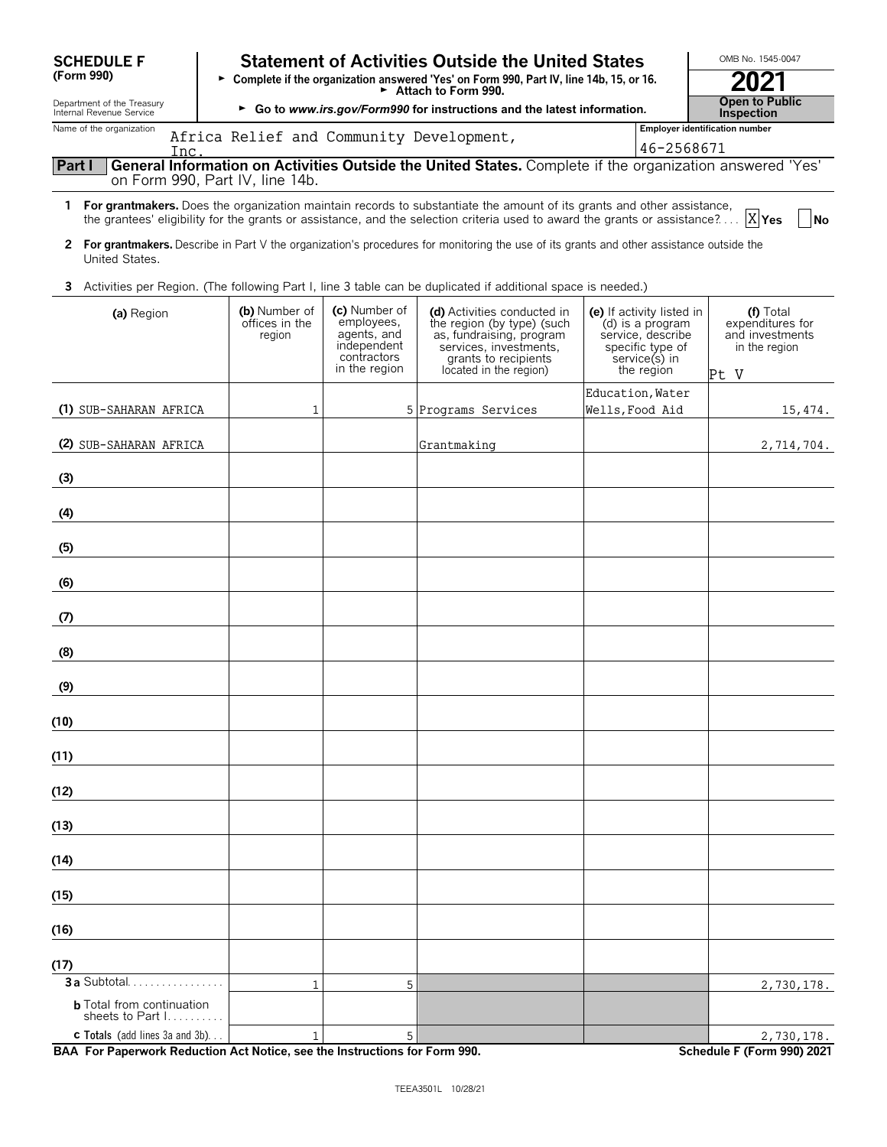| <b>SCHEDULE F</b>                                      | <b>Statement of Activities Outside the United States</b> | OMB No. 1545-0047                                                                         |                                                                                                                                                                                                                                                            |                                                                                                                       |                                                                             |  |  |
|--------------------------------------------------------|----------------------------------------------------------|-------------------------------------------------------------------------------------------|------------------------------------------------------------------------------------------------------------------------------------------------------------------------------------------------------------------------------------------------------------|-----------------------------------------------------------------------------------------------------------------------|-----------------------------------------------------------------------------|--|--|
| (Form 990)                                             |                                                          |                                                                                           | ► Complete if the organization answered 'Yes' on Form 990, Part IV, line 14b, 15, or 16.<br>Attach to Form 990.                                                                                                                                            |                                                                                                                       | 2021                                                                        |  |  |
| Department of the Treasury<br>Internal Revenue Service |                                                          |                                                                                           | ► Go to www.irs.gov/Form990 for instructions and the latest information.                                                                                                                                                                                   |                                                                                                                       | <b>Open to Public</b><br>Inspection                                         |  |  |
| Name of the organization                               | Africa Relief and Community Development,                 |                                                                                           |                                                                                                                                                                                                                                                            | 46-2568671                                                                                                            | <b>Employer identification number</b>                                       |  |  |
| Inc.<br>Part I                                         |                                                          |                                                                                           | General Information on Activities Outside the United States. Complete if the organization answered 'Yes'                                                                                                                                                   |                                                                                                                       |                                                                             |  |  |
|                                                        | on Form 990, Part IV, line 14b.                          |                                                                                           |                                                                                                                                                                                                                                                            |                                                                                                                       |                                                                             |  |  |
|                                                        |                                                          |                                                                                           | 1 For grantmakers. Does the organization maintain records to substantiate the amount of its grants and other assistance,<br>the grantees' eligibility for the grants or assistance, and the selection criteria used to award the grants or assistance? $X$ |                                                                                                                       | No                                                                          |  |  |
| United States.                                         |                                                          |                                                                                           | 2 For grantmakers. Describe in Part V the organization's procedures for monitoring the use of its grants and other assistance outside the                                                                                                                  |                                                                                                                       |                                                                             |  |  |
| 3.                                                     |                                                          |                                                                                           | Activities per Region. (The following Part I, line 3 table can be duplicated if additional space is needed.)                                                                                                                                               |                                                                                                                       |                                                                             |  |  |
| (a) Region                                             | (b) Number of<br>offices in the<br>region                | (c) Number of<br>employees,<br>agents, and<br>independent<br>contractors<br>in the region | (d) Activities conducted in<br>the region (by type) (such<br>as, fundraising, program<br>services, investments,<br>grants to recipients<br>located in the region)                                                                                          | (e) If activity listed in<br>(d) is a program<br>service, describe<br>specific type of<br>service(s) in<br>the region | $(f)$ Total<br>expenditures for<br>and investments<br>in the region<br>Pt V |  |  |
|                                                        |                                                          |                                                                                           |                                                                                                                                                                                                                                                            | Education, Water                                                                                                      |                                                                             |  |  |
| (1) SUB-SAHARAN AFRICA                                 | 1                                                        |                                                                                           | 5 Programs Services                                                                                                                                                                                                                                        | Wells, Food Aid                                                                                                       | 15,474.                                                                     |  |  |
| (2) SUB-SAHARAN AFRICA                                 |                                                          |                                                                                           | Grantmaking                                                                                                                                                                                                                                                |                                                                                                                       | 2,714,704.                                                                  |  |  |
| (3)                                                    |                                                          |                                                                                           |                                                                                                                                                                                                                                                            |                                                                                                                       |                                                                             |  |  |
| (4)                                                    |                                                          |                                                                                           |                                                                                                                                                                                                                                                            |                                                                                                                       |                                                                             |  |  |
| (5)                                                    |                                                          |                                                                                           |                                                                                                                                                                                                                                                            |                                                                                                                       |                                                                             |  |  |
| (6)                                                    |                                                          |                                                                                           |                                                                                                                                                                                                                                                            |                                                                                                                       |                                                                             |  |  |
| (7)                                                    |                                                          |                                                                                           |                                                                                                                                                                                                                                                            |                                                                                                                       |                                                                             |  |  |
| (8)                                                    |                                                          |                                                                                           |                                                                                                                                                                                                                                                            |                                                                                                                       |                                                                             |  |  |
| (9)                                                    |                                                          |                                                                                           |                                                                                                                                                                                                                                                            |                                                                                                                       |                                                                             |  |  |
| (10)                                                   |                                                          |                                                                                           |                                                                                                                                                                                                                                                            |                                                                                                                       |                                                                             |  |  |
| (11)                                                   |                                                          |                                                                                           |                                                                                                                                                                                                                                                            |                                                                                                                       |                                                                             |  |  |
| (12)                                                   |                                                          |                                                                                           |                                                                                                                                                                                                                                                            |                                                                                                                       |                                                                             |  |  |
| (13)                                                   |                                                          |                                                                                           |                                                                                                                                                                                                                                                            |                                                                                                                       |                                                                             |  |  |
| (14)                                                   |                                                          |                                                                                           |                                                                                                                                                                                                                                                            |                                                                                                                       |                                                                             |  |  |
| (15)                                                   |                                                          |                                                                                           |                                                                                                                                                                                                                                                            |                                                                                                                       |                                                                             |  |  |
| (16)                                                   |                                                          |                                                                                           |                                                                                                                                                                                                                                                            |                                                                                                                       |                                                                             |  |  |
| (17)                                                   |                                                          |                                                                                           |                                                                                                                                                                                                                                                            |                                                                                                                       |                                                                             |  |  |
| 3 a Subtotal                                           | 1                                                        | 5                                                                                         |                                                                                                                                                                                                                                                            |                                                                                                                       | 2,730,178.                                                                  |  |  |
| <b>b</b> Total from continuation<br>sheets to Part I.  |                                                          |                                                                                           |                                                                                                                                                                                                                                                            |                                                                                                                       |                                                                             |  |  |

**c Totals** (add lines 3a and 3b). . . **BAA For Paperwork Reduction Act Notice, see the Instructions for Form 990. Schedule F (Form 990) 2021** 1  $\vert$  2,730,178.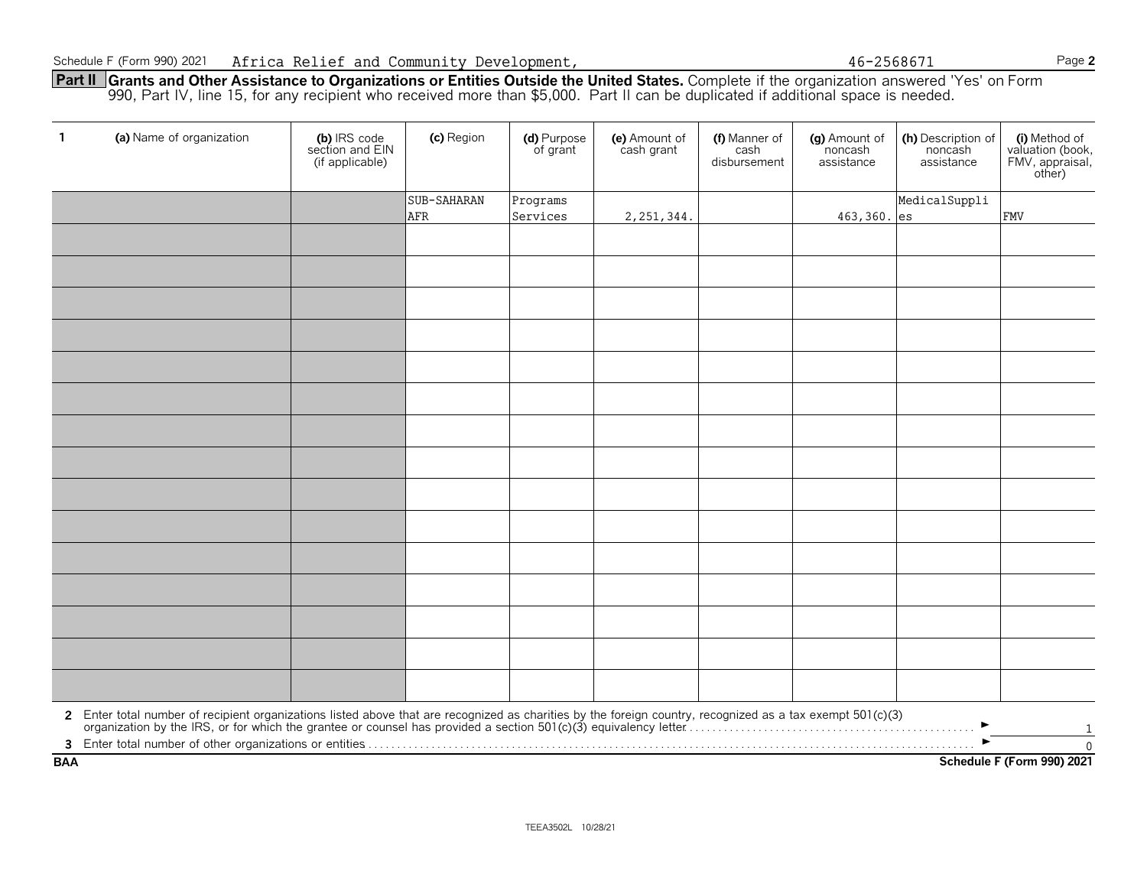**Part II Grants and Other Assistance to Organizations or Entities Outside the United States.** Complete if the organization answered 'Yes' on Form 990, Part IV, line 15, for any recipient who received more than \$5,000. Part II can be duplicated if additional space is needed.

| $\mathbf{1}$ | (a) Name of organization                                                                                                                                                                                                       | (b) IRS code<br>section and EIN<br>(if applicable) | (c) Region  | (d) Purpose<br>of grant | (e) Amount of<br>cash grant | (f) Manner of<br>cash<br>disbursement | (g) Amount of<br>noncash<br>assistance | (h) Description of<br>noncash<br>assistance | (i) Method of<br>valuation (book,<br>FMV, appraisal,<br>other) |
|--------------|--------------------------------------------------------------------------------------------------------------------------------------------------------------------------------------------------------------------------------|----------------------------------------------------|-------------|-------------------------|-----------------------------|---------------------------------------|----------------------------------------|---------------------------------------------|----------------------------------------------------------------|
|              |                                                                                                                                                                                                                                |                                                    | SUB-SAHARAN | Programs                |                             |                                       |                                        | MedicalSuppli                               |                                                                |
|              |                                                                                                                                                                                                                                |                                                    | AFR         | Services                | 2, 251, 344.                |                                       | 463,360. es                            |                                             | <b>FMV</b>                                                     |
|              |                                                                                                                                                                                                                                |                                                    |             |                         |                             |                                       |                                        |                                             |                                                                |
|              |                                                                                                                                                                                                                                |                                                    |             |                         |                             |                                       |                                        |                                             |                                                                |
|              |                                                                                                                                                                                                                                |                                                    |             |                         |                             |                                       |                                        |                                             |                                                                |
|              |                                                                                                                                                                                                                                |                                                    |             |                         |                             |                                       |                                        |                                             |                                                                |
|              |                                                                                                                                                                                                                                |                                                    |             |                         |                             |                                       |                                        |                                             |                                                                |
|              |                                                                                                                                                                                                                                |                                                    |             |                         |                             |                                       |                                        |                                             |                                                                |
|              |                                                                                                                                                                                                                                |                                                    |             |                         |                             |                                       |                                        |                                             |                                                                |
|              |                                                                                                                                                                                                                                |                                                    |             |                         |                             |                                       |                                        |                                             |                                                                |
|              |                                                                                                                                                                                                                                |                                                    |             |                         |                             |                                       |                                        |                                             |                                                                |
|              |                                                                                                                                                                                                                                |                                                    |             |                         |                             |                                       |                                        |                                             |                                                                |
|              |                                                                                                                                                                                                                                |                                                    |             |                         |                             |                                       |                                        |                                             |                                                                |
|              |                                                                                                                                                                                                                                |                                                    |             |                         |                             |                                       |                                        |                                             |                                                                |
|              |                                                                                                                                                                                                                                |                                                    |             |                         |                             |                                       |                                        |                                             |                                                                |
|              |                                                                                                                                                                                                                                |                                                    |             |                         |                             |                                       |                                        |                                             |                                                                |
|              |                                                                                                                                                                                                                                |                                                    |             |                         |                             |                                       |                                        |                                             |                                                                |
|              | 2 Enter total number of recipient organizations listed above that are recognized as charities by the foreign country, recognized as a tax exempt 501(c)(3) organization by the IRS, or for which the grantee or counsel has pr |                                                    |             |                         |                             |                                       |                                        | $\blacktriangleright$                       | 1                                                              |
|              |                                                                                                                                                                                                                                |                                                    |             |                         |                             |                                       |                                        |                                             | $\overline{0}$                                                 |
| <b>BAA</b>   | Schedule F (Form 990) 2021                                                                                                                                                                                                     |                                                    |             |                         |                             |                                       |                                        |                                             |                                                                |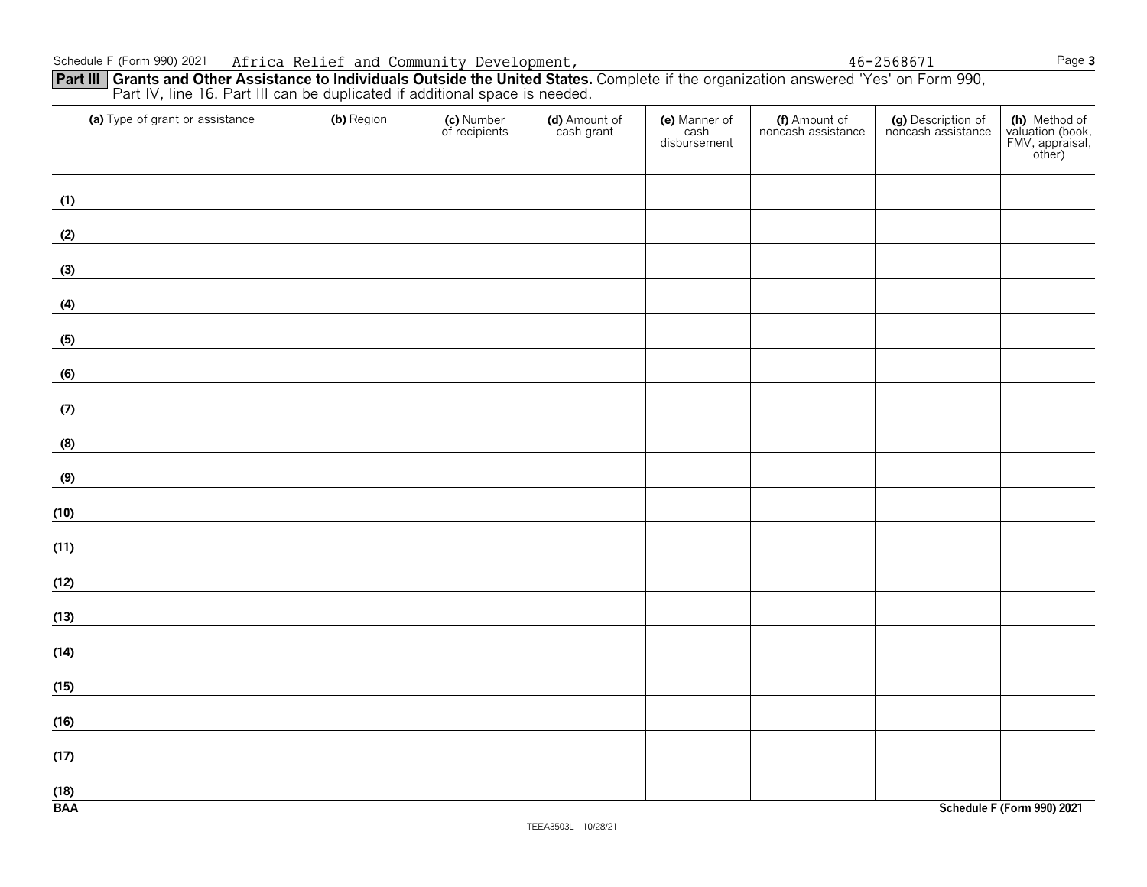#### Schedule F (Form 990) 2021 Page **3** Africa Relief and Community Development, 46-2568671

|                    |  |  |  | other)                     |
|--------------------|--|--|--|----------------------------|
| (1)                |  |  |  |                            |
| (2)                |  |  |  |                            |
| (3)                |  |  |  |                            |
| (4)                |  |  |  |                            |
| (5)                |  |  |  |                            |
| (6)                |  |  |  |                            |
| (7)                |  |  |  |                            |
| (8)                |  |  |  |                            |
| (9)                |  |  |  |                            |
| (10)               |  |  |  |                            |
| (11)               |  |  |  |                            |
| (12)               |  |  |  |                            |
| (13)               |  |  |  |                            |
| (14)               |  |  |  |                            |
| (15)               |  |  |  |                            |
| (16)               |  |  |  |                            |
| (17)               |  |  |  |                            |
| $\frac{(18)}{BAA}$ |  |  |  | Schedule F (Form 990) 2021 |
|                    |  |  |  |                            |

**(a)** Type of grant or assistance **(b)** Region **(c)** Number **(d)** Amount of **(e)** Manner of **(f)** Amount of **(g)** Description of **(h)** Method of

**Part III** Grants and Other Assistance to Individuals Outside the United States. Complete if the organization answered 'Yes' on Form 990, Part IV, line 16. Part III can be duplicated if additional space is needed.

disbursement | The Contract of Texas and Texas and Texas and Texas and Texas and Texas and Texas and Texas and

cash cash noncash assistance disbursement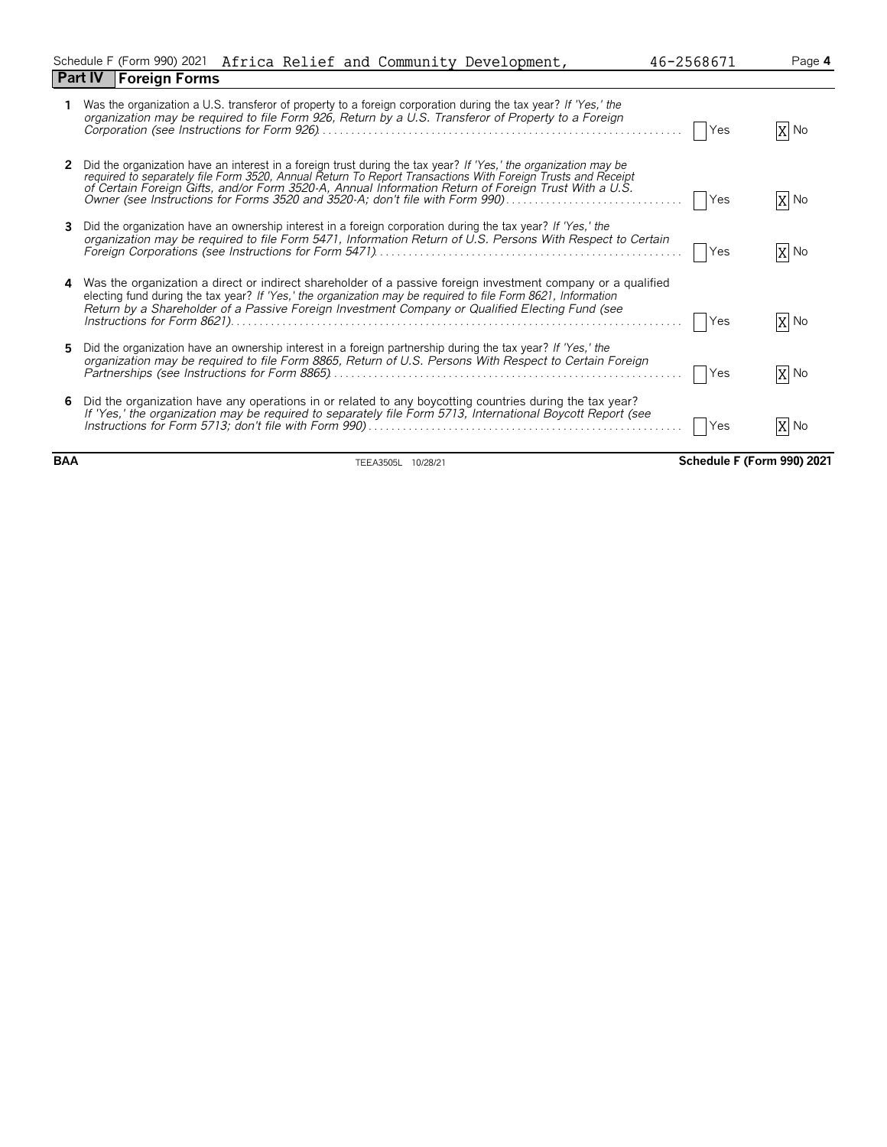|                                |  |  | Schedule F (Form 990) 2021 Africa Relief and Community Development, | 46-2568671 | Page <b>4</b> |
|--------------------------------|--|--|---------------------------------------------------------------------|------------|---------------|
| <b>Part IV   Foreign Forms</b> |  |  |                                                                     |            |               |

|    | Was the organization a U.S. transferor of property to a foreign corporation during the tax year? If 'Yes,' the<br>organization may be required to file Form 926, Return by a U.S. Transferor of Property to a Foreign                                                                                                                                                                                                  | Yes        | X No |
|----|------------------------------------------------------------------------------------------------------------------------------------------------------------------------------------------------------------------------------------------------------------------------------------------------------------------------------------------------------------------------------------------------------------------------|------------|------|
|    | Did the organization have an interest in a foreign trust during the tax year? If 'Yes,' the organization may be<br>required to separately file Form 3520, Annual Return To Report Transactions With Foreign Trusts and Receipt<br>of Certain Foreign Gifts, and/or Form 3520-A, Annual Information Return of Foreign Trust With a U.S.<br>Owner (see Instructions for Forms 3520 and 3520-A; don't file with Form 990) | <b>Yes</b> | X No |
| 3. | Did the organization have an ownership interest in a foreign corporation during the tax year? If 'Yes,' the<br>organization may be required to file Form 5471, Information Return of U.S. Persons With Respect to Certain                                                                                                                                                                                              | Yes        | X No |
|    | 4 Was the organization a direct or indirect shareholder of a passive foreign investment company or a qualified<br>electing fund during the tax year? If 'Yes,' the organization may be required to file Form 8621, Information<br>Return by a Shareholder of a Passive Foreign Investment Company or Qualified Electing Fund (see                                                                                      | Yes        | X No |
| 5. | Did the organization have an ownership interest in a foreign partnership during the tax year? If 'Yes,' the<br>organization may be required to file Form 8865, Return of U.S. Persons With Respect to Certain Foreign                                                                                                                                                                                                  | Yes        | X No |
| 6  | Did the organization have any operations in or related to any boycotting countries during the tax year?<br>If 'Yes,' the organization may be required to separately file Form 5713, International Boycott Report (see                                                                                                                                                                                                  | Yes        | X No |

**BAA** TEEA3505L 10/28/21 **Schedule F (Form 990) 2021**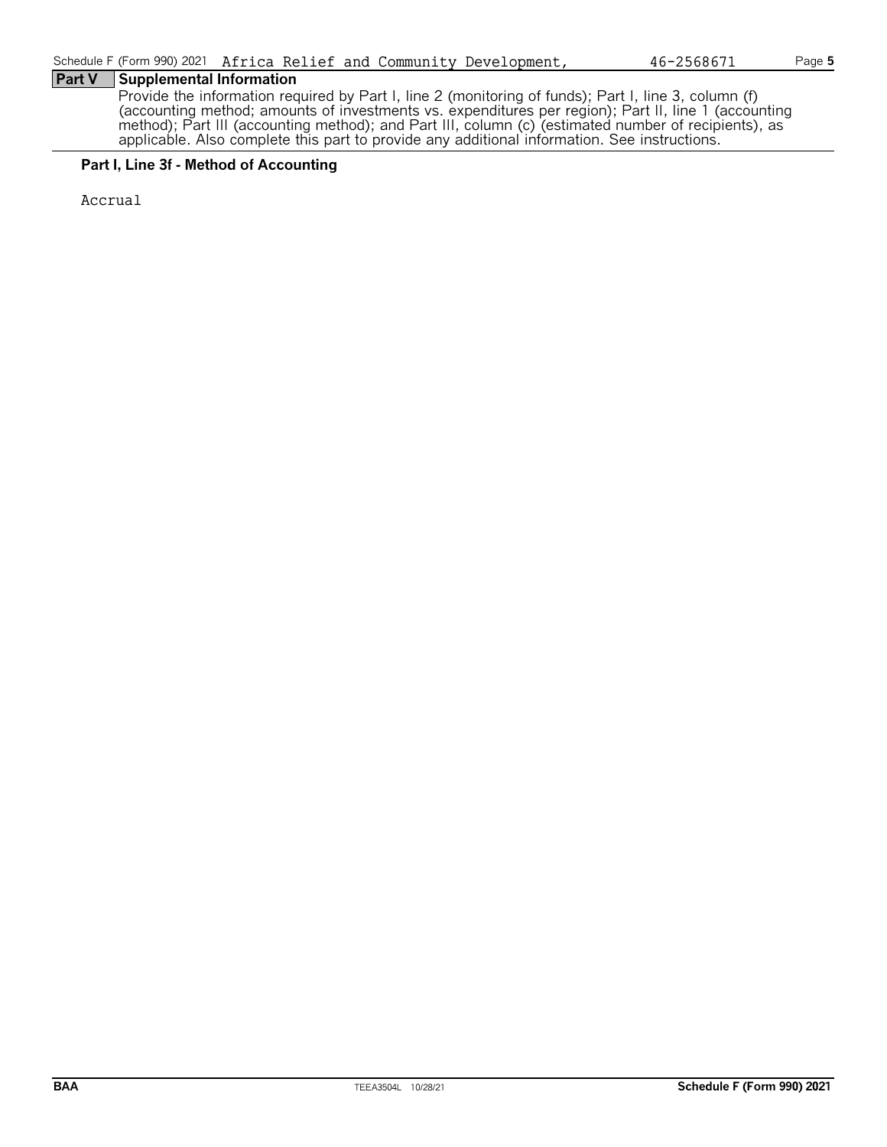#### **Part V Supplemental Information**

Provide the information required by Part I, line 2 (monitoring of funds); Part I, line 3, column (f) (accounting method; amounts of investments vs. expenditures per region); Part II, line 1 (accounting method); Part III (accounting method); and Part III, column (c) (estimated number of recipients), as applicable. Also complete this part to provide any additional information. See instructions.

#### **Part I, Line 3f - Method of Accounting**

Accrual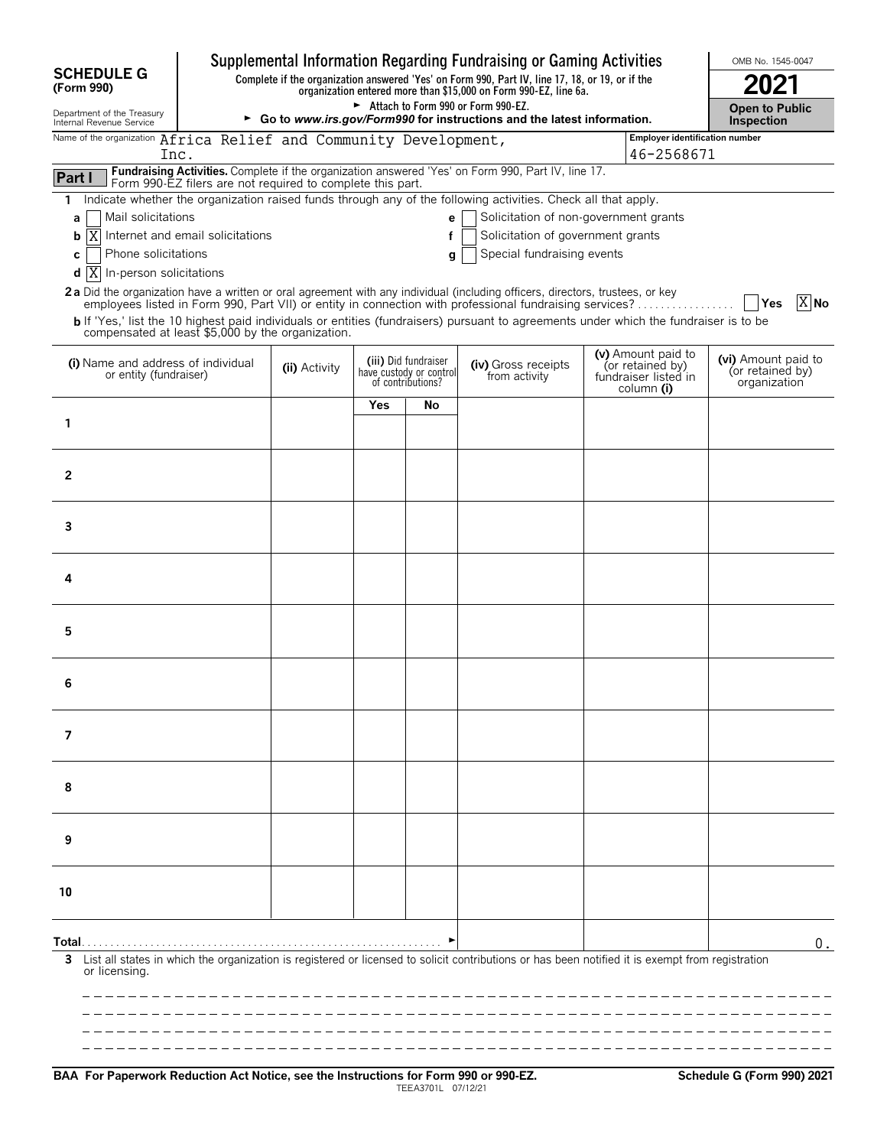|                                                                                                                                                                          |                                                            |               |     |                                                                      | Supplemental Information Regarding Fundraising or Gaming Activities                                                                                                                                                                                                                                                                                                                                                                                                                                                                                                                                            |                                                                              | OMB No. 1545-0047                                       |  |
|--------------------------------------------------------------------------------------------------------------------------------------------------------------------------|------------------------------------------------------------|---------------|-----|----------------------------------------------------------------------|----------------------------------------------------------------------------------------------------------------------------------------------------------------------------------------------------------------------------------------------------------------------------------------------------------------------------------------------------------------------------------------------------------------------------------------------------------------------------------------------------------------------------------------------------------------------------------------------------------------|------------------------------------------------------------------------------|---------------------------------------------------------|--|
| <b>SCHEDULE G</b><br>(Form 990)                                                                                                                                          |                                                            |               |     |                                                                      | Complete if the organization answered 'Yes' on Form 990, Part IV, line 17, 18, or 19, or if the<br>organization entered more than \$15,000 on Form 990-EZ, line 6a.                                                                                                                                                                                                                                                                                                                                                                                                                                            |                                                                              |                                                         |  |
| Department of the Treasury<br>Internal Revenue Service                                                                                                                   |                                                            |               |     |                                                                      | Attach to Form 990 or Form 990-EZ.<br>► Go to www.irs.gov/Form990 for instructions and the latest information.                                                                                                                                                                                                                                                                                                                                                                                                                                                                                                 |                                                                              | <b>Open to Public</b><br>Inspection                     |  |
| Name of the organization Africa Relief and Community Development,                                                                                                        |                                                            |               |     |                                                                      |                                                                                                                                                                                                                                                                                                                                                                                                                                                                                                                                                                                                                | Employer identification number                                               |                                                         |  |
| Inc.                                                                                                                                                                     |                                                            |               |     |                                                                      |                                                                                                                                                                                                                                                                                                                                                                                                                                                                                                                                                                                                                | 46-2568671                                                                   |                                                         |  |
| Part I                                                                                                                                                                   | Form 990-EZ filers are not required to complete this part. |               |     |                                                                      | Fundraising Activities. Complete if the organization answered 'Yes' on Form 990, Part IV, line 17.                                                                                                                                                                                                                                                                                                                                                                                                                                                                                                             |                                                                              |                                                         |  |
| $\mathbf{1}$<br>Mail solicitations<br>a<br>Χ<br>b<br>Phone solicitations<br>C<br>$d$ $X$<br>In-person solicitations<br>compensated at least \$5,000 by the organization. | Internet and email solicitations                           |               |     | e<br>f<br>q                                                          | Indicate whether the organization raised funds through any of the following activities. Check all that apply.<br>Solicitation of non-government grants<br>Solicitation of government grants<br>Special fundraising events<br>2a Did the organization have a written or oral agreement with any individual (including officers, directors, trustees, or key<br>employees listed in Form 990, Part VII) or entity in connection with professional fundraising services?<br>b If 'Yes,' list the 10 highest paid individuals or entities (fundraisers) pursuant to agreements under which the fundraiser is to be |                                                                              | X No<br>Yes                                             |  |
| (i) Name and address of individual<br>or entity (fundraiser)                                                                                                             |                                                            | (ii) Activity |     | (iii) Did fundraiser<br>have custody or control<br>of contributions? | (iv) Gross receipts<br>from activity                                                                                                                                                                                                                                                                                                                                                                                                                                                                                                                                                                           | (v) Amount paid to<br>(or retained by)<br>fundraiser listed in<br>column (i) | (vi) Amount paid to<br>(or retained by)<br>organization |  |
|                                                                                                                                                                          |                                                            |               | Yes | No                                                                   |                                                                                                                                                                                                                                                                                                                                                                                                                                                                                                                                                                                                                |                                                                              |                                                         |  |
| 1                                                                                                                                                                        |                                                            |               |     |                                                                      |                                                                                                                                                                                                                                                                                                                                                                                                                                                                                                                                                                                                                |                                                                              |                                                         |  |
| 2                                                                                                                                                                        |                                                            |               |     |                                                                      |                                                                                                                                                                                                                                                                                                                                                                                                                                                                                                                                                                                                                |                                                                              |                                                         |  |
| 3                                                                                                                                                                        |                                                            |               |     |                                                                      |                                                                                                                                                                                                                                                                                                                                                                                                                                                                                                                                                                                                                |                                                                              |                                                         |  |
| 4                                                                                                                                                                        |                                                            |               |     |                                                                      |                                                                                                                                                                                                                                                                                                                                                                                                                                                                                                                                                                                                                |                                                                              |                                                         |  |
| 5                                                                                                                                                                        |                                                            |               |     |                                                                      |                                                                                                                                                                                                                                                                                                                                                                                                                                                                                                                                                                                                                |                                                                              |                                                         |  |
| 6                                                                                                                                                                        |                                                            |               |     |                                                                      |                                                                                                                                                                                                                                                                                                                                                                                                                                                                                                                                                                                                                |                                                                              |                                                         |  |
| 7                                                                                                                                                                        |                                                            |               |     |                                                                      |                                                                                                                                                                                                                                                                                                                                                                                                                                                                                                                                                                                                                |                                                                              |                                                         |  |
| 8                                                                                                                                                                        |                                                            |               |     |                                                                      |                                                                                                                                                                                                                                                                                                                                                                                                                                                                                                                                                                                                                |                                                                              |                                                         |  |
| 9                                                                                                                                                                        |                                                            |               |     |                                                                      |                                                                                                                                                                                                                                                                                                                                                                                                                                                                                                                                                                                                                |                                                                              |                                                         |  |
| 10                                                                                                                                                                       |                                                            |               |     |                                                                      |                                                                                                                                                                                                                                                                                                                                                                                                                                                                                                                                                                                                                |                                                                              |                                                         |  |
| Total…<br>3<br>or licensing.                                                                                                                                             |                                                            |               |     |                                                                      | List all states in which the organization is registered or licensed to solicit contributions or has been notified it is exempt from registration                                                                                                                                                                                                                                                                                                                                                                                                                                                               |                                                                              | $0$ .                                                   |  |
|                                                                                                                                                                          |                                                            |               |     |                                                                      |                                                                                                                                                                                                                                                                                                                                                                                                                                                                                                                                                                                                                |                                                                              |                                                         |  |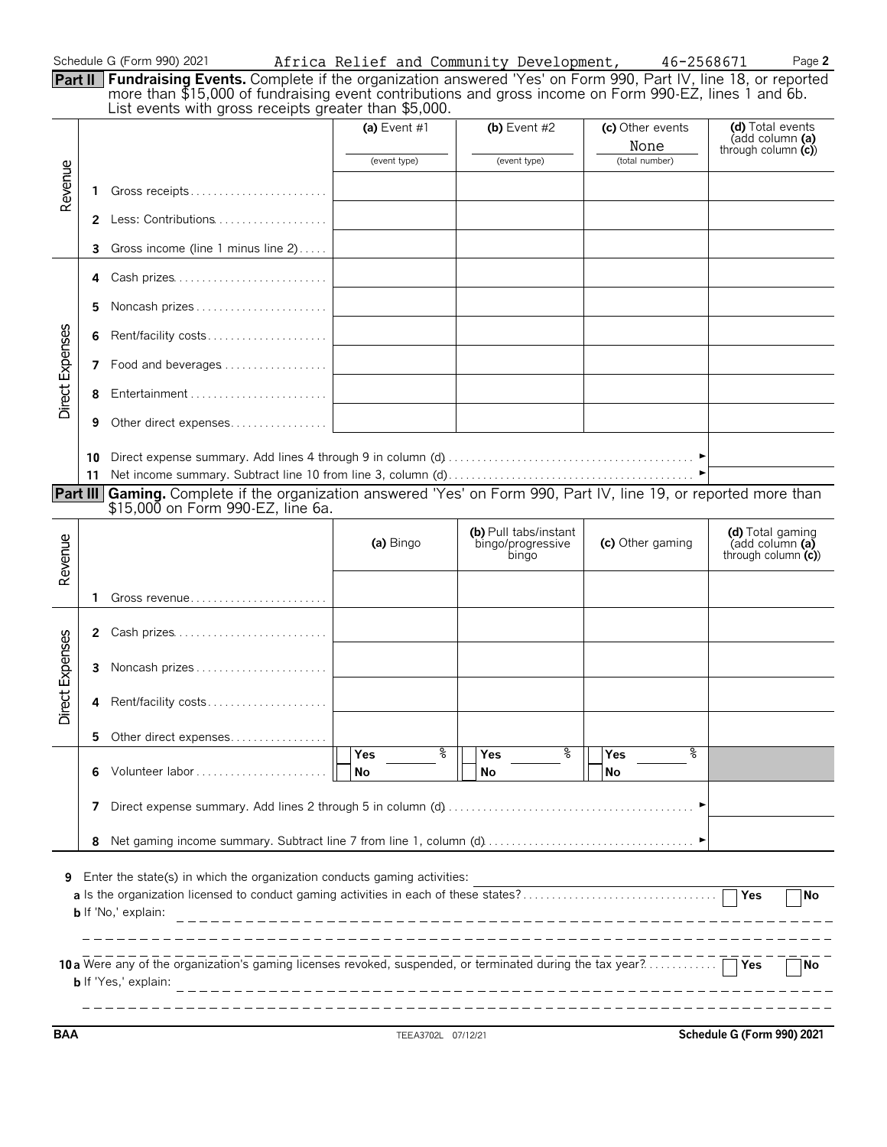| Schedule G (Form 990) 2021 |  |  |  |
|----------------------------|--|--|--|
|----------------------------|--|--|--|

|                      | Schedule G (Form 990) 2021                                                                                                                                                                                                                                                            | Africa Relief and Community Development, |                                | 46-2568671                                 | Page 2                                                     |
|----------------------|---------------------------------------------------------------------------------------------------------------------------------------------------------------------------------------------------------------------------------------------------------------------------------------|------------------------------------------|--------------------------------|--------------------------------------------|------------------------------------------------------------|
|                      | Part II Fundraising Events. Complete if the organization answered 'Yes' on Form 990, Part IV, line 18, or reported<br>more than \$15,000 of fundraising event contributions and gross income on Form 990-EZ, lines 1 and 6b.<br>List events with gross receipts greater than \$5,000. |                                          |                                |                                            |                                                            |
| $\underline{\omega}$ |                                                                                                                                                                                                                                                                                       | (a) Event $#1$<br>(event type)           | (b) Event $#2$<br>(event type) | (c) Other events<br>None<br>(total number) | (d) Total events<br>(add column (a)<br>through column (c)) |
|                      | Cross rossints                                                                                                                                                                                                                                                                        |                                          |                                |                                            |                                                            |

| Re              |             |                                      |  |  |
|-----------------|-------------|--------------------------------------|--|--|
|                 | $2^{\circ}$ | Less: Contributions                  |  |  |
|                 | 3           | Gross income (line 1 minus line $2)$ |  |  |
|                 | 4           | Cash prizes                          |  |  |
|                 | 5.          | Noncash prizes                       |  |  |
| Direct Expenses | 6           | Rent/facility costs                  |  |  |
|                 | 7           | Food and beverages                   |  |  |
|                 |             |                                      |  |  |
|                 | 9           | Other direct expenses                |  |  |
|                 | 10          |                                      |  |  |
|                 | 11          |                                      |  |  |

**Part III Gaming.** Complete if the organization answered 'Yes' on Form 990, Part IV, line 19, or reported more than \$15,000 on Form 990-EZ, line 6a.

| Revenue         |   |                                                                                                                                                                                                                                                                          | (a) Bingo                    | (b) Pull tabs/instant<br>bingo/progressive<br>bingo | (c) Other gaming             | (d) Total gaming<br>(add column (a)<br>through column $(c)$ |  |  |  |  |
|-----------------|---|--------------------------------------------------------------------------------------------------------------------------------------------------------------------------------------------------------------------------------------------------------------------------|------------------------------|-----------------------------------------------------|------------------------------|-------------------------------------------------------------|--|--|--|--|
|                 | 1 |                                                                                                                                                                                                                                                                          |                              |                                                     |                              |                                                             |  |  |  |  |
|                 |   | 2 Cash prizes                                                                                                                                                                                                                                                            |                              |                                                     |                              |                                                             |  |  |  |  |
| Direct Expenses | 3 | Noncash prizes                                                                                                                                                                                                                                                           |                              |                                                     |                              |                                                             |  |  |  |  |
|                 | 4 | Rent/facility costs                                                                                                                                                                                                                                                      |                              |                                                     |                              |                                                             |  |  |  |  |
|                 |   | 5 Other direct expenses                                                                                                                                                                                                                                                  |                              |                                                     |                              |                                                             |  |  |  |  |
|                 |   | Volunteer labor                                                                                                                                                                                                                                                          | ႜ<br><b>Yes</b><br><b>No</b> | ႜ<br><b>Yes</b><br><b>No</b>                        | ႜ<br><b>Yes</b><br><b>No</b> |                                                             |  |  |  |  |
|                 |   |                                                                                                                                                                                                                                                                          |                              |                                                     |                              |                                                             |  |  |  |  |
|                 | 8 |                                                                                                                                                                                                                                                                          |                              |                                                     |                              |                                                             |  |  |  |  |
| 9               |   | Enter the state(s) in which the organization conducts gaming activities:                                                                                                                                                                                                 |                              |                                                     |                              |                                                             |  |  |  |  |
|                 |   | <b>b</b> If 'No,' explain:                                                                                                                                                                                                                                               |                              |                                                     |                              | <b>No</b>                                                   |  |  |  |  |
|                 |   |                                                                                                                                                                                                                                                                          |                              |                                                     |                              |                                                             |  |  |  |  |
|                 |   | 10 a Were any of the organization's gaming licenses revoked, suspended, or terminated during the tax year?  TYes<br><b>b</b> If 'Yes,' explain:<br><u> 1990 - Jan Alexandri, martxa eta eta eta eta eta ezkonomia eta ezkonomia eta ezkonomia eta ezkonomia eta ezko</u> |                              |                                                     |                              |                                                             |  |  |  |  |
|                 |   |                                                                                                                                                                                                                                                                          |                              |                                                     |                              |                                                             |  |  |  |  |

**BAA** TEEA3702L 07/12/21 **Schedule G (Form 990) 2021**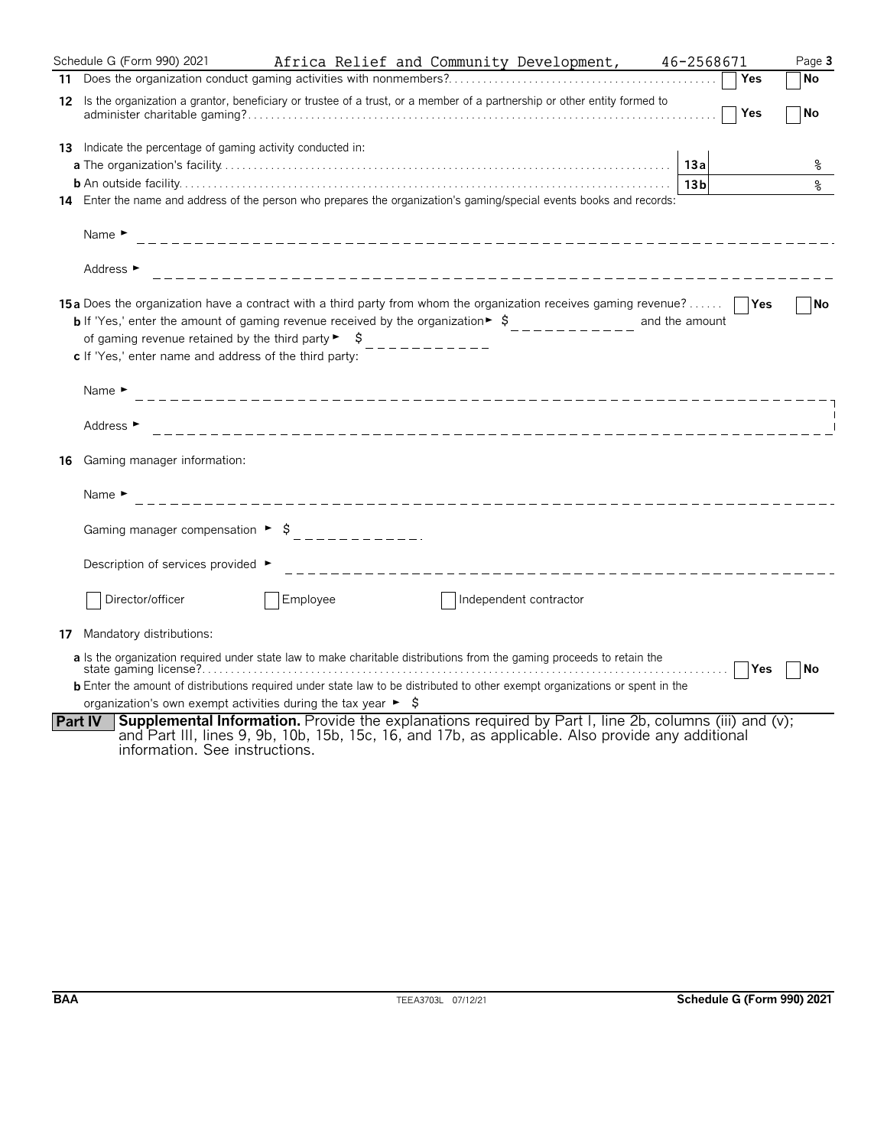|                | Schedule G (Form 990) 2021<br>Africa Relief and Community Development, 46-2568671                                                                                                                                                                                                                                                                               |                 |            | Page 3    |
|----------------|-----------------------------------------------------------------------------------------------------------------------------------------------------------------------------------------------------------------------------------------------------------------------------------------------------------------------------------------------------------------|-----------------|------------|-----------|
|                |                                                                                                                                                                                                                                                                                                                                                                 |                 | Yes        | No        |
|                | 12 Is the organization a grantor, beneficiary or trustee of a trust, or a member of a partnership or other entity formed to                                                                                                                                                                                                                                     |                 | Yes        | <b>No</b> |
|                | <b>13</b> Indicate the percentage of gaming activity conducted in:                                                                                                                                                                                                                                                                                              |                 |            |           |
|                |                                                                                                                                                                                                                                                                                                                                                                 | 13a             |            | ႜ         |
|                |                                                                                                                                                                                                                                                                                                                                                                 | 13 <sub>b</sub> |            | နွ        |
|                | 14 Enter the name and address of the person who prepares the organization's gaming/special events books and records:                                                                                                                                                                                                                                            |                 |            |           |
|                | Name $\blacktriangleright$                                                                                                                                                                                                                                                                                                                                      |                 |            |           |
|                | Address ►                                                                                                                                                                                                                                                                                                                                                       |                 |            |           |
|                | <b>15a</b> Does the organization have a contract with a third party from whom the organization receives gaming revenue?<br>of gaming revenue retained by the third party $\blacktriangleright$ $\blacktriangleright$<br>c If 'Yes,' enter name and address of the third party:                                                                                  | and the amount  |            | <b>No</b> |
|                | Name $\blacktriangleright$                                                                                                                                                                                                                                                                                                                                      |                 |            |           |
|                | Address ►                                                                                                                                                                                                                                                                                                                                                       |                 |            |           |
| 16             | Gaming manager information:                                                                                                                                                                                                                                                                                                                                     |                 |            |           |
|                | Name $\blacktriangleright$<br>______________________________                                                                                                                                                                                                                                                                                                    |                 |            |           |
|                | Gaming manager compensation $\blacktriangleright$ \$                                                                                                                                                                                                                                                                                                            |                 |            |           |
|                | Description of services provided ►<br>_________________________________                                                                                                                                                                                                                                                                                         |                 |            |           |
|                | Director/officer<br>Employee<br>Independent contractor                                                                                                                                                                                                                                                                                                          |                 |            |           |
|                | 17 Mandatory distributions:                                                                                                                                                                                                                                                                                                                                     |                 |            |           |
|                | a Is the organization required under state law to make charitable distributions from the gaming proceeds to retain the<br><b>b</b> Enter the amount of distributions required under state law to be distributed to other exempt organizations or spent in the<br>organization's own exempt activities during the tax year $\blacktriangleright$ $\blacklozenge$ | .               | <b>Yes</b> | No        |
| <b>Part IV</b> | <b>Supplemental Information.</b> Provide the explanations required by Part I, line 2b, columns (iii) and (v);<br>and Part III, lines 9, 9b, 10b, 15b, 15c, 16, and 17b, as applicable. Also provide any additional<br>information. See instructions.                                                                                                            |                 |            |           |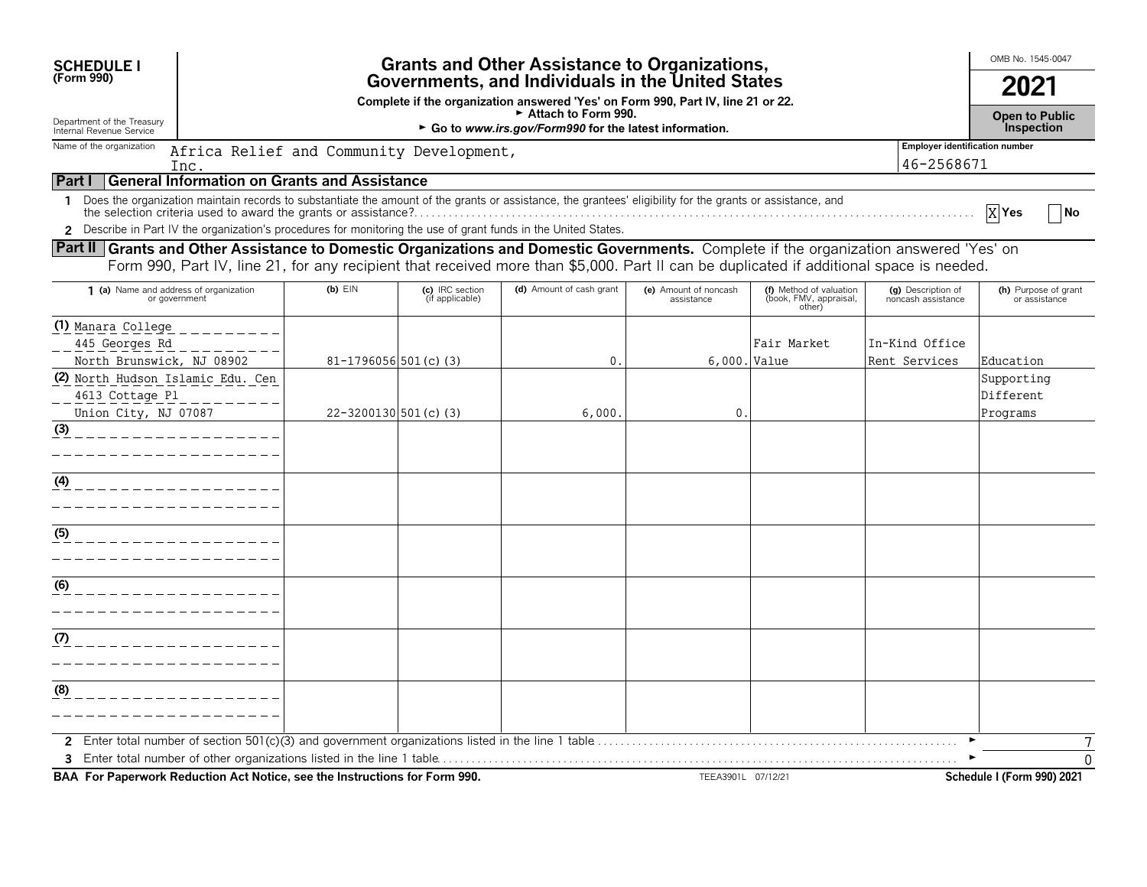| <b>SCHEDULE I</b>                                                                                                                      |                                                                                                                                       |                                                     |                                    | <b>Grants and Other Assistance to Organizations,</b>                                                                                                       |                                     |                                                             |                                          | OMB No. 1545-0047                          |  |  |
|----------------------------------------------------------------------------------------------------------------------------------------|---------------------------------------------------------------------------------------------------------------------------------------|-----------------------------------------------------|------------------------------------|------------------------------------------------------------------------------------------------------------------------------------------------------------|-------------------------------------|-------------------------------------------------------------|------------------------------------------|--------------------------------------------|--|--|
| (Form 990)                                                                                                                             | Governments, and Individuals in the United States<br>Complete if the organization answered 'Yes' on Form 990, Part IV, line 21 or 22. |                                                     |                                    |                                                                                                                                                            |                                     |                                                             |                                          |                                            |  |  |
| Department of the Treasury<br>Internal Revenue Service                                                                                 |                                                                                                                                       |                                                     |                                    | Attach to Form 990.<br>► Go to www.irs.gov/Form990 for the latest information.                                                                             |                                     |                                                             |                                          | <b>Open to Public</b><br><b>Inspection</b> |  |  |
| <b>Employer identification number</b><br>Name of the organization<br>Africa Relief and Community Development,<br>46-2568671<br>Inc.    |                                                                                                                                       |                                                     |                                    |                                                                                                                                                            |                                     |                                                             |                                          |                                            |  |  |
| l Part I                                                                                                                               |                                                                                                                                       | <b>General Information on Grants and Assistance</b> |                                    |                                                                                                                                                            |                                     |                                                             |                                          |                                            |  |  |
| 1                                                                                                                                      |                                                                                                                                       |                                                     |                                    | Does the organization maintain records to substantiate the amount of the grants or assistance, the grantees' eligibility for the grants or assistance, and |                                     |                                                             |                                          | X Yes<br><b>No</b>                         |  |  |
| 2 Describe in Part IV the organization's procedures for monitoring the use of grant funds in the United States.                        |                                                                                                                                       |                                                     |                                    |                                                                                                                                                            |                                     |                                                             |                                          |                                            |  |  |
| Part II Grants and Other Assistance to Domestic Organizations and Domestic Governments. Complete if the organization answered 'Yes' on |                                                                                                                                       |                                                     |                                    | Form 990, Part IV, line 21, for any recipient that received more than \$5,000. Part II can be duplicated if additional space is needed.                    |                                     |                                                             |                                          |                                            |  |  |
| 1 (a) Name and address of organization<br>or government                                                                                |                                                                                                                                       | $(b)$ $EIN$                                         | (c) IRC section<br>(if applicable) | (d) Amount of cash grant                                                                                                                                   | (e) Amount of noncash<br>assistance | (f) Method of valuation<br>(book, FMV, appraisal,<br>other) | (g) Description of<br>noncash assistance | (h) Purpose of grant<br>or assistance      |  |  |
| (1) Manara College __________                                                                                                          |                                                                                                                                       |                                                     |                                    |                                                                                                                                                            |                                     |                                                             |                                          |                                            |  |  |
| 445 Georges Rd                                                                                                                         |                                                                                                                                       |                                                     |                                    |                                                                                                                                                            |                                     | Fair Market                                                 | In-Kind Office                           |                                            |  |  |
| North Brunswick, NJ 08902                                                                                                              |                                                                                                                                       | $81 - 1796056$ 501 (c) (3)                          |                                    | 0.                                                                                                                                                         |                                     | 6,000. Value                                                | Rent Services                            | Education                                  |  |  |
| (2) North Hudson Islamic Edu. Cen<br>4613 Cottage Pl<br>Union City, NJ 07087                                                           |                                                                                                                                       | 22-3200130 501 (c) (3)                              |                                    | 6,000.                                                                                                                                                     | $\mathbf{0}$                        |                                                             |                                          | Supporting<br>Different<br>Programs        |  |  |
| (3)                                                                                                                                    |                                                                                                                                       |                                                     |                                    |                                                                                                                                                            |                                     |                                                             |                                          |                                            |  |  |
|                                                                                                                                        |                                                                                                                                       |                                                     |                                    |                                                                                                                                                            |                                     |                                                             |                                          |                                            |  |  |
| (4)                                                                                                                                    |                                                                                                                                       |                                                     |                                    |                                                                                                                                                            |                                     |                                                             |                                          |                                            |  |  |
| (5)                                                                                                                                    |                                                                                                                                       |                                                     |                                    |                                                                                                                                                            |                                     |                                                             |                                          |                                            |  |  |
|                                                                                                                                        |                                                                                                                                       |                                                     |                                    |                                                                                                                                                            |                                     |                                                             |                                          |                                            |  |  |
| (6)                                                                                                                                    |                                                                                                                                       |                                                     |                                    |                                                                                                                                                            |                                     |                                                             |                                          |                                            |  |  |
| (7)                                                                                                                                    |                                                                                                                                       |                                                     |                                    |                                                                                                                                                            |                                     |                                                             |                                          |                                            |  |  |
| (8)                                                                                                                                    |                                                                                                                                       |                                                     |                                    |                                                                                                                                                            |                                     |                                                             |                                          |                                            |  |  |
|                                                                                                                                        |                                                                                                                                       |                                                     |                                    |                                                                                                                                                            |                                     |                                                             |                                          | 7                                          |  |  |
|                                                                                                                                        |                                                                                                                                       |                                                     |                                    |                                                                                                                                                            |                                     |                                                             |                                          | $\Omega$                                   |  |  |
| BAA For Paperwork Reduction Act Notice, see the Instructions for Form 990.                                                             |                                                                                                                                       |                                                     |                                    |                                                                                                                                                            | TEEA3901L 07/12/21                  |                                                             |                                          | <b>Schedule I (Form 990) 2021</b>          |  |  |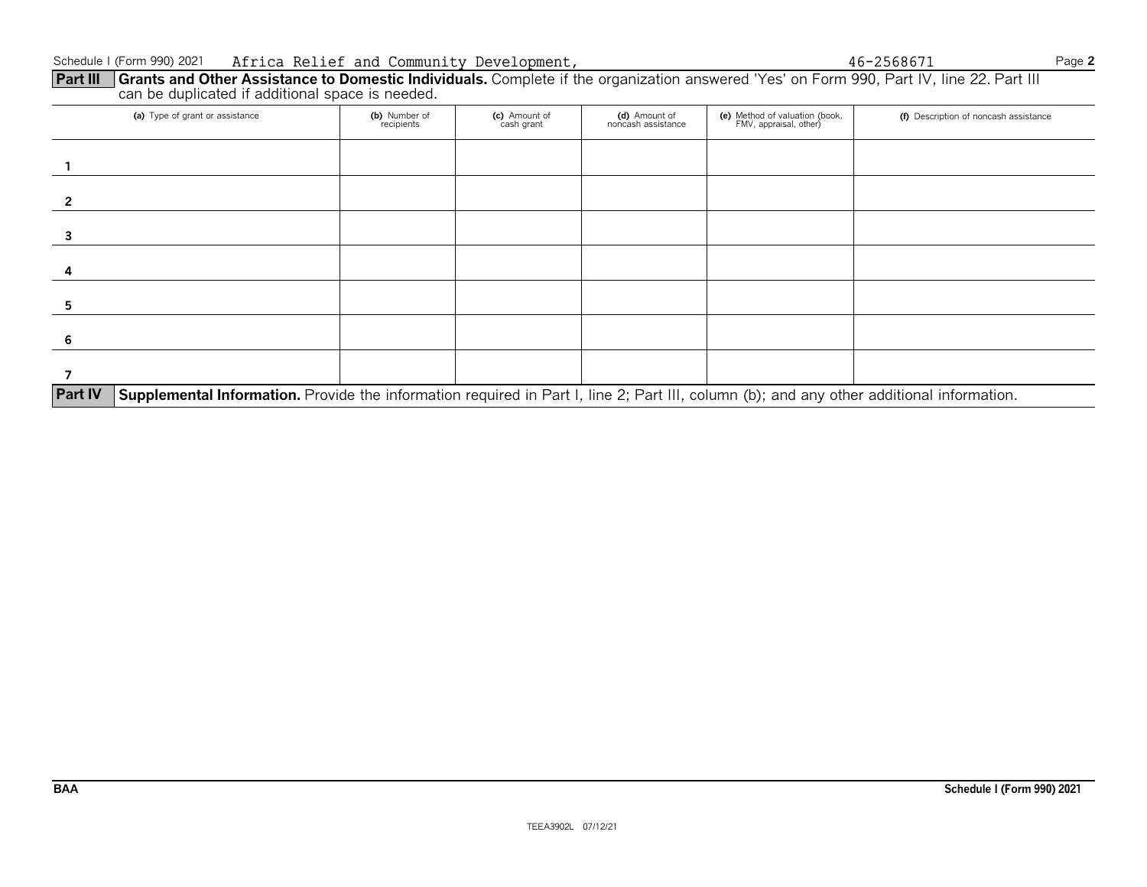**Part III Grants and Other Assistance to Domestic Individuals.** Complete if the organization answered 'Yes' on Form 990, Part IV, line 22. Part III can be duplicated if additional space is needed.

| (a) Type of grant or assistance                                                                                                                             | (b) Number of<br>recipients | (c) Amount of<br>cash grant | (d) Amount of<br>noncash assistance | (e) Method of valuation (book,<br>FMV, appraisal, other) | (f) Description of noncash assistance |  |  |  |
|-------------------------------------------------------------------------------------------------------------------------------------------------------------|-----------------------------|-----------------------------|-------------------------------------|----------------------------------------------------------|---------------------------------------|--|--|--|
|                                                                                                                                                             |                             |                             |                                     |                                                          |                                       |  |  |  |
|                                                                                                                                                             |                             |                             |                                     |                                                          |                                       |  |  |  |
|                                                                                                                                                             |                             |                             |                                     |                                                          |                                       |  |  |  |
|                                                                                                                                                             |                             |                             |                                     |                                                          |                                       |  |  |  |
|                                                                                                                                                             |                             |                             |                                     |                                                          |                                       |  |  |  |
|                                                                                                                                                             |                             |                             |                                     |                                                          |                                       |  |  |  |
|                                                                                                                                                             |                             |                             |                                     |                                                          |                                       |  |  |  |
| <b>Part IV</b><br>Supplemental Information. Provide the information required in Part I, line 2; Part III, column (b); and any other additional information. |                             |                             |                                     |                                                          |                                       |  |  |  |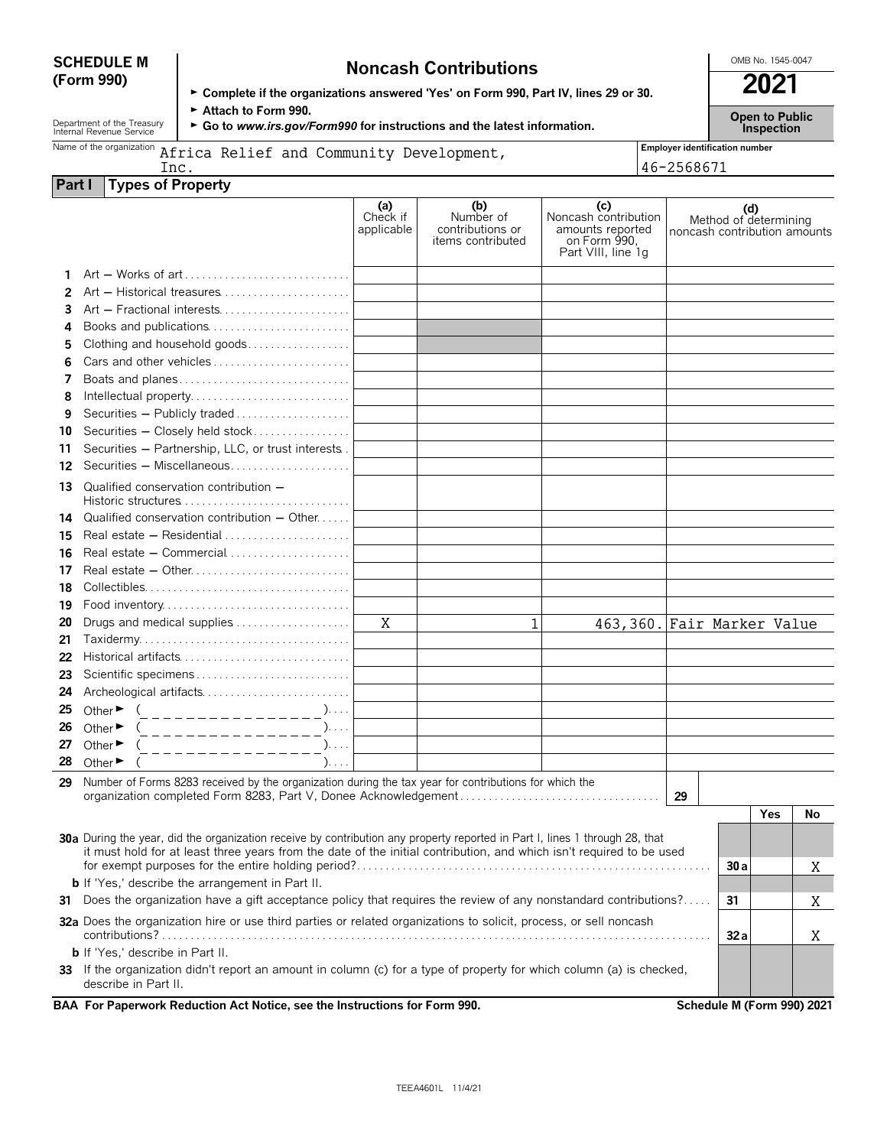| <b>SCHEDULE M</b> |  |
|-------------------|--|
| (Form 990)        |  |

# **SCHEDULE M Noncash Contributions**  $\begin{bmatrix} \text{OMB No. 1545-0047} \\ \text{OMB No. 1545-0047} \end{bmatrix}$

|                                                                                      | 2021 |
|--------------------------------------------------------------------------------------|------|
| ► Complete if the organizations answered 'Yes' on Form 990, Part IV, lines 29 or 30. |      |

|                                    | Attach to Form 990.<br>Department of the Treasury<br>Internal Revenue Service<br>► Go to www.irs.gov/Form990 for instructions and the latest information. |                               |                                                           |                                                                                       |  | <b>Open to Public</b><br>Inspection                          |  |
|------------------------------------|-----------------------------------------------------------------------------------------------------------------------------------------------------------|-------------------------------|-----------------------------------------------------------|---------------------------------------------------------------------------------------|--|--------------------------------------------------------------|--|
| Name of the organization           | <b>Employer identification number</b>                                                                                                                     |                               |                                                           |                                                                                       |  |                                                              |  |
|                                    | Africa Relief and Community Development,<br>46-2568671<br>Inc.                                                                                            |                               |                                                           |                                                                                       |  |                                                              |  |
| <b>Types of Property</b><br>Part I |                                                                                                                                                           |                               |                                                           |                                                                                       |  |                                                              |  |
|                                    |                                                                                                                                                           | (a)<br>Check if<br>applicable | (b)<br>Number of<br>contributions or<br>items contributed | (c)<br>Noncash contribution<br>amounts reported<br>on Form 990.<br>Part VIII, line 1q |  | (d)<br>Method of determining<br>noncash contribution amounts |  |
|                                    | Art - Works of art                                                                                                                                        |                               |                                                           |                                                                                       |  |                                                              |  |
| 2                                  |                                                                                                                                                           |                               |                                                           |                                                                                       |  |                                                              |  |
| 3                                  | Art - Fractional interests                                                                                                                                |                               |                                                           |                                                                                       |  |                                                              |  |
| 4                                  | Books and publications                                                                                                                                    |                               |                                                           |                                                                                       |  |                                                              |  |
| 5                                  | Clothing and household goods                                                                                                                              |                               |                                                           |                                                                                       |  |                                                              |  |
| 6                                  | Cars and other vehicles                                                                                                                                   |                               |                                                           |                                                                                       |  |                                                              |  |
|                                    | Boats and planes                                                                                                                                          |                               |                                                           |                                                                                       |  |                                                              |  |
| 8                                  | Intellectual property                                                                                                                                     |                               |                                                           |                                                                                       |  |                                                              |  |
| 9                                  | Securities - Publicly traded                                                                                                                              |                               |                                                           |                                                                                       |  |                                                              |  |
| 10                                 | Securities - Closely held stock                                                                                                                           |                               |                                                           |                                                                                       |  |                                                              |  |
| 11                                 | Securities - Partnership, LLC, or trust interests.                                                                                                        |                               |                                                           |                                                                                       |  |                                                              |  |
| 12                                 |                                                                                                                                                           |                               |                                                           |                                                                                       |  |                                                              |  |
| 13                                 | Qualified conservation contribution -                                                                                                                     |                               |                                                           |                                                                                       |  |                                                              |  |
| 14.                                | Qualified conservation contribution $-$ Other                                                                                                             |                               |                                                           |                                                                                       |  |                                                              |  |
| 15                                 |                                                                                                                                                           |                               |                                                           |                                                                                       |  |                                                              |  |
| 16                                 | Real estate - Commercial                                                                                                                                  |                               |                                                           |                                                                                       |  |                                                              |  |
| 17                                 |                                                                                                                                                           |                               |                                                           |                                                                                       |  |                                                              |  |
| 18                                 |                                                                                                                                                           |                               |                                                           |                                                                                       |  |                                                              |  |
|                                    | $10.$ Each inventory                                                                                                                                      |                               |                                                           |                                                                                       |  |                                                              |  |

|                                           |  | 463,360. Fair Marker Value |
|-------------------------------------------|--|----------------------------|
|                                           |  |                            |
|                                           |  |                            |
|                                           |  |                            |
|                                           |  |                            |
| 25 Other $\blacktriangleright$<br>,       |  |                            |
| 26 Other $\blacktriangleright$<br>, , , , |  |                            |
| 27 Other $\blacktriangleright$<br>,       |  |                            |
| 28 Other $\blacktriangleright$<br>,       |  |                            |
|                                           |  |                            |

**29** Number of Forms 8283 received by the organization during the tax year for contributions for which the organization completed Form 8283, Part V, Donee Acknowledgement . . . . . . . . . . . . . . . . . . . . . . . . . . . . . . . . . . . **29**

|                                                                                                                                                                                                                                                            |                            | Yes | No |
|------------------------------------------------------------------------------------------------------------------------------------------------------------------------------------------------------------------------------------------------------------|----------------------------|-----|----|
| <b>30a</b> During the year, did the organization receive by contribution any property reported in Part I, lines 1 through 28, that<br>it must hold for at least three years from the date of the initial contribution, and which isn't required to be used |                            |     |    |
|                                                                                                                                                                                                                                                            | 30a                        |     |    |
| <b>b</b> If 'Yes,' describe the arrangement in Part II.                                                                                                                                                                                                    |                            |     |    |
| Does the organization have a gift acceptance policy that requires the review of any nonstandard contributions?<br>31                                                                                                                                       | 31                         |     |    |
| 32a Does the organization hire or use third parties or related organizations to solicit, process, or sell noncash<br>contributions?                                                                                                                        | 32a                        |     |    |
| <b>b</b> If 'Yes,' describe in Part II.                                                                                                                                                                                                                    |                            |     |    |
| If the organization didn't report an amount in column (c) for a type of property for which column (a) is checked,<br>33.<br>describe in Part II.                                                                                                           |                            |     |    |
| BAA For Paperwork Reduction Act Notice, see the Instructions for Form 990.                                                                                                                                                                                 | Schedule M (Form 990) 2021 |     |    |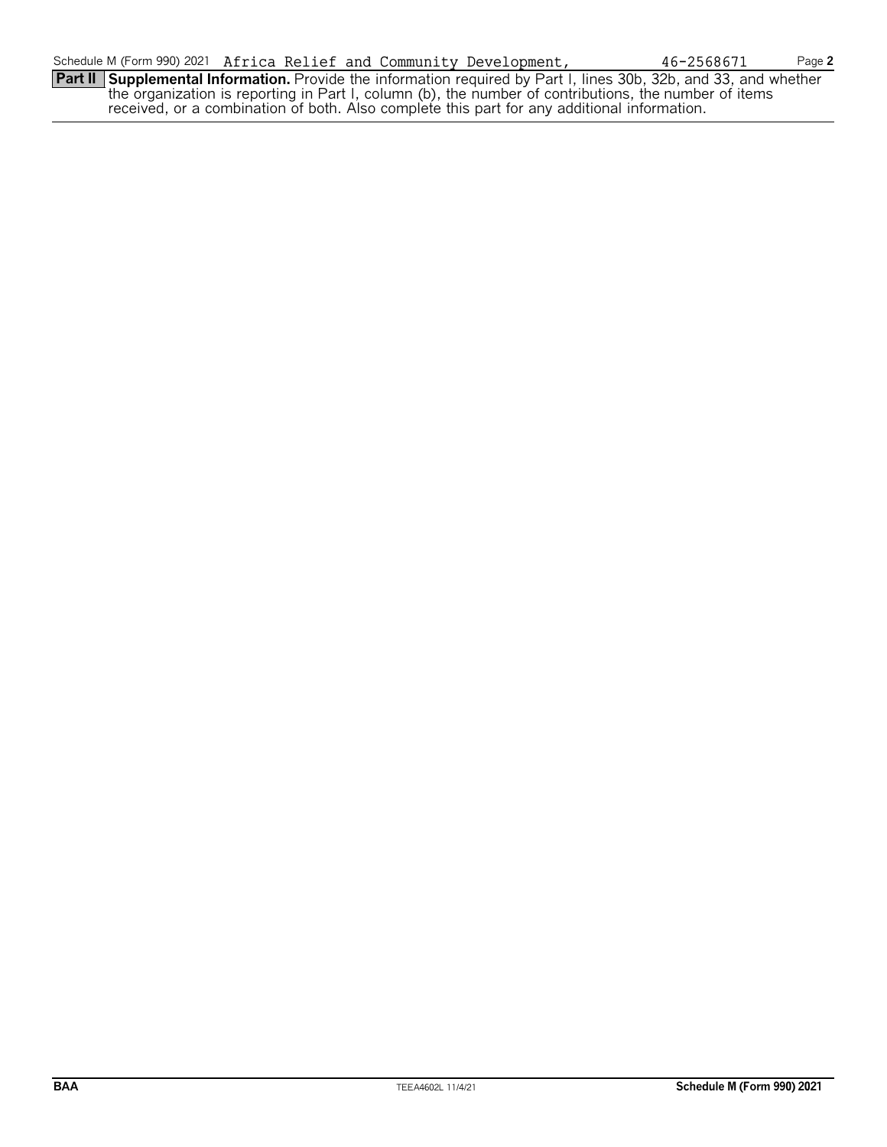**Part II Supplemental Information.** Provide the information required by Part I, lines 30b, 32b, and 33, and whether the organization is reporting in Part I, column (b), the number of contributions, the number of items received, or a combination of both. Also complete this part for any additional information.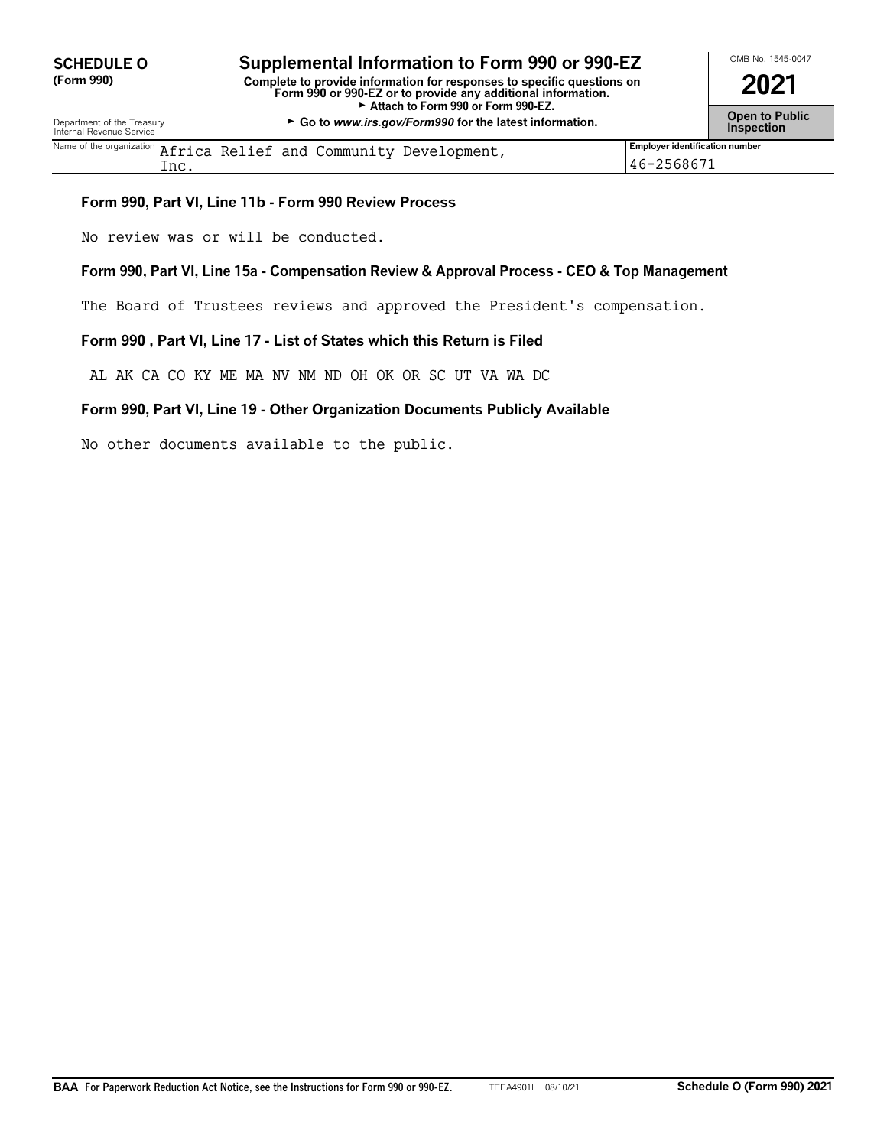# **CHEDULE O** Supplemental Information to Form 990 or 990-EZ<br>
(Form 990) Complete to provide information for responses to specific questions on

**(Form 990) Complete to provide information for responses to specific questions on Form 990 or 990-EZ or to provide any additional information. 2021** ► Attach to Form 990 or Form 990-EZ. Department of the Treasury **Constant Comment of the Collaboration Constant Constant Comment Constant Constant Constant Constant Constant Constant Constant Constant Constant Constant Constant Constant Constant Constant C** 

| $^{\sf Name\ of\ the\ organization}$ $\rm African\ Relief$ and $\rm Community\ Development$ , | <b>Employer identification number</b> |
|-----------------------------------------------------------------------------------------------|---------------------------------------|
| $\verb+nc+$                                                                                   | 2568671<br>$-46 - 7$                  |

#### **Form 990, Part VI, Line 11b - Form 990 Review Process**

No review was or will be conducted.

#### **Form 990, Part VI, Line 15a - Compensation Review & Approval Process - CEO & Top Management**

The Board of Trustees reviews and approved the President's compensation.

#### **Form 990 , Part VI, Line 17 - List of States which this Return is Filed**

AL AK CA CO KY ME MA NV NM ND OH OK OR SC UT VA WA DC

#### **Form 990, Part VI, Line 19 - Other Organization Documents Publicly Available**

No other documents available to the public.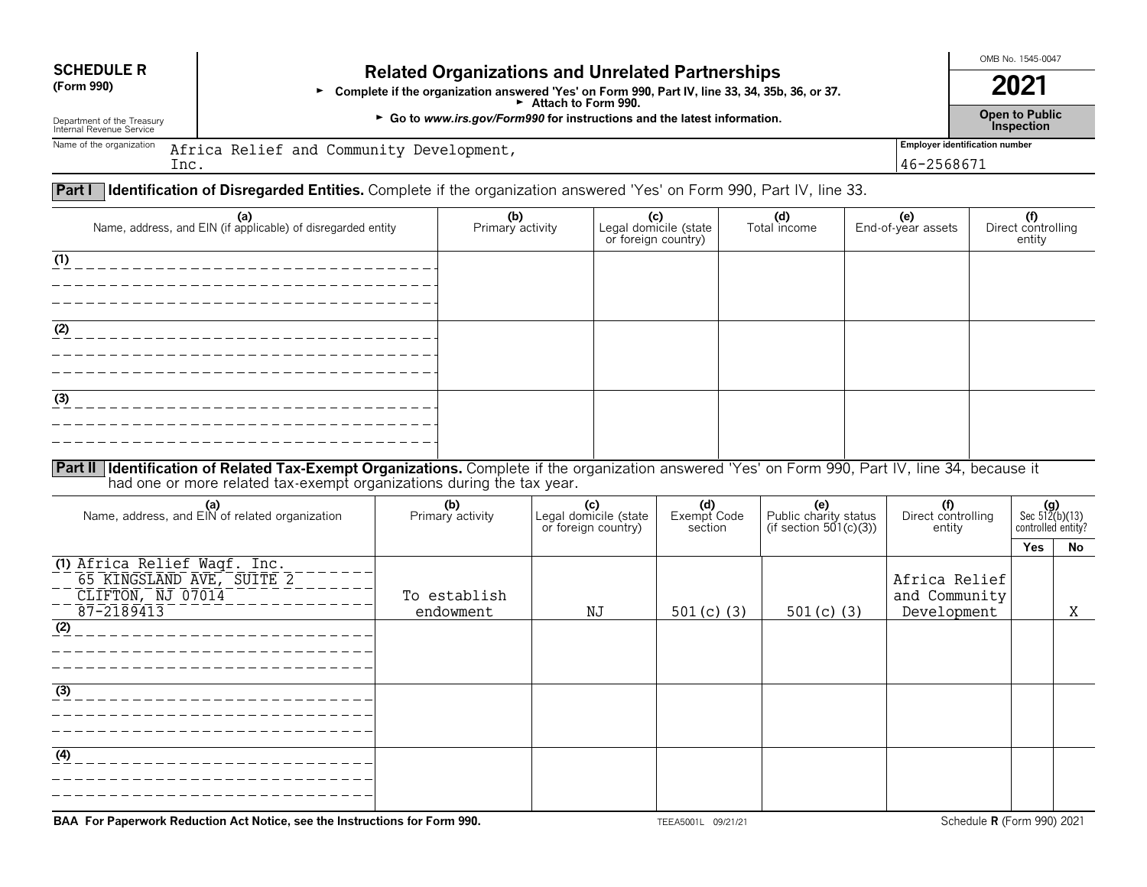## **SCHEDULE R Related Organizations and Unrelated Partnerships**<br>(Form 990) **Related Organization argument** Yes' on Form 990, Bort IV, line 32, 24, 254

**•** Complete if the organization answered 'Yes' on Form 990, Part IV, line 33, 34, 35b, 36, or 37. **2021**<br>**2021** ∴ **2021** Attach to Form 990.

Department of the Treasury **Company of the Treasury Co to** *www.irs.gov/Form990* **for instructions and the latest information. Company of the Treasury <b>Company of the Treasury Conduction Conduction Conduction Condu** Department of the Treasury **Inspection**<br>Internal Revenue Service **Inspection**<br>Internal Revenue Service **Inspection** 

OMB No. 1545-0047

Name of the organization **Africa Relief and Community Development,** and the state of the organization **and the state of the state of the state of the state of the state of the state of the state of the state of the state o** Inc.

46-2568671

### **Part I Identification of Disregarded Entities.** Complete if the organization answered 'Yes' on Form 990, Part IV, line 33.

| (a)<br>Name, address, and EIN (if applicable) of disregarded entity                                                                                     | (b)<br>Primary activity | (C)<br>Legal domicile (state<br>or foreign country) | (d)<br>Total income | <b>(e)</b><br>End-of-year assets | (f)<br>Direct controlling<br>entity |
|---------------------------------------------------------------------------------------------------------------------------------------------------------|-------------------------|-----------------------------------------------------|---------------------|----------------------------------|-------------------------------------|
| (1)                                                                                                                                                     |                         |                                                     |                     |                                  |                                     |
|                                                                                                                                                         |                         |                                                     |                     |                                  |                                     |
|                                                                                                                                                         |                         |                                                     |                     |                                  |                                     |
|                                                                                                                                                         |                         |                                                     |                     |                                  |                                     |
| (2)                                                                                                                                                     |                         |                                                     |                     |                                  |                                     |
|                                                                                                                                                         |                         |                                                     |                     |                                  |                                     |
|                                                                                                                                                         |                         |                                                     |                     |                                  |                                     |
|                                                                                                                                                         |                         |                                                     |                     |                                  |                                     |
| (3)                                                                                                                                                     |                         |                                                     |                     |                                  |                                     |
|                                                                                                                                                         |                         |                                                     |                     |                                  |                                     |
|                                                                                                                                                         |                         |                                                     |                     |                                  |                                     |
|                                                                                                                                                         |                         |                                                     |                     |                                  |                                     |
| <b>Part II Identification of Related Tax-Exempt Organizations</b> Complete if the organization answered 'Yes' on Form 990, Part IV, line 34, because it |                         |                                                     |                     |                                  |                                     |

**Part II Identification of Related Tax-Exempt Organizations.** Complete if the organization answered 'Yes' on Form 990, Part IV, line 34, because it had one or more related tax-exempt organizations during the tax year.

| (a)<br>Name, address, and EIN of related organization                                        | (b)<br>Primary activity   | (c)<br>Legal domicile (state<br>or foreign country) | (d)<br>Exempt Code<br>section | (e)<br>Public charity status<br>(if section 501(c)(3)) | (f)<br>Direct controlling<br>entity           | $(g)$<br>Sec 512(b)(13)<br>controlled entity? |     |
|----------------------------------------------------------------------------------------------|---------------------------|-----------------------------------------------------|-------------------------------|--------------------------------------------------------|-----------------------------------------------|-----------------------------------------------|-----|
|                                                                                              |                           |                                                     |                               |                                                        |                                               | Yes                                           | No. |
| (1) Africa Relief Waqf. Inc.<br>65 KINGSLAND AVE, SUITE 2<br>CLIFTON, NJ 07014<br>87-2189413 | To establish<br>endowment | NJ                                                  | 501 $(c)$ (3)                 | 501 $(c)$ (3)                                          | Africa Relief<br>and Community<br>Development |                                               | Χ   |
| (2)                                                                                          |                           |                                                     |                               |                                                        |                                               |                                               |     |
| (3)                                                                                          |                           |                                                     |                               |                                                        |                                               |                                               |     |
| (4)                                                                                          |                           |                                                     |                               |                                                        |                                               |                                               |     |

**BAA For Paperwork Reduction Act Notice, see the Instructions for Form 990.** TEEA5001L 09/21/21 Schedule **R** (Form 990) 2021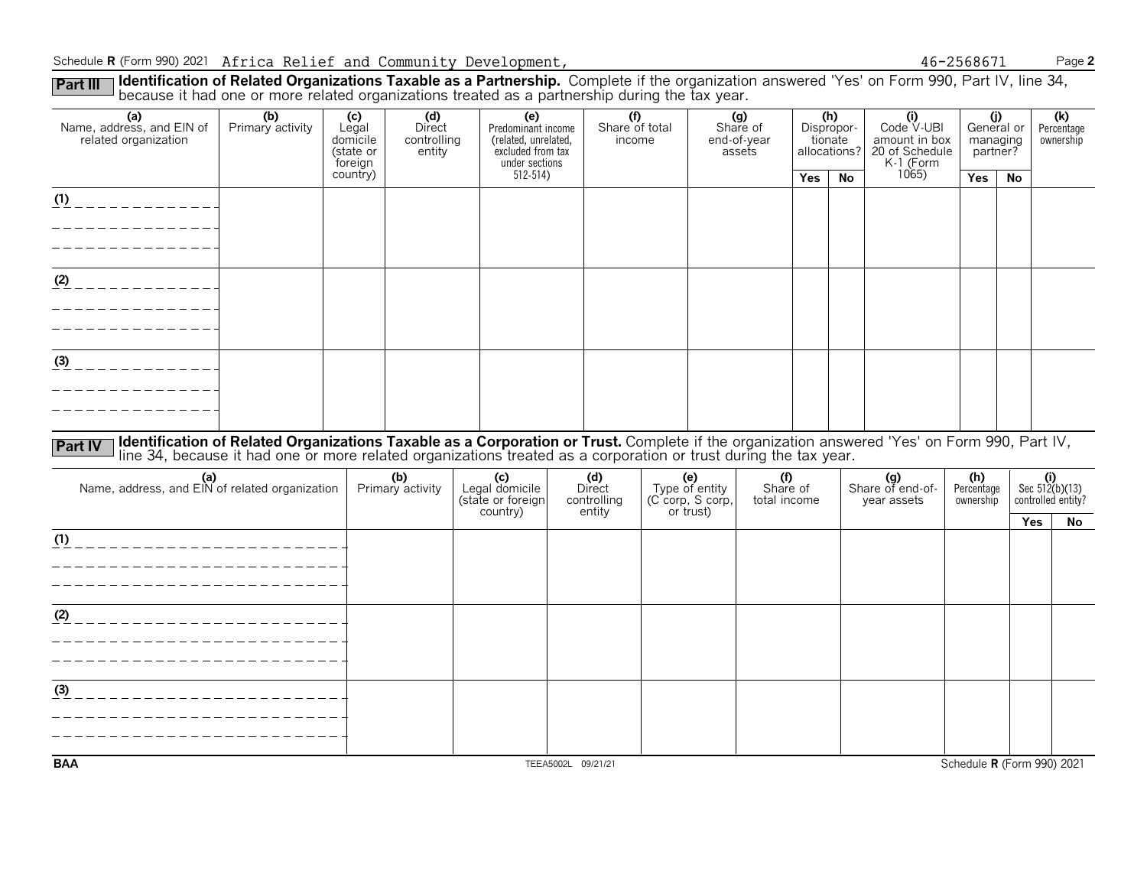#### Schedule **R** (Form 990) 2021 Africa Relief and Community Development,  $46-2568671$  Page **2**

Part III I **Identification of Related Organizations Taxable as a Partnership.** Complete if the organization answered 'Yes' on Form 990, Part IV, line 34,<br>because it had one or more related organizations treated as a partne

| (a)<br>Name, address, and EIN of<br>related organization | (b)<br>Primary activity                                                                                                                                                                                                        | (c)<br>Legal<br>domicile<br>(state or<br>foreign | (d)<br>Direct<br>controlling<br>entity | (e)<br>Predominant income<br>(related, unrelated,<br>excluded from tax<br>under sections | (f)<br>Share of total<br>income        |                                                        | (g)<br>Share of<br>end-of-year<br>assets |            | (h)<br>Dispropor-<br>tionate<br>allocations? | (i)<br>Code V-UBI<br>amount in box<br>20 of Schedule<br>K-1 (Form | partner?                       | (j)<br>General or<br>managing | $\overline{(k)}$<br>Percentage<br>ownership   |
|----------------------------------------------------------|--------------------------------------------------------------------------------------------------------------------------------------------------------------------------------------------------------------------------------|--------------------------------------------------|----------------------------------------|------------------------------------------------------------------------------------------|----------------------------------------|--------------------------------------------------------|------------------------------------------|------------|----------------------------------------------|-------------------------------------------------------------------|--------------------------------|-------------------------------|-----------------------------------------------|
|                                                          |                                                                                                                                                                                                                                | country)                                         |                                        | $512 - 514$                                                                              |                                        |                                                        |                                          | <b>Yes</b> | <b>No</b>                                    | 1065)                                                             | Yes                            | No                            |                                               |
| (1)<br>. _ _ _ _ _ _ _ _ _ .                             |                                                                                                                                                                                                                                |                                                  |                                        |                                                                                          |                                        |                                                        |                                          |            |                                              |                                                                   |                                |                               |                                               |
| (2)<br>__________                                        |                                                                                                                                                                                                                                |                                                  |                                        |                                                                                          |                                        |                                                        |                                          |            |                                              |                                                                   |                                |                               |                                               |
|                                                          |                                                                                                                                                                                                                                |                                                  |                                        |                                                                                          |                                        |                                                        |                                          |            |                                              |                                                                   |                                |                               |                                               |
| (3)                                                      |                                                                                                                                                                                                                                |                                                  |                                        |                                                                                          |                                        |                                                        |                                          |            |                                              |                                                                   |                                |                               |                                               |
|                                                          |                                                                                                                                                                                                                                |                                                  |                                        |                                                                                          |                                        |                                                        |                                          |            |                                              |                                                                   |                                |                               |                                               |
| <b>Part IV</b>                                           | Identification of Related Organizations Taxable as a Corporation or Trust. Complete if the organization answered 'Yes' on Form 990, Part IV, line 34, because it had one or more related organizations treated as a corporatio |                                                  |                                        |                                                                                          |                                        |                                                        |                                          |            |                                              |                                                                   |                                |                               |                                               |
| (a)<br>Name, address, and EIN of related organization    |                                                                                                                                                                                                                                |                                                  | (b)<br>Primary activity                | (c)<br>Legal domicile<br>(state or foreign<br>country)                                   | (d)<br>Direct<br>controlling<br>entity | (e)<br>Type of entity<br>(C corp, S corp,<br>or trust) | (f)<br>Share of<br>total income          |            |                                              | (g)<br>Share of end-of-<br>year assets                            | (h)<br>Percentage<br>ownership |                               | $(i)$<br>Sec 512(b)(13)<br>controlled entity? |
|                                                          |                                                                                                                                                                                                                                |                                                  |                                        |                                                                                          |                                        |                                                        |                                          |            |                                              |                                                                   |                                | Yes                           | No                                            |
| (1)                                                      |                                                                                                                                                                                                                                |                                                  |                                        |                                                                                          |                                        |                                                        |                                          |            |                                              |                                                                   |                                |                               |                                               |
|                                                          |                                                                                                                                                                                                                                |                                                  |                                        |                                                                                          |                                        |                                                        |                                          |            |                                              |                                                                   |                                |                               |                                               |
|                                                          |                                                                                                                                                                                                                                |                                                  |                                        |                                                                                          |                                        |                                                        |                                          |            |                                              |                                                                   |                                |                               |                                               |
| (2)                                                      |                                                                                                                                                                                                                                |                                                  |                                        |                                                                                          |                                        |                                                        |                                          |            |                                              |                                                                   |                                |                               |                                               |
|                                                          |                                                                                                                                                                                                                                |                                                  |                                        |                                                                                          |                                        |                                                        |                                          |            |                                              |                                                                   |                                |                               |                                               |
|                                                          |                                                                                                                                                                                                                                |                                                  |                                        |                                                                                          |                                        |                                                        |                                          |            |                                              |                                                                   |                                |                               |                                               |
|                                                          |                                                                                                                                                                                                                                |                                                  |                                        |                                                                                          |                                        |                                                        |                                          |            |                                              |                                                                   |                                |                               |                                               |
| (3)                                                      |                                                                                                                                                                                                                                |                                                  |                                        |                                                                                          |                                        |                                                        |                                          |            |                                              |                                                                   |                                |                               |                                               |
|                                                          |                                                                                                                                                                                                                                |                                                  |                                        |                                                                                          |                                        |                                                        |                                          |            |                                              |                                                                   |                                |                               |                                               |
|                                                          |                                                                                                                                                                                                                                |                                                  |                                        |                                                                                          |                                        |                                                        |                                          |            |                                              |                                                                   |                                |                               |                                               |
| <b>BAA</b>                                               |                                                                                                                                                                                                                                |                                                  |                                        |                                                                                          | TEEA5002L 09/21/21                     |                                                        |                                          |            |                                              |                                                                   |                                |                               | Schedule R (Form 990) 2021                    |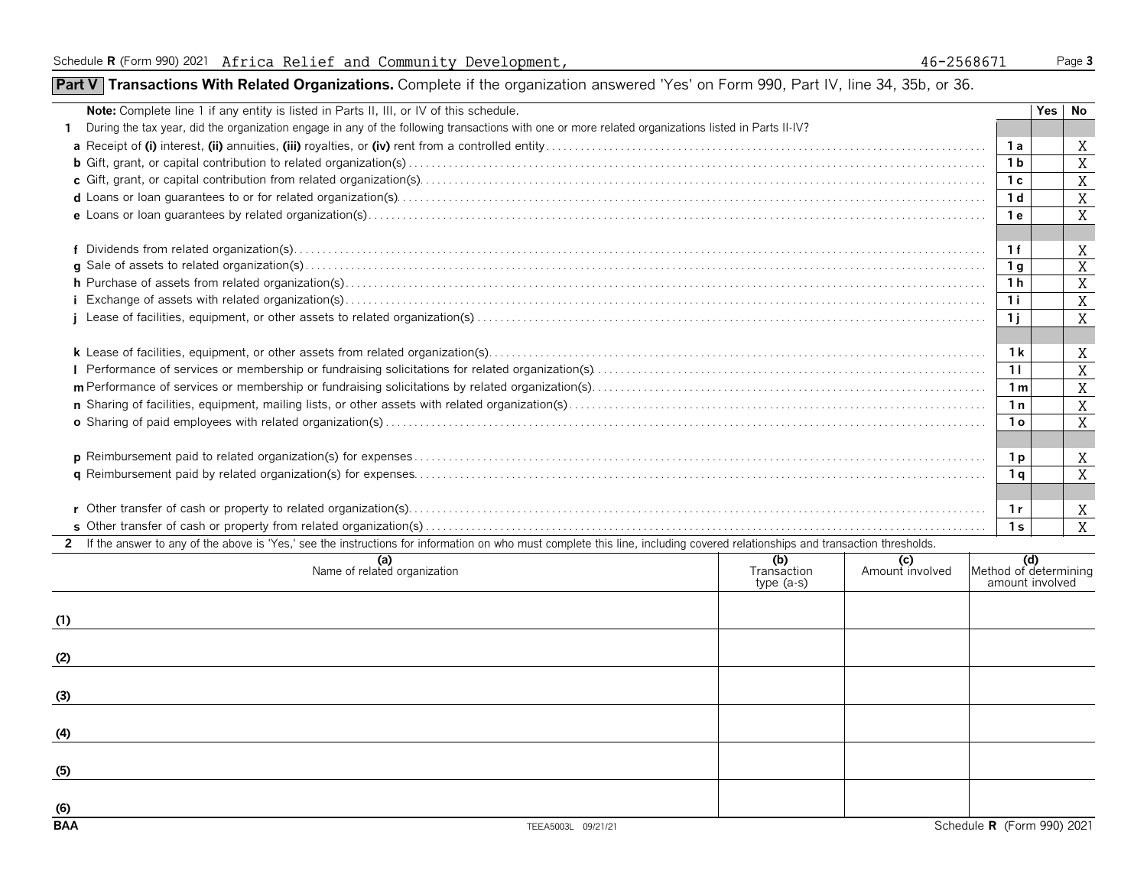### **Part V** Transactions With Related Organizations. Complete if the organization answered 'Yes' on Form 990, Part IV, line 34, 35b, or 36.

| Note: Complete line 1 if any entity is listed in Parts II, III, or IV of this schedule.                                                                                        |                                   |                        |                                                 | Yes | No             |  |  |
|--------------------------------------------------------------------------------------------------------------------------------------------------------------------------------|-----------------------------------|------------------------|-------------------------------------------------|-----|----------------|--|--|
| During the tax year, did the organization engage in any of the following transactions with one or more related organizations listed in Parts II-IV?<br>1.                      |                                   |                        |                                                 |     |                |  |  |
|                                                                                                                                                                                |                                   |                        | 1 a                                             |     | Χ              |  |  |
|                                                                                                                                                                                |                                   |                        | 1 b                                             |     | X              |  |  |
|                                                                                                                                                                                |                                   |                        | 1 <sup>c</sup>                                  |     | $\overline{X}$ |  |  |
|                                                                                                                                                                                |                                   |                        | 1 <sub>d</sub>                                  |     | $\overline{X}$ |  |  |
|                                                                                                                                                                                |                                   |                        | 1 е                                             |     | $\overline{X}$ |  |  |
|                                                                                                                                                                                |                                   |                        |                                                 |     |                |  |  |
|                                                                                                                                                                                |                                   |                        | 1f                                              |     | X              |  |  |
|                                                                                                                                                                                |                                   |                        | 1 <sub>q</sub>                                  |     | $\overline{X}$ |  |  |
|                                                                                                                                                                                |                                   |                        |                                                 |     |                |  |  |
|                                                                                                                                                                                |                                   |                        |                                                 |     |                |  |  |
|                                                                                                                                                                                |                                   |                        | 1j                                              |     | X              |  |  |
|                                                                                                                                                                                |                                   |                        |                                                 |     |                |  |  |
|                                                                                                                                                                                |                                   |                        | 1 k                                             |     | Χ              |  |  |
|                                                                                                                                                                                |                                   |                        | 11                                              |     | $\overline{X}$ |  |  |
|                                                                                                                                                                                |                                   |                        | 1 <sub>m</sub>                                  |     | $\overline{X}$ |  |  |
|                                                                                                                                                                                |                                   |                        | 1n                                              |     | $\overline{X}$ |  |  |
|                                                                                                                                                                                |                                   |                        | 1 <sub>o</sub>                                  |     | $\overline{X}$ |  |  |
|                                                                                                                                                                                |                                   |                        |                                                 |     |                |  |  |
|                                                                                                                                                                                |                                   |                        | 1 p                                             |     | X              |  |  |
|                                                                                                                                                                                |                                   |                        | 1 g                                             |     | X              |  |  |
|                                                                                                                                                                                |                                   |                        |                                                 |     |                |  |  |
|                                                                                                                                                                                |                                   |                        | 1r                                              |     | X              |  |  |
|                                                                                                                                                                                |                                   |                        | 1 <sub>s</sub>                                  |     | X              |  |  |
| 2 If the answer to any of the above is 'Yes,' see the instructions for information on who must complete this line, including covered relationships and transaction thresholds. |                                   |                        |                                                 |     |                |  |  |
| (a)<br>Name of related organization                                                                                                                                            | (b)<br>Transaction<br>$type(a-s)$ | (c)<br>Amount involved | (d)<br>Method of determining<br>amount involved |     |                |  |  |
|                                                                                                                                                                                |                                   |                        |                                                 |     |                |  |  |
| (1)                                                                                                                                                                            |                                   |                        |                                                 |     |                |  |  |
|                                                                                                                                                                                |                                   |                        |                                                 |     |                |  |  |
| (2)                                                                                                                                                                            |                                   |                        |                                                 |     |                |  |  |
|                                                                                                                                                                                |                                   |                        |                                                 |     |                |  |  |
| (3)                                                                                                                                                                            |                                   |                        |                                                 |     |                |  |  |
|                                                                                                                                                                                |                                   |                        |                                                 |     |                |  |  |
| (4)                                                                                                                                                                            |                                   |                        |                                                 |     |                |  |  |
|                                                                                                                                                                                |                                   |                        |                                                 |     |                |  |  |

**(5)**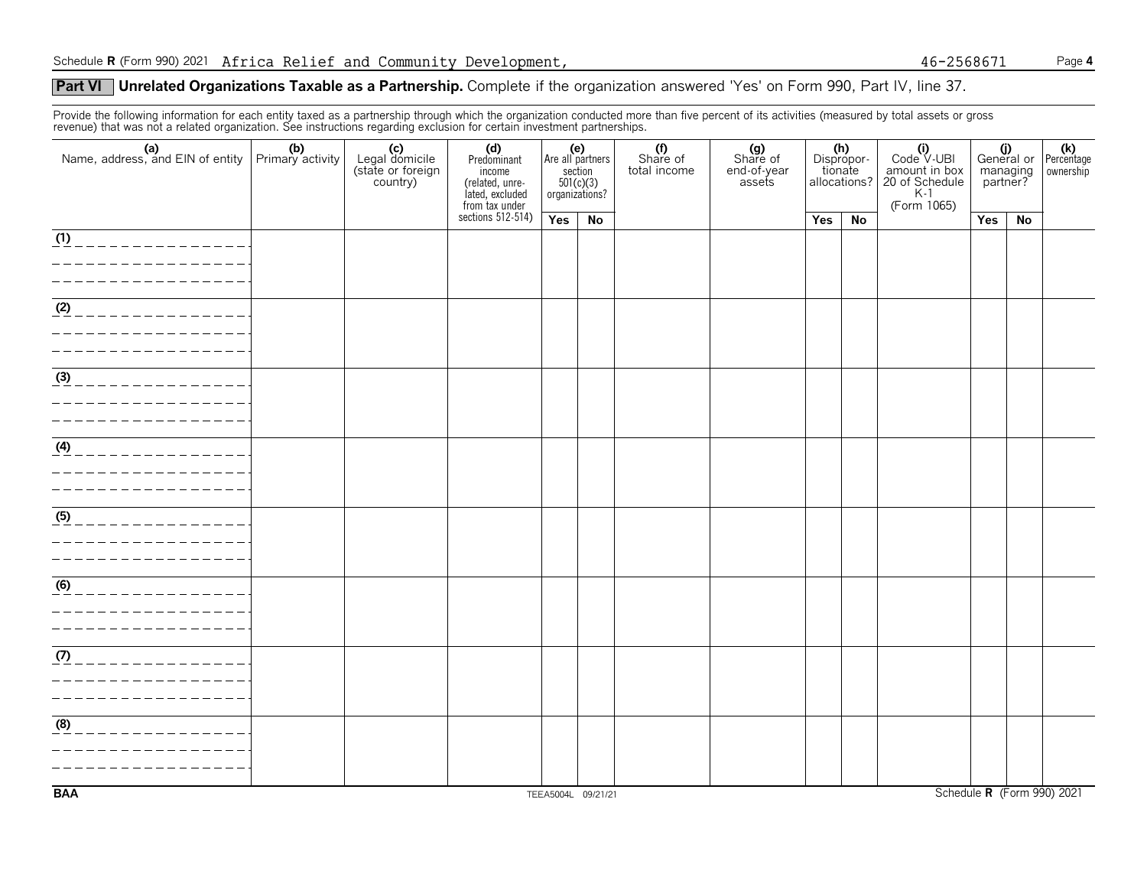#### **Part VI** Unrelated Organizations Taxable as a Partnership. Complete if the organization answered 'Yes' on Form 990, Part IV, line 37.

Provide the following information for each entity taxed as a partnership through which the organization conducted more than five percent of its activities (measured by total assets or gross revenue) that was not a related organization. See instructions regarding exclusion for certain investment partnerships.

| (a) (b)<br>Name, address, and EIN of entity Primary activity | (c)<br>Legal domicile<br>(state or foreign<br>country) | (d)<br>Predominant<br>income<br>(related, unre-<br>lated, excluded<br>from tax under | Are all partners   | (e)<br>section<br>501(c)(3)<br>organizations? | (f)<br>Share of<br>total income | (g)<br>Share of<br>end-of-year<br>assets | tionate | (h)<br>Dispropor-<br>allocations? | $\begin{bmatrix}\n\textbf{(i)}\n\text{Code V-UBI}\n\text{amount in box} \\ 20 \text{ of Schedule} \\ \text{K-1.005}\n\end{bmatrix}$<br>(Form 1065) | managing<br>partner? |    | (i) (k)<br>General or Percentage<br>ownership |
|--------------------------------------------------------------|--------------------------------------------------------|--------------------------------------------------------------------------------------|--------------------|-----------------------------------------------|---------------------------------|------------------------------------------|---------|-----------------------------------|----------------------------------------------------------------------------------------------------------------------------------------------------|----------------------|----|-----------------------------------------------|
|                                                              |                                                        | sections $512-514$ )                                                                 | Yes                | No                                            |                                 |                                          | Yes     | No                                |                                                                                                                                                    | Yes                  | No |                                               |
| (1)<br>______________                                        |                                                        |                                                                                      |                    |                                               |                                 |                                          |         |                                   |                                                                                                                                                    |                      |    |                                               |
| $\overline{ (2)$ _ _ _ _ _ _ _ _ _ _ _ _ _ _ _ _ _           |                                                        |                                                                                      |                    |                                               |                                 |                                          |         |                                   |                                                                                                                                                    |                      |    |                                               |
| $\frac{3}{(3)}$ _ _ _ _ _ _ _ _ _ _ _ _ _ _ _ _ _            |                                                        |                                                                                      |                    |                                               |                                 |                                          |         |                                   |                                                                                                                                                    |                      |    |                                               |
| $(4)$ _ _ _ _ _ _ _ _ _ _ _ _ _ _ _ _                        |                                                        |                                                                                      |                    |                                               |                                 |                                          |         |                                   |                                                                                                                                                    |                      |    |                                               |
| (5)                                                          |                                                        |                                                                                      |                    |                                               |                                 |                                          |         |                                   |                                                                                                                                                    |                      |    |                                               |
| (6)<br>______________<br>________________                    |                                                        |                                                                                      |                    |                                               |                                 |                                          |         |                                   |                                                                                                                                                    |                      |    |                                               |
| _________________<br>-----------------                       |                                                        |                                                                                      |                    |                                               |                                 |                                          |         |                                   |                                                                                                                                                    |                      |    |                                               |
| (8)<br>_____________                                         |                                                        |                                                                                      |                    |                                               |                                 |                                          |         |                                   |                                                                                                                                                    |                      |    |                                               |
| <b>BAA</b>                                                   |                                                        |                                                                                      | TEEA5004L 09/21/21 |                                               |                                 |                                          |         |                                   |                                                                                                                                                    |                      |    | Schedule R (Form 990) 2021                    |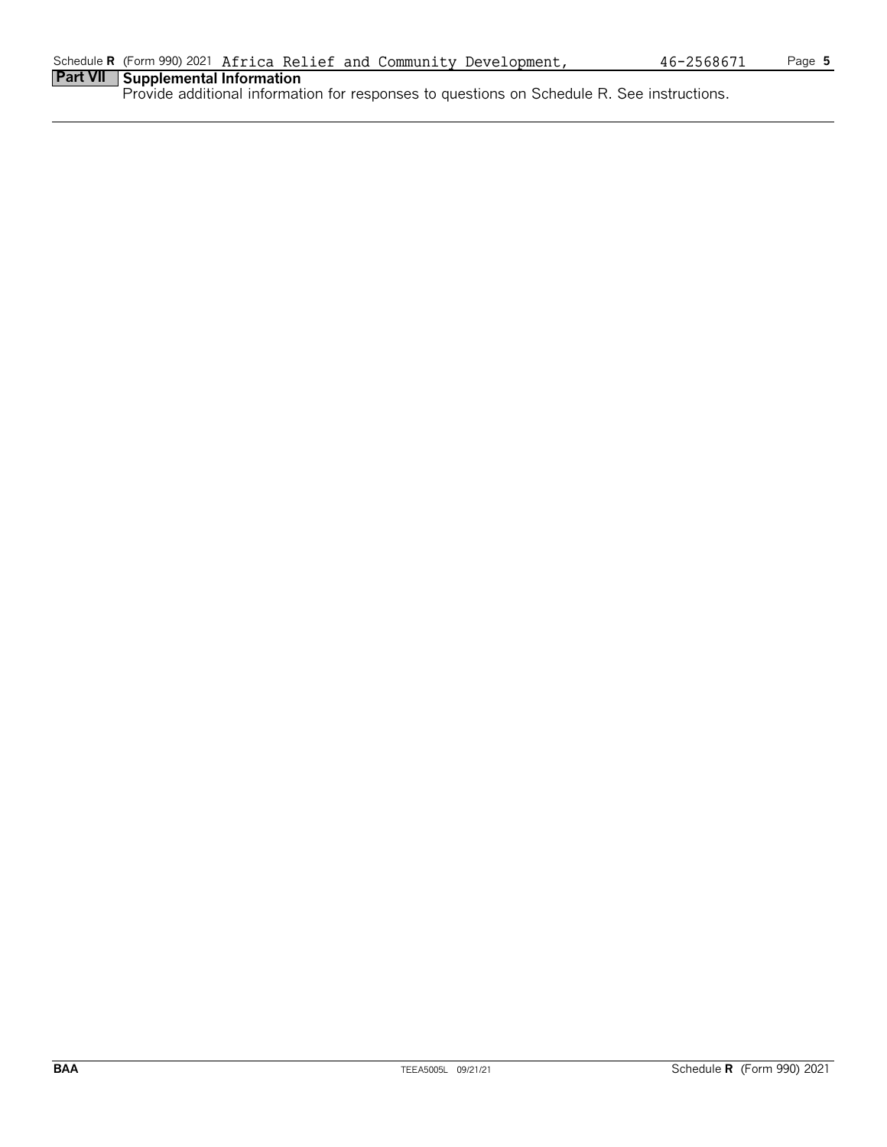### **Part VII Supplemental Information**

Provide additional information for responses to questions on Schedule R. See instructions.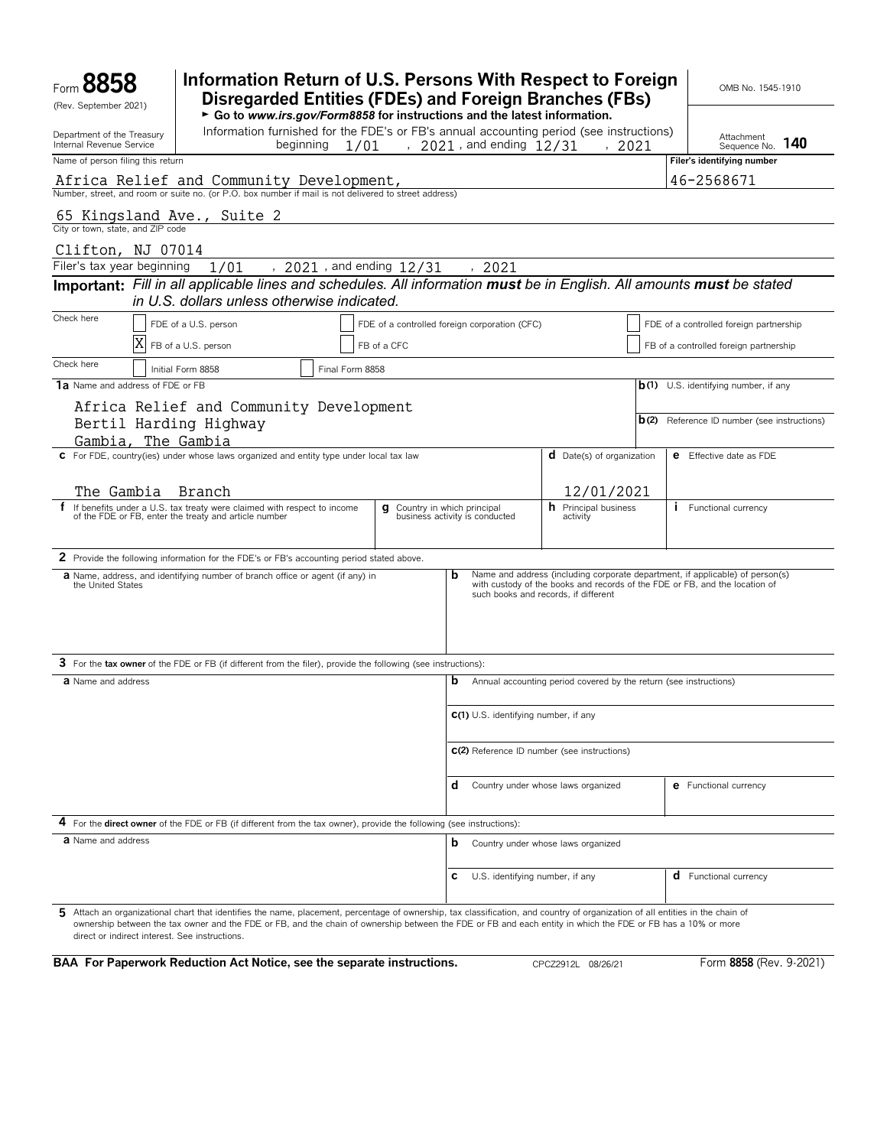| Form<br>(Rev. September 2021)                                                                                            | Information Return of U.S. Persons With Respect to Foreign<br><b>Disregarded Entities (FDEs) and Foreign Branches (FBs)</b><br>► Go to www.irs.gov/Form8858 for instructions and the latest information.                                                                                                                                       |                          |                                               |                                                              |      |                                                                   | OMB No. 1545-1910                                                                                                                                            |
|--------------------------------------------------------------------------------------------------------------------------|------------------------------------------------------------------------------------------------------------------------------------------------------------------------------------------------------------------------------------------------------------------------------------------------------------------------------------------------|--------------------------|-----------------------------------------------|--------------------------------------------------------------|------|-------------------------------------------------------------------|--------------------------------------------------------------------------------------------------------------------------------------------------------------|
| Department of the Treasury<br>Internal Revenue Service                                                                   | Information furnished for the FDE's or FB's annual accounting period (see instructions)<br>beginning                                                                                                                                                                                                                                           | 1/01                     |                                               | , $2021$ , and ending $12/31$                                |      | , 2021                                                            | Attachment<br>140<br>Sequence No.                                                                                                                            |
| Name of person filing this return                                                                                        |                                                                                                                                                                                                                                                                                                                                                |                          |                                               |                                                              |      |                                                                   | Filer's identifying number                                                                                                                                   |
|                                                                                                                          | Africa Relief and Community Development,<br>Number, street, and room or suite no. (or P.O. box number if mail is not delivered to street address)                                                                                                                                                                                              |                          |                                               |                                                              |      |                                                                   | 46-2568671                                                                                                                                                   |
| 65 Kingsland Ave., Suite 2                                                                                               |                                                                                                                                                                                                                                                                                                                                                |                          |                                               |                                                              |      |                                                                   |                                                                                                                                                              |
| City or town, state, and ZIP code                                                                                        |                                                                                                                                                                                                                                                                                                                                                |                          |                                               |                                                              |      |                                                                   |                                                                                                                                                              |
| Clifton, NJ 07014                                                                                                        |                                                                                                                                                                                                                                                                                                                                                |                          |                                               |                                                              |      |                                                                   |                                                                                                                                                              |
| Filer's tax year beginning                                                                                               | 1/01                                                                                                                                                                                                                                                                                                                                           | , 2021, and ending 12/31 |                                               |                                                              | 2021 |                                                                   |                                                                                                                                                              |
| Important: Fill in all applicable lines and schedules. All information must be in English. All amounts must be stated    | in U.S. dollars unless otherwise indicated.                                                                                                                                                                                                                                                                                                    |                          |                                               |                                                              |      |                                                                   |                                                                                                                                                              |
| Check here                                                                                                               | FDE of a U.S. person                                                                                                                                                                                                                                                                                                                           |                          | FDE of a controlled foreign corporation (CFC) |                                                              |      |                                                                   | FDE of a controlled foreign partnership                                                                                                                      |
|                                                                                                                          | FB of a U.S. person                                                                                                                                                                                                                                                                                                                            |                          | FB of a CFC                                   |                                                              |      |                                                                   | FB of a controlled foreign partnership                                                                                                                       |
| Check here                                                                                                               |                                                                                                                                                                                                                                                                                                                                                |                          |                                               |                                                              |      |                                                                   |                                                                                                                                                              |
| 1a Name and address of FDE or FB                                                                                         | Initial Form 8858                                                                                                                                                                                                                                                                                                                              | Final Form 8858          |                                               |                                                              |      |                                                                   | $b(1)$ U.S. identifying number, if any                                                                                                                       |
|                                                                                                                          | Africa Relief and Community Development                                                                                                                                                                                                                                                                                                        |                          |                                               |                                                              |      |                                                                   |                                                                                                                                                              |
| Bertil Harding Highway<br>Gambia, The Gambia                                                                             |                                                                                                                                                                                                                                                                                                                                                |                          |                                               |                                                              |      |                                                                   | <b>b</b> (2) Reference ID number (see instructions)                                                                                                          |
|                                                                                                                          | C For FDE, country(ies) under whose laws organized and entity type under local tax law                                                                                                                                                                                                                                                         |                          |                                               |                                                              |      | <b>d</b> Date(s) of organization                                  | <b>e</b> Effective date as FDE                                                                                                                               |
|                                                                                                                          |                                                                                                                                                                                                                                                                                                                                                |                          |                                               |                                                              |      |                                                                   |                                                                                                                                                              |
| The Gambia                                                                                                               | Branch                                                                                                                                                                                                                                                                                                                                         |                          |                                               |                                                              |      | 12/01/2021                                                        |                                                                                                                                                              |
|                                                                                                                          | If benefits under a U.S. tax treaty were claimed with respect to income of the FDE or FB, enter the treaty and article number                                                                                                                                                                                                                  |                          | g                                             | Country in which principal<br>business activity is conducted |      | <b>h</b> Principal business<br>activity                           | <b>i</b> Functional currency                                                                                                                                 |
|                                                                                                                          | 2 Provide the following information for the FDE's or FB's accounting period stated above.                                                                                                                                                                                                                                                      |                          |                                               |                                                              |      |                                                                   |                                                                                                                                                              |
| the United States                                                                                                        | <b>a</b> Name, address, and identifying number of branch office or agent (if any) in                                                                                                                                                                                                                                                           |                          |                                               | b                                                            |      | such books and records, if different                              | Name and address (including corporate department, if applicable) of person(s)<br>with custody of the books and records of the FDE or FB, and the location of |
|                                                                                                                          | 3 For the tax owner of the FDE or FB (if different from the filer), provide the following (see instructions):                                                                                                                                                                                                                                  |                          |                                               |                                                              |      |                                                                   |                                                                                                                                                              |
| a Name and address                                                                                                       |                                                                                                                                                                                                                                                                                                                                                |                          |                                               | b                                                            |      | Annual accounting period covered by the return (see instructions) |                                                                                                                                                              |
|                                                                                                                          |                                                                                                                                                                                                                                                                                                                                                |                          |                                               |                                                              |      | C(1) U.S. identifying number, if any                              |                                                                                                                                                              |
|                                                                                                                          |                                                                                                                                                                                                                                                                                                                                                |                          |                                               |                                                              |      | C(2) Reference ID number (see instructions)                       |                                                                                                                                                              |
|                                                                                                                          |                                                                                                                                                                                                                                                                                                                                                |                          |                                               | d                                                            |      | Country under whose laws organized                                | <b>e</b> Functional currency                                                                                                                                 |
|                                                                                                                          | 4 For the direct owner of the FDE or FB (if different from the tax owner), provide the following (see instructions):                                                                                                                                                                                                                           |                          |                                               |                                                              |      |                                                                   |                                                                                                                                                              |
| <b>a</b> Name and address                                                                                                |                                                                                                                                                                                                                                                                                                                                                |                          |                                               | b                                                            |      | Country under whose laws organized                                |                                                                                                                                                              |
|                                                                                                                          |                                                                                                                                                                                                                                                                                                                                                |                          |                                               | c                                                            |      | U.S. identifying number, if any                                   | <b>d</b> Functional currency                                                                                                                                 |
| direct or indirect interest. See instructions.<br>BAA For Paperwork Reduction Act Notice, see the separate instructions. | 5 Attach an organizational chart that identifies the name, placement, percentage of ownership, tax classification, and country of organization of all entities in the chain of<br>ownership between the tax owner and the FDE or FB, and the chain of ownership between the FDE or FB and each entity in which the FDE or FB has a 10% or more |                          |                                               |                                                              |      | CPCZ2912L 08/26/21                                                | Form 8858 (Rev. 9-2021)                                                                                                                                      |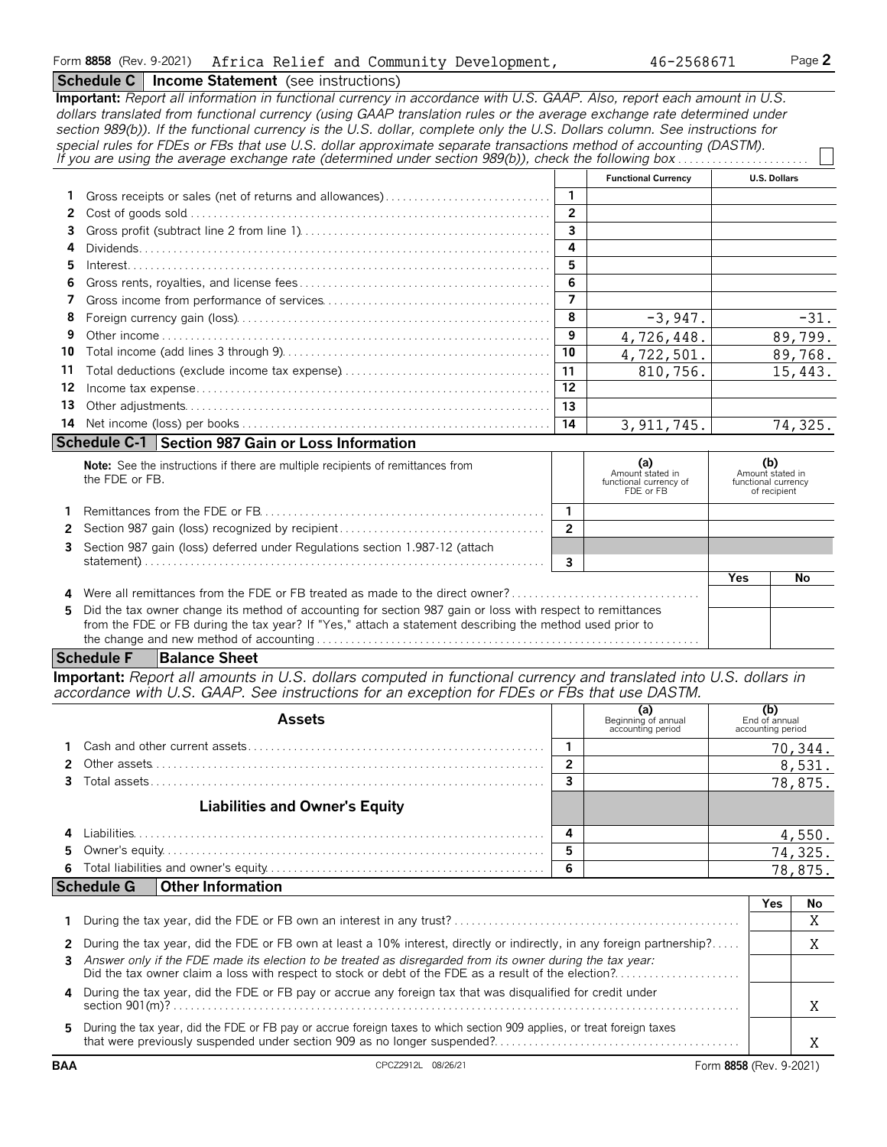#### **Schedule C** | Income Statement (see instructions)

**Important:** *Report all information in functional currency in accordance with U.S. GAAP. Also, report each amount in U.S. dollars translated from functional currency (using GAAP translation rules or the average exchange rate determined under section 989(b)). If the functional currency is the U.S. dollar, complete only the U.S. Dollars column. See instructions for special rules for FDEs or FBs that use U.S. dollar approximate separate transactions method of accounting (DASTM). If you are using the average exchange rate (determined under section 989(b)), check the following box*. . . . . . . . . . . . . . . . . . . . . . . . **Functional Currency U.S. Dollars 1** Gross receipts or sales (net of returns and allowances). . . . . . . . . . . . . . . . . . . . . . . . . . . . . **1 2** Cost of goods sold. . . . . . . . . . . . . . . . . . . . . . . . . . . . . . . . . . . . . . . . . . . . . . . . . . . . . . . . . . . . . . . . **2 3** Gross profit (subtract line 2 from line 1). . . . . . . . . . . . . . . . . . . . . . . . . . . . . . . . . . . . . . . . . . . . **3 4** Dividends. . . . . . . . . . . . . . . . . . . . . . . . . . . . . . . . . . . . . . . . . . . . . . . . . . . . . . . . . . . . . . . . . . . . . . . . **4 5** Interest. . . . . . . . . . . . . . . . . . . . . . . . . . . . . . . . . . . . . . . . . . . . . . . . . . . . . . . . . . . . . . . . . . . . . . . . . . **5 6** Gross rents, royalties, and license fees . . . . . . . . . . . . . . . . . . . . . . . . . . . . . . . . . . . . . . . . . . . . **6 7** Gross income from performance of services. . . . . . . . . . . . . . . . . . . . . . . . . . . . . . . . . . . . . . . . **7 8** Foreign currency gain (loss). . . . . . . . . . . . . . . . . . . . . . . . . . . . . . . . . . . . . . . . . . . . . . . . . . . . . . . **8 9** Other income . . . . . . . . . . . . . . . . . . . . . . . . . . . . . . . . . . . . . . . . . . . . . . . . . . . . . . . . . . . . . . . . . . . . **9 10** Total income (add lines 3 through 9). . . . . . . . . . . . . . . . . . . . . . . . . . . . . . . . . . . . . . . . . . . . . . . **10 11** Total deductions (exclude income tax expense). . . . . . . . . . . . . . . . . . . . . . . . . . . . . . . . . . . . . **11 12** Income tax expense. . . . . . . . . . . . . . . . . . . . . . . . . . . . . . . . . . . . . . . . . . . . . . . . . . . . . . . . . . . . . . **12 13** Other adjustments. . . . . . . . . . . . . . . . . . . . . . . . . . . . . . . . . . . . . . . . . . . . . . . . . . . . . . . . . . . . . . . . **13 14** Net income (loss) per books. . . . . . . . . . . . . . . . . . . . . . . . . . . . . . . . . . . . . . . . . . . . . . . . . . . . . . . **14 Schedule C-1 Section 987 Gain or Loss Information Note:** See the instructions if there are multiple recipients of remittances from **(a) (a) (a) (a) (a) (a) (a) (a) (a) (a) (a) (a) (a) (a) (a) (a) (a) (a) (a) (a) (a) (a) (a) (** Amount stated in Amount stated in Amount stated in Amount stated in Amount stated in Amount stated in Amount stated in the FDE or FB.<br>FDE or FB of recipient of recipient **1** Remittances from the FDE or FB. . . . . . . . . . . . . . . . . . . . . . . . . . . . . . . . . . . . . . . . . . . . . . . . . . **1 2** Section 987 gain (loss) recognized by recipient . . . . . . . . . . . . . . . . . . . . . . . . . . . . . . . . . . . . **2 3** Section 987 gain (loss) deferred under Regulations section 1.987-12 (attach statement). . . . . . . . . . . . . . . . . . . . . . . . . . . . . . . . . . . . . . . . . . . . . . . . . . . . . . . . . . . . . . . . . . . . . . . **3 Yes No 4** Were all remittances from the FDE or FB treated as made to the direct owner?. . . . . . . . . . . **5** Did the tax owner change its method of accounting for section 987 gain or loss with respect to remittances from the FDE or FB during the tax year? If "Yes," attach a statement describing the method used prior to the change and new method of accounting . . . . . . . . . . . . . . . . . . . . . . . . . . . . . . . . . . . . . . . . . . . . . . . . . . . . . . . . . . . . . . . . . . .  $-3.947.$   $-31.$ 4,726,448. 89,799. 4,722,501. 89,768. 810,756. 15,443. 3,911,745. 74,325.

#### **Schedule F Balance Sheet**

**Important:** *Report all amounts in U.S. dollars computed in functional currency and translated into U.S. dollars in accordance with U.S. GAAP. See instructions for an exception for FDEs or FBs that use DASTM.*

| <b>Assets</b>                         |   | (a)<br>Beginning of annual<br>accounting period | (b)<br>End of annual<br>accounting period |
|---------------------------------------|---|-------------------------------------------------|-------------------------------------------|
|                                       |   |                                                 | 70,344.                                   |
|                                       |   |                                                 | 8,531.                                    |
|                                       |   |                                                 | 78,875.                                   |
| <b>Liabilities and Owner's Equity</b> |   |                                                 |                                           |
|                                       |   |                                                 |                                           |
|                                       | 5 |                                                 | $\frac{4,550}{74,325}$ .                  |
|                                       | 6 |                                                 | 78,875.                                   |
| Schedule G   Other Information        |   |                                                 |                                           |

|                                                                                                                                                                                                                     | Nc |
|---------------------------------------------------------------------------------------------------------------------------------------------------------------------------------------------------------------------|----|
|                                                                                                                                                                                                                     |    |
| 2 During the tax year, did the FDE or FB own at least a 10% interest, directly or indirectly, in any foreign partnership?                                                                                           |    |
| 3 Answer only if the FDE made its election to be treated as disregarded from its owner during the tax year:<br>Did the tax owner claim a loss with respect to stock or debt of the FDE as a result of the election? |    |
| 4 During the tax year, did the FDE or FB pay or accrue any foreign tax that was disqualified for credit under                                                                                                       |    |
| 5 During the tax year, did the FDE or FB pay or accrue foreign taxes to which section 909 applies, or treat foreign taxes                                                                                           |    |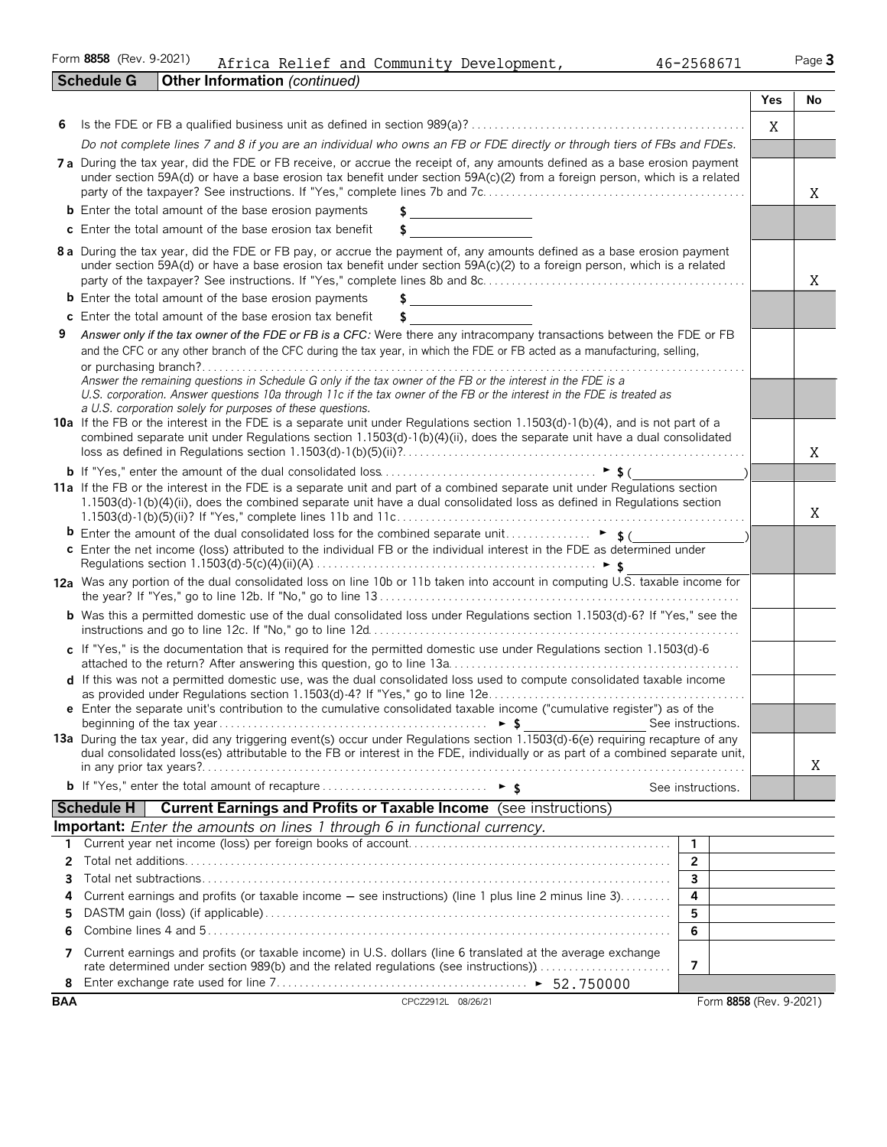Form **8858** (Rev. 9-2021) Page **3** Africa Relief and Community Development, 46-2568671

|            | <b>Schedule G</b>                                                                                                       | Other Information (continued)                                                                                                                                                                                                                                                                                                                                                                                                         |                     |                         |            |    |
|------------|-------------------------------------------------------------------------------------------------------------------------|---------------------------------------------------------------------------------------------------------------------------------------------------------------------------------------------------------------------------------------------------------------------------------------------------------------------------------------------------------------------------------------------------------------------------------------|---------------------|-------------------------|------------|----|
|            |                                                                                                                         |                                                                                                                                                                                                                                                                                                                                                                                                                                       |                     |                         | <b>Yes</b> | No |
| 6          |                                                                                                                         |                                                                                                                                                                                                                                                                                                                                                                                                                                       |                     |                         | X          |    |
|            |                                                                                                                         | Do not complete lines 7 and 8 if you are an individual who owns an FB or FDE directly or through tiers of FBs and FDEs.                                                                                                                                                                                                                                                                                                               |                     |                         |            |    |
|            |                                                                                                                         | 7a During the tax year, did the FDE or FB receive, or accrue the receipt of, any amounts defined as a base erosion payment                                                                                                                                                                                                                                                                                                            |                     |                         |            |    |
|            |                                                                                                                         | under section 59A(d) or have a base erosion tax benefit under section 59A(c)(2) from a foreign person, which is a related                                                                                                                                                                                                                                                                                                             |                     |                         |            |    |
|            |                                                                                                                         |                                                                                                                                                                                                                                                                                                                                                                                                                                       |                     |                         |            | X  |
|            |                                                                                                                         | <b>b</b> Enter the total amount of the base erosion payments<br>c Enter the total amount of the base erosion tax benefit                                                                                                                                                                                                                                                                                                              |                     |                         |            |    |
|            |                                                                                                                         | \$                                                                                                                                                                                                                                                                                                                                                                                                                                    |                     |                         |            |    |
|            |                                                                                                                         | 8 a During the tax year, did the FDE or FB pay, or accrue the payment of, any amounts defined as a base erosion payment<br>under section 59A(d) or have a base erosion tax benefit under section 59A(c)(2) to a foreign person, which is a related                                                                                                                                                                                    |                     |                         |            | X  |
|            |                                                                                                                         | <b>b</b> Enter the total amount of the base erosion payments                                                                                                                                                                                                                                                                                                                                                                          |                     |                         |            |    |
|            |                                                                                                                         | c Enter the total amount of the base erosion tax benefit<br>\$                                                                                                                                                                                                                                                                                                                                                                        |                     |                         |            |    |
| 9          |                                                                                                                         | Answer only if the tax owner of the FDE or FB is a CFC: Were there any intracompany transactions between the FDE or FB                                                                                                                                                                                                                                                                                                                |                     |                         |            |    |
|            |                                                                                                                         | and the CFC or any other branch of the CFC during the tax year, in which the FDE or FB acted as a manufacturing, selling,                                                                                                                                                                                                                                                                                                             |                     |                         |            |    |
|            |                                                                                                                         | Answer the remaining questions in Schedule G only if the tax owner of the FB or the interest in the FDE is a<br>U.S. corporation. Answer questions 10a through 11c if the tax owner of the FB or the interest in the FDE is treated as<br>a U.S. corporation solely for purposes of these questions.<br>10a If the FB or the interest in the FDE is a separate unit under Regulations section 1.1503(d)-1(b)(4), and is not part of a |                     |                         |            |    |
|            |                                                                                                                         | combined separate unit under Regulations section 1.1503(d)-1(b)(4)(ii), does the separate unit have a dual consolidated                                                                                                                                                                                                                                                                                                               |                     |                         |            | X  |
|            |                                                                                                                         |                                                                                                                                                                                                                                                                                                                                                                                                                                       |                     |                         |            |    |
|            |                                                                                                                         | 11a If the FB or the interest in the FDE is a separate unit and part of a combined separate unit under Regulations section<br>1.1503(d)-1(b)(4)(ii), does the combined separate unit have a dual consolidated loss as defined in Regulations section                                                                                                                                                                                  |                     |                         |            | Χ  |
|            |                                                                                                                         |                                                                                                                                                                                                                                                                                                                                                                                                                                       |                     |                         |            |    |
|            | c Enter the net income (loss) attributed to the individual FB or the individual interest in the FDE as determined under |                                                                                                                                                                                                                                                                                                                                                                                                                                       |                     |                         |            |    |
|            |                                                                                                                         | 12a Was any portion of the dual consolidated loss on line 10b or 11b taken into account in computing U.S. taxable income for                                                                                                                                                                                                                                                                                                          |                     |                         |            |    |
|            |                                                                                                                         | <b>b</b> Was this a permitted domestic use of the dual consolidated loss under Regulations section 1.1503(d)-6? If "Yes," see the                                                                                                                                                                                                                                                                                                     |                     |                         |            |    |
|            |                                                                                                                         | c If "Yes," is the documentation that is required for the permitted domestic use under Regulations section 1.1503(d)-6                                                                                                                                                                                                                                                                                                                |                     |                         |            |    |
|            |                                                                                                                         | d If this was not a permitted domestic use, was the dual consolidated loss used to compute consolidated taxable income                                                                                                                                                                                                                                                                                                                |                     |                         |            |    |
|            |                                                                                                                         | e Enter the separate unit's contribution to the cumulative consolidated taxable income ("cumulative register") as of the                                                                                                                                                                                                                                                                                                              | See instructions.   |                         |            |    |
|            |                                                                                                                         | 13a During the tax year, did any triggering event(s) occur under Regulations section 1.1503(d)-6(e) requiring recapture of any                                                                                                                                                                                                                                                                                                        |                     |                         |            |    |
|            |                                                                                                                         | dual consolidated loss(es) attributable to the FB or interest in the FDE, individually or as part of a combined separate unit,                                                                                                                                                                                                                                                                                                        |                     |                         |            | Χ  |
|            |                                                                                                                         |                                                                                                                                                                                                                                                                                                                                                                                                                                       | See instructions.   |                         |            |    |
|            | <b>Schedule H</b>                                                                                                       | <b>Current Earnings and Profits or Taxable Income</b> (see instructions)                                                                                                                                                                                                                                                                                                                                                              |                     |                         |            |    |
|            |                                                                                                                         | Important: Enter the amounts on lines 1 through 6 in functional currency.                                                                                                                                                                                                                                                                                                                                                             |                     |                         |            |    |
| 1          |                                                                                                                         |                                                                                                                                                                                                                                                                                                                                                                                                                                       | $\mathbf{1}$        |                         |            |    |
| 2<br>3     |                                                                                                                         |                                                                                                                                                                                                                                                                                                                                                                                                                                       | $\overline{2}$<br>3 |                         |            |    |
| 4          |                                                                                                                         | Current earnings and profits (or taxable income – see instructions) (line 1 plus line 2 minus line 3)                                                                                                                                                                                                                                                                                                                                 | 4                   |                         |            |    |
| 5          |                                                                                                                         |                                                                                                                                                                                                                                                                                                                                                                                                                                       | 5                   |                         |            |    |
| 6          |                                                                                                                         |                                                                                                                                                                                                                                                                                                                                                                                                                                       | 6                   |                         |            |    |
| 7          |                                                                                                                         | Current earnings and profits (or taxable income) in U.S. dollars (line 6 translated at the average exchange<br>rate determined under section 989(b) and the related regulations (see instructions))                                                                                                                                                                                                                                   | 7                   |                         |            |    |
| 8          |                                                                                                                         |                                                                                                                                                                                                                                                                                                                                                                                                                                       |                     |                         |            |    |
| <b>BAA</b> |                                                                                                                         | CPCZ2912L 08/26/21                                                                                                                                                                                                                                                                                                                                                                                                                    |                     | Form 8858 (Rev. 9-2021) |            |    |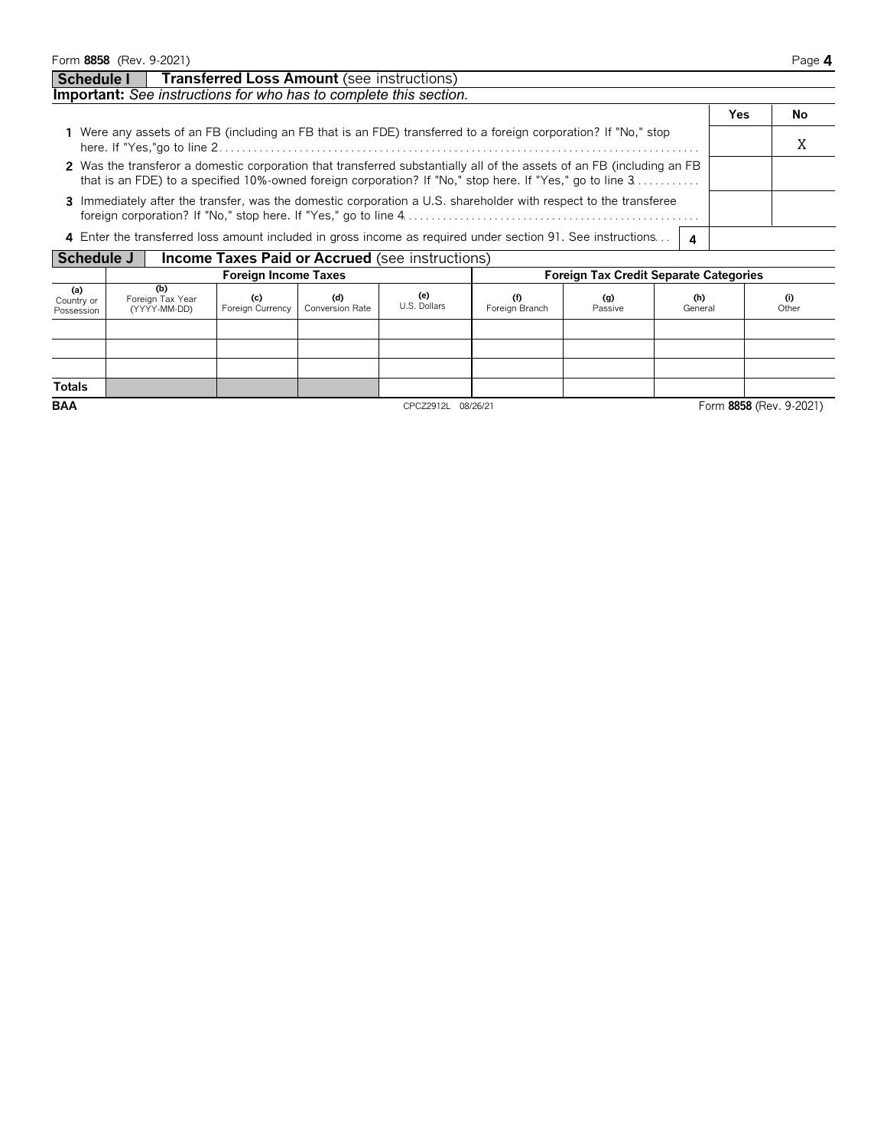| Form 8858 (Rev. 9-2021)                                                                                                                                                                                                            |   |     | Page 4 |
|------------------------------------------------------------------------------------------------------------------------------------------------------------------------------------------------------------------------------------|---|-----|--------|
| <b>Transferred Loss Amount (see instructions)</b><br>Schedule I                                                                                                                                                                    |   |     |        |
| Important: See instructions for who has to complete this section.                                                                                                                                                                  |   |     |        |
|                                                                                                                                                                                                                                    |   | Yes | No.    |
| 1 Were any assets of an FB (including an FB that is an FDE) transferred to a foreign corporation? If "No," stop                                                                                                                    |   |     |        |
| 2 Was the transferor a domestic corporation that transferred substantially all of the assets of an FB (including an FB<br>that is an FDE) to a specified 10%-owned foreign corporation? If "No," stop here. If "Yes," go to line 3 |   |     |        |
| 3 Immediately after the transfer, was the domestic corporation a U.S. shareholder with respect to the transferee                                                                                                                   |   |     |        |
| 4 Enter the transferred loss amount included in gross income as required under section 91. See instructions                                                                                                                        | 4 |     |        |

**Schedule J Income Taxes Paid or Accrued** (see instructions)

|                                 | ---------                               |                             |                        |                     |                       |                                               |                |                         |  |  |  |  |  |  |
|---------------------------------|-----------------------------------------|-----------------------------|------------------------|---------------------|-----------------------|-----------------------------------------------|----------------|-------------------------|--|--|--|--|--|--|
|                                 |                                         | <b>Foreign Income Taxes</b> |                        |                     |                       | <b>Foreign Tax Credit Separate Categories</b> |                |                         |  |  |  |  |  |  |
| (a)<br>Country or<br>Possession | (b)<br>Foreign Tax Year<br>(YYYY-MM-DD) | (c)<br>Foreign Currency     | (d)<br>Conversion Rate | (e)<br>U.S. Dollars | (f)<br>Foreign Branch | (g)<br>Passive                                | (h)<br>General | (i)<br>Other            |  |  |  |  |  |  |
|                                 |                                         |                             |                        |                     |                       |                                               |                |                         |  |  |  |  |  |  |
|                                 |                                         |                             |                        |                     |                       |                                               |                |                         |  |  |  |  |  |  |
|                                 |                                         |                             |                        |                     |                       |                                               |                |                         |  |  |  |  |  |  |
| <b>Totals</b>                   |                                         |                             |                        |                     |                       |                                               |                |                         |  |  |  |  |  |  |
| <b>BAA</b>                      |                                         |                             |                        | CPCZ2912L 08/26/21  |                       |                                               |                | Form 8858 (Rev. 9-2021) |  |  |  |  |  |  |